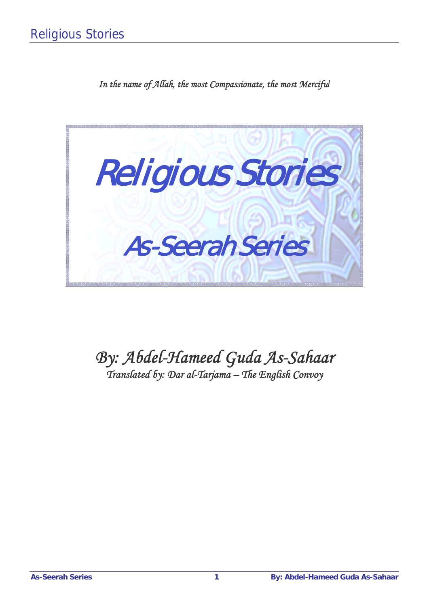*In the name of Allah, the most Compassionate, the most Merciful*



# *By: Abdel-Hameed Guda As-Sahaar*

*Translated by: Dar al-Tarjama – The English Convoy*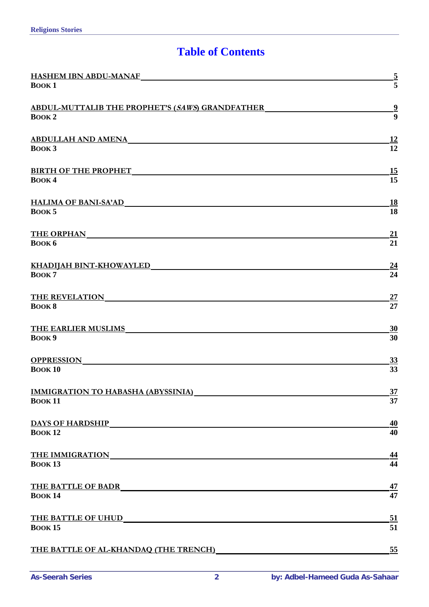### **Table of Contents**

| <b>HASHEM IBN ABDU-MANAF</b>                                                                                         |                 |
|----------------------------------------------------------------------------------------------------------------------|-----------------|
| <b>BOOK1</b>                                                                                                         | $\frac{5}{5}$   |
| <b>ABDUL-MUTTALIB THE PROPHET'S (SAWS) GRANDFATHER</b>                                                               | $\frac{9}{9}$   |
| <b>BOOK2</b>                                                                                                         |                 |
| <u>ABDULLAH AND AMENA AND AMENANDER SERIAL BELIEVE SERIAL BELIEVE SERIAL BELIEVE SERIAL BELIEVE SERIAL BELIEVE S</u> | 12              |
| <b>BOOK3</b>                                                                                                         | $\overline{12}$ |
| <b>BIRTH OF THE PROPHET</b>                                                                                          | 15              |
| BOOK4                                                                                                                | 15              |
| <b>HALIMA OF BANI-SA'AD</b>                                                                                          | 18              |
| BOOK <sub>5</sub>                                                                                                    | 18              |
| <b>THE ORPHAN</b>                                                                                                    | <u>21</u>       |
| <b>ВООК 6</b>                                                                                                        | 21              |
| <u>KHADIJAH BINT-KHOWAYLED</u>                                                                                       | $\overline{24}$ |
| BOOK <sub>7</sub>                                                                                                    | 24              |
| <b>THE REVELATION</b>                                                                                                | 27              |
| <b>BOOK 8</b>                                                                                                        | 27              |
| <b>THE EARLIER MUSLIMS</b>                                                                                           | $\overline{30}$ |
| BOOK 9                                                                                                               | 30              |
| <b>OPPRESSION</b>                                                                                                    | 33              |
| <b>BOOK10</b>                                                                                                        | 33              |
| <b>IMMIGRATION TO HABASHA (ABYSSINIA)</b>                                                                            | $\frac{37}{5}$  |
| <b>BOOK11</b>                                                                                                        | 37              |
| <b>DAYS OF HARDSHIP</b>                                                                                              | 40              |
| <b>BOOK12</b>                                                                                                        | 40              |
| <b>THE IMMIGRATION</b><br><u> 1989 - Andrea Andrew Maria (h. 1989).</u>                                              | <u>44</u>       |
| <b>ВООК 13</b>                                                                                                       | 44              |
| <b>THE BATTLE OF BADR</b>                                                                                            | 47              |
| <b>BOOK14</b>                                                                                                        | 47              |
| <b>THE BATTLE OF UHUD</b>                                                                                            | 51              |
| <b>BOOK15</b>                                                                                                        | 51              |
| THE BATTLE OF AL-KHANDAQ (THE TRENCH)                                                                                | 55              |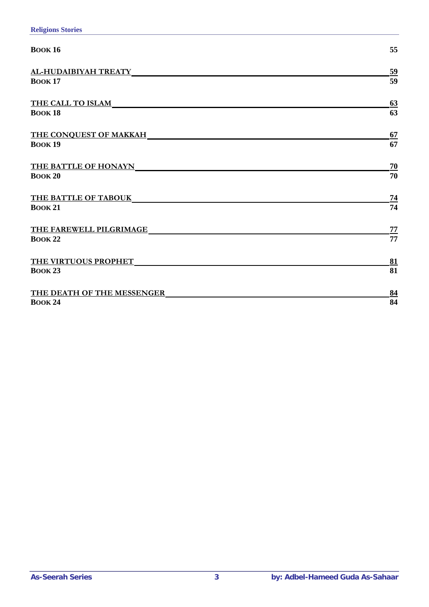| <b>BOOK 16</b>              | 55             |
|-----------------------------|----------------|
| AL-HUDAIBIYAH TREATY        | 59             |
| <b>BOOK 17</b>              | 59             |
| <b>THE CALL TO ISLAM</b>    | 63             |
| <b>BOOK 18</b>              | 63             |
| THE CONQUEST OF MAKKAH      | 67             |
| <b>BOOK19</b>               | 67             |
| <b>THE BATTLE OF HONAYN</b> | 70             |
| <b>BOOK 20</b>              | 70             |
| THE BATTLE OF TABOUK        | $\frac{74}{1}$ |
| <b>BOOK 21</b>              | 74             |
| THE FAREWELL PILGRIMAGE     | 77             |
| <b>BOOK 22</b>              | 77             |
| THE VIRTUOUS PROPHET        | 81             |
| <b>ВООК 23</b>              | 81             |
| THE DEATH OF THE MESSENGER  | 84             |
| <b>BOOK 24</b>              | 84             |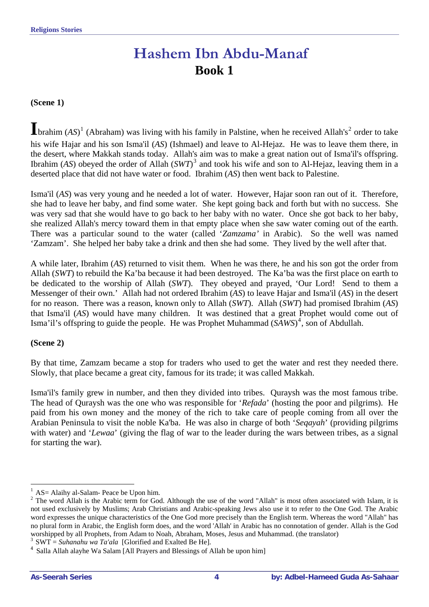# **Hashem Ibn Abdu-Manaf Book 1**

#### <span id="page-3-0"></span>**(Scene 1)**

**I**brahim (*AS*)  $1$  (Abraham) was living with his family in Palstine, when he received Allah's<sup>[2](#page-3-2)</sup> order to take his wife Hajar and his son Isma'il (*AS*) (Ishmael) and leave to Al-Hejaz. He was to leave them there, in the desert, where Makkah stands today. Allah's aim was to make a great nation out of Isma'il's offspring. Ibrahim (*AS*) obeyed the order of Allah (*SWT*) [3](#page-3-3) and took his wife and son to Al-Hejaz, leaving them in a deserted place that did not have water or food. Ibrahim (*AS*) then went back to Palestine.

Isma'il (*AS*) was very young and he needed a lot of water. However, Hajar soon ran out of it. Therefore, she had to leave her baby, and find some water. She kept going back and forth but with no success. She was very sad that she would have to go back to her baby with no water. Once she got back to her baby, she realized Allah's mercy toward them in that empty place when she saw water coming out of the earth. There was a particular sound to the water (called '*Zamzama'* in Arabic). So the well was named 'Zamzam'. She helped her baby take a drink and then she had some. They lived by the well after that.

A while later, Ibrahim (*AS*) returned to visit them. When he was there, he and his son got the order from Allah (*SWT*) to rebuild the Ka'ba because it had been destroyed. The Ka'ba was the first place on earth to be dedicated to the worship of Allah (*SWT*). They obeyed and prayed, 'Our Lord! Send to them a Messenger of their own.' Allah had not ordered Ibrahim (*AS*) to leave Hajar and Isma'il (*AS*) in the desert for no reason. There was a reason, known only to Allah (*SWT*). Allah (*SWT*) had promised Ibrahim (*AS*) that Isma'il (*AS*) would have many children. It was destined that a great Prophet would come out of Isma'il's offspring to guide the people. He was Prophet Muhammad (*SAWS*)<sup>[4](#page-3-4)</sup>, son of Abdullah.

#### **(Scene 2)**

By that time, Zamzam became a stop for traders who used to get the water and rest they needed there. Slowly, that place became a great city, famous for its trade; it was called Makkah.

Isma'il's family grew in number, and then they divided into tribes. Quraysh was the most famous tribe. The head of Quraysh was the one who was responsible for '*Refada*' (hosting the poor and pilgrims). He paid from his own money and the money of the rich to take care of people coming from all over the Arabian Peninsula to visit the noble Ka'ba. He was also in charge of both '*Seqayah*' (providing pilgrims with water) and '*Lewaa*' (giving the flag of war to the leader during the wars between tribes, as a signal for starting the war).

 $\overline{a}$ AS= Alaihy al-Salam- Peace be Upon him.

<span id="page-3-2"></span><span id="page-3-1"></span> $2$  The word Allah is the Arabic term for God. Although the use of the word "Allah" is most often associated with Islam, it is not used exclusively by Muslims; Arab Christians and Arabic-speaking Jews also use it to refer to the One God. The Arabic word expresses the unique characteristics of the One God more precisely than the English term. Whereas the word "Allah" has no plural form in Arabic, the English form does, and the word 'Allah' in Arabic has no connotation of gender. Allah is the God worshipped by all Prophets, from Adam to Noah, Abraham, Moses, Jesus and Muhammad. (the translator) <sup>3</sup> SWT = *Suhanahu wa Ta'ala* [Glorified and Exalted Be He].

<span id="page-3-4"></span><span id="page-3-3"></span><sup>4</sup> Salla Allah alayhe Wa Salam [All Prayers and Blessings of Allah be upon him]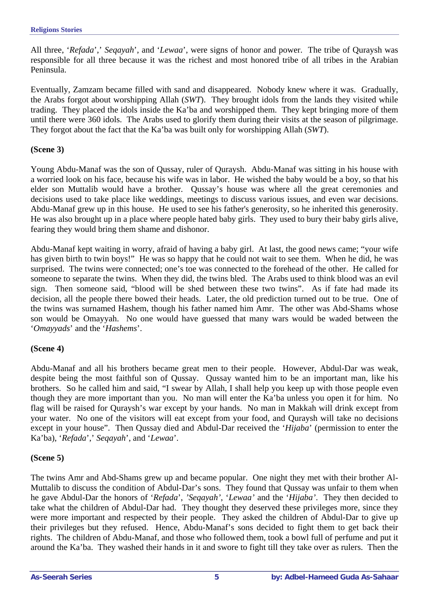All three, '*Refada*',' *Seqayah*', and '*Lewaa*', were signs of honor and power. The tribe of Quraysh was responsible for all three because it was the richest and most honored tribe of all tribes in the Arabian Peninsula.

Eventually, Zamzam became filled with sand and disappeared. Nobody knew where it was. Gradually, the Arabs forgot about worshipping Allah (*SWT*). They brought idols from the lands they visited while trading. They placed the idols inside the Ka'ba and worshipped them. They kept bringing more of them until there were 360 idols. The Arabs used to glorify them during their visits at the season of pilgrimage. They forgot about the fact that the Ka'ba was built only for worshipping Allah (*SWT*).

#### **(Scene 3)**

Young Abdu-Manaf was the son of Qussay, ruler of Quraysh. Abdu-Manaf was sitting in his house with a worried look on his face, because his wife was in labor. He wished the baby would be a boy, so that his elder son Muttalib would have a brother. Qussay's house was where all the great ceremonies and decisions used to take place like weddings, meetings to discuss various issues, and even war decisions. Abdu-Manaf grew up in this house. He used to see his father's generosity, so he inherited this generosity. He was also brought up in a place where people hated baby girls. They used to bury their baby girls alive, fearing they would bring them shame and dishonor.

Abdu-Manaf kept waiting in worry, afraid of having a baby girl. At last, the good news came; "your wife has given birth to twin boys!" He was so happy that he could not wait to see them. When he did, he was surprised. The twins were connected; one's toe was connected to the forehead of the other. He called for someone to separate the twins. When they did, the twins bled. The Arabs used to think blood was an evil sign. Then someone said, "blood will be shed between these two twins". As if fate had made its decision, all the people there bowed their heads. Later, the old prediction turned out to be true. One of the twins was surnamed Hashem, though his father named him Amr. The other was Abd-Shams whose son would be Omayyah. No one would have guessed that many wars would be waded between the '*Omayyads*' and the '*Hashems*'.

#### **(Scene 4)**

Abdu-Manaf and all his brothers became great men to their people. However, Abdul-Dar was weak, despite being the most faithful son of Qussay. Qussay wanted him to be an important man, like his brothers. So he called him and said, "I swear by Allah, I shall help you keep up with those people even though they are more important than you. No man will enter the Ka'ba unless you open it for him. No flag will be raised for Quraysh's war except by your hands. No man in Makkah will drink except from your water. No one of the visitors will eat except from your food, and Quraysh will take no decisions except in your house". Then Qussay died and Abdul-Dar received the '*Hijaba*' (permission to enter the Ka'ba), '*Refada*',' *Seqayah*', and '*Lewaa*'.

#### **(Scene 5)**

The twins Amr and Abd-Shams grew up and became popular. One night they met with their brother Al-Muttalib to discuss the condition of Abdul-Dar's sons. They found that Qussay was unfair to them when he gave Abdul-Dar the honors of '*Refada*', *'Seqayah'*, '*Lewaa'* and the '*Hijaba'*. They then decided to take what the children of Abdul-Dar had. They thought they deserved these privileges more, since they were more important and respected by their people. They asked the children of Abdul-Dar to give up their privileges but they refused. Hence, Abdu-Manaf's sons decided to fight them to get back their rights. The children of Abdu-Manaf, and those who followed them, took a bowl full of perfume and put it around the Ka'ba. They washed their hands in it and swore to fight till they take over as rulers. Then the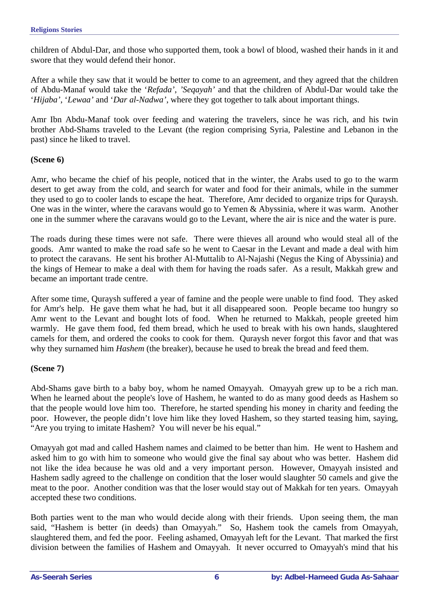children of Abdul-Dar, and those who supported them, took a bowl of blood, washed their hands in it and swore that they would defend their honor.

After a while they saw that it would be better to come to an agreement, and they agreed that the children of Abdu-Manaf would take the '*Refada'*, *'Seqayah'* and that the children of Abdul-Dar would take the '*Hijaba'*, '*Lewaa'* and '*Dar al-Nadwa'*, where they got together to talk about important things.

Amr Ibn Abdu-Manaf took over feeding and watering the travelers, since he was rich, and his twin brother Abd-Shams traveled to the Levant (the region comprising Syria, Palestine and Lebanon in the past) since he liked to travel.

#### **(Scene 6)**

Amr, who became the chief of his people, noticed that in the winter, the Arabs used to go to the warm desert to get away from the cold, and search for water and food for their animals, while in the summer they used to go to cooler lands to escape the heat. Therefore, Amr decided to organize trips for Quraysh. One was in the winter, where the caravans would go to Yemen & Abyssinia, where it was warm. Another one in the summer where the caravans would go to the Levant, where the air is nice and the water is pure.

The roads during these times were not safe. There were thieves all around who would steal all of the goods. Amr wanted to make the road safe so he went to Caesar in the Levant and made a deal with him to protect the caravans. He sent his brother Al-Muttalib to Al-Najashi (Negus the King of Abyssinia) and the kings of Hemear to make a deal with them for having the roads safer. As a result, Makkah grew and became an important trade centre.

After some time, Quraysh suffered a year of famine and the people were unable to find food. They asked for Amr's help. He gave them what he had, but it all disappeared soon. People became too hungry so Amr went to the Levant and bought lots of food. When he returned to Makkah, people greeted him warmly. He gave them food, fed them bread, which he used to break with his own hands, slaughtered camels for them, and ordered the cooks to cook for them. Quraysh never forgot this favor and that was why they surnamed him *Hashem* (the breaker), because he used to break the bread and feed them.

#### **(Scene 7)**

Abd-Shams gave birth to a baby boy, whom he named Omayyah. Omayyah grew up to be a rich man. When he learned about the people's love of Hashem, he wanted to do as many good deeds as Hashem so that the people would love him too. Therefore, he started spending his money in charity and feeding the poor. However, the people didn't love him like they loved Hashem, so they started teasing him, saying, "Are you trying to imitate Hashem? You will never be his equal."

Omayyah got mad and called Hashem names and claimed to be better than him. He went to Hashem and asked him to go with him to someone who would give the final say about who was better. Hashem did not like the idea because he was old and a very important person. However, Omayyah insisted and Hashem sadly agreed to the challenge on condition that the loser would slaughter 50 camels and give the meat to the poor. Another condition was that the loser would stay out of Makkah for ten years. Omayyah accepted these two conditions.

Both parties went to the man who would decide along with their friends. Upon seeing them, the man said, "Hashem is better (in deeds) than Omayyah." So, Hashem took the camels from Omayyah, slaughtered them, and fed the poor. Feeling ashamed, Omayyah left for the Levant. That marked the first division between the families of Hashem and Omayyah. It never occurred to Omayyah's mind that his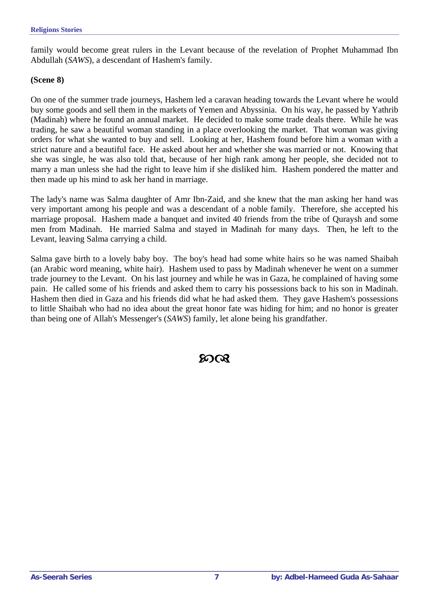family would become great rulers in the Levant because of the revelation of Prophet Muhammad Ibn Abdullah (*SAWS*), a descendant of Hashem's family.

#### **(Scene 8)**

On one of the summer trade journeys, Hashem led a caravan heading towards the Levant where he would buy some goods and sell them in the markets of Yemen and Abyssinia. On his way, he passed by Yathrib (Madinah) where he found an annual market. He decided to make some trade deals there. While he was trading, he saw a beautiful woman standing in a place overlooking the market. That woman was giving orders for what she wanted to buy and sell. Looking at her, Hashem found before him a woman with a strict nature and a beautiful face. He asked about her and whether she was married or not. Knowing that she was single, he was also told that, because of her high rank among her people, she decided not to marry a man unless she had the right to leave him if she disliked him. Hashem pondered the matter and then made up his mind to ask her hand in marriage.

The lady's name was Salma daughter of Amr Ibn-Zaid, and she knew that the man asking her hand was very important among his people and was a descendant of a noble family. Therefore, she accepted his marriage proposal. Hashem made a banquet and invited 40 friends from the tribe of Quraysh and some men from Madinah. He married Salma and stayed in Madinah for many days. Then, he left to the Levant, leaving Salma carrying a child.

Salma gave birth to a lovely baby boy. The boy's head had some white hairs so he was named Shaibah (an Arabic word meaning, white hair). Hashem used to pass by Madinah whenever he went on a summer trade journey to the Levant. On his last journey and while he was in Gaza, he complained of having some pain. He called some of his friends and asked them to carry his possessions back to his son in Madinah. Hashem then died in Gaza and his friends did what he had asked them. They gave Hashem's possessions to little Shaibah who had no idea about the great honor fate was hiding for him; and no honor is greater than being one of Allah's Messenger's (*SAWS*) family, let alone being his grandfather.

### ୨୦ର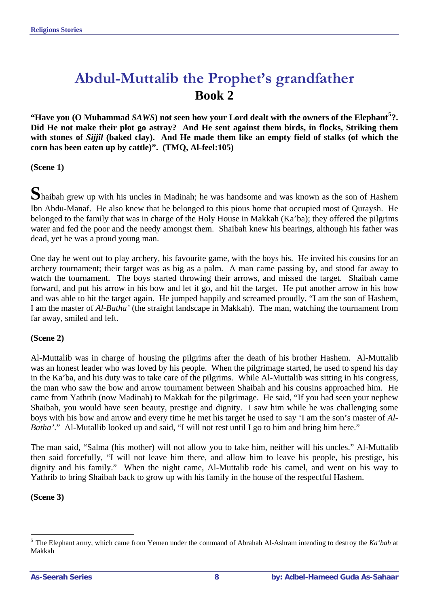# <span id="page-7-0"></span>**Abdul-Muttalib the Prophet's grandfather Book 2**

**"Have you (O Muhammad** *SAWS***) not seen how your Lord dealt with the owners of the Elephant[5](#page-7-1) ?. Did He not make their plot go astray? And He sent against them birds, in flocks, Striking them with stones of** *Sijjîl* **(baked clay). And He made them like an empty field of stalks (of which the corn has been eaten up by cattle)". (TMQ, Al-feel:105)** 

**(Scene 1)** 

**S**haibah grew up with his uncles in Madinah; he was handsome and was known as the son of Hashem Ibn Abdu-Manaf. He also knew that he belonged to this pious home that occupied most of Quraysh. He belonged to the family that was in charge of the Holy House in Makkah (Ka'ba); they offered the pilgrims water and fed the poor and the needy amongst them. Shaibah knew his bearings, although his father was dead, yet he was a proud young man.

One day he went out to play archery, his favourite game, with the boys his. He invited his cousins for an archery tournament; their target was as big as a palm. A man came passing by, and stood far away to watch the tournament. The boys started throwing their arrows, and missed the target. Shaibah came forward, and put his arrow in his bow and let it go, and hit the target. He put another arrow in his bow and was able to hit the target again. He jumped happily and screamed proudly, "I am the son of Hashem, I am the master of *Al-Batha'* (the straight landscape in Makkah). The man, watching the tournament from far away, smiled and left.

#### **(Scene 2)**

Al-Muttalib was in charge of housing the pilgrims after the death of his brother Hashem. Al-Muttalib was an honest leader who was loved by his people. When the pilgrimage started, he used to spend his day in the Ka'ba, and his duty was to take care of the pilgrims. While Al-Muttalib was sitting in his congress, the man who saw the bow and arrow tournament between Shaibah and his cousins approached him. He came from Yathrib (now Madinah) to Makkah for the pilgrimage. He said, "If you had seen your nephew Shaibah, you would have seen beauty, prestige and dignity. I saw him while he was challenging some boys with his bow and arrow and every time he met his target he used to say 'I am the son's master of *Al-Batha*'." Al-Mutallib looked up and said, "I will not rest until I go to him and bring him here."

The man said, "Salma (his mother) will not allow you to take him, neither will his uncles." Al-Muttalib then said forcefully, "I will not leave him there, and allow him to leave his people, his prestige, his dignity and his family." When the night came, Al-Muttalib rode his camel, and went on his way to Yathrib to bring Shaibah back to grow up with his family in the house of the respectful Hashem.

**(Scene 3)** 

 $\overline{a}$ 

<span id="page-7-1"></span><sup>5</sup> The Elephant army, which came from Yemen under the command of Abrahah Al-Ashram intending to destroy the *Ka'bah* at Makkah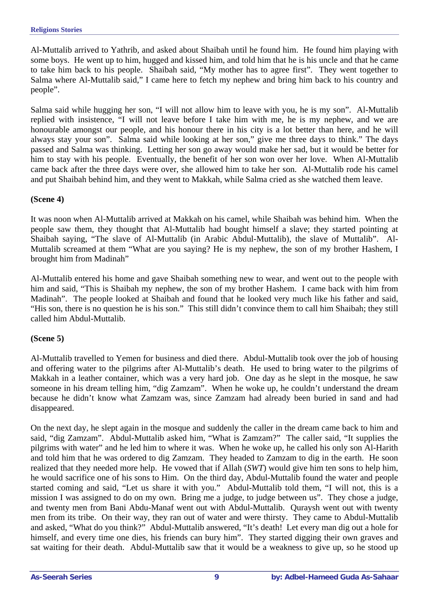Al-Muttalib arrived to Yathrib, and asked about Shaibah until he found him. He found him playing with some boys. He went up to him, hugged and kissed him, and told him that he is his uncle and that he came to take him back to his people. Shaibah said, "My mother has to agree first". They went together to Salma where Al-Muttalib said," I came here to fetch my nephew and bring him back to his country and people".

Salma said while hugging her son, "I will not allow him to leave with you, he is my son". Al-Muttalib replied with insistence, "I will not leave before I take him with me, he is my nephew, and we are honourable amongst our people, and his honour there in his city is a lot better than here, and he will always stay your son". Salma said while looking at her son," give me three days to think." The days passed and Salma was thinking. Letting her son go away would make her sad, but it would be better for him to stay with his people. Eventually, the benefit of her son won over her love. When Al-Muttalib came back after the three days were over, she allowed him to take her son. Al-Muttalib rode his camel and put Shaibah behind him, and they went to Makkah, while Salma cried as she watched them leave.

#### **(Scene 4)**

It was noon when Al-Muttalib arrived at Makkah on his camel, while Shaibah was behind him. When the people saw them, they thought that Al-Muttalib had bought himself a slave; they started pointing at Shaibah saying, "The slave of Al-Muttalib (in Arabic Abdul-Muttalib), the slave of Muttalib". Al-Muttalib screamed at them "What are you saying? He is my nephew, the son of my brother Hashem, I brought him from Madinah"

Al-Muttalib entered his home and gave Shaibah something new to wear, and went out to the people with him and said, "This is Shaibah my nephew, the son of my brother Hashem. I came back with him from Madinah". The people looked at Shaibah and found that he looked very much like his father and said, "His son, there is no question he is his son." This still didn't convince them to call him Shaibah; they still called him Abdul-Muttalib.

#### **(Scene 5)**

Al-Muttalib travelled to Yemen for business and died there. Abdul-Muttalib took over the job of housing and offering water to the pilgrims after Al-Muttalib's death. He used to bring water to the pilgrims of Makkah in a leather container, which was a very hard job. One day as he slept in the mosque, he saw someone in his dream telling him, "dig Zamzam". When he woke up, he couldn't understand the dream because he didn't know what Zamzam was, since Zamzam had already been buried in sand and had disappeared.

On the next day, he slept again in the mosque and suddenly the caller in the dream came back to him and said, "dig Zamzam". Abdul-Muttalib asked him, "What is Zamzam?" The caller said, "It supplies the pilgrims with water" and he led him to where it was. When he woke up, he called his only son Al-Harith and told him that he was ordered to dig Zamzam. They headed to Zamzam to dig in the earth. He soon realized that they needed more help. He vowed that if Allah (*SWT*) would give him ten sons to help him, he would sacrifice one of his sons to Him. On the third day, Abdul-Muttalib found the water and people started coming and said, "Let us share it with you." Abdul-Muttalib told them, "I will not, this is a mission I was assigned to do on my own. Bring me a judge, to judge between us". They chose a judge, and twenty men from Bani Abdu-Manaf went out with Abdul-Muttalib. Quraysh went out with twenty men from its tribe. On their way, they ran out of water and were thirsty. They came to Abdul-Muttalib and asked, "What do you think?" Abdul-Muttalib answered, "It's death! Let every man dig out a hole for himself, and every time one dies, his friends can bury him". They started digging their own graves and sat waiting for their death. Abdul-Muttalib saw that it would be a weakness to give up, so he stood up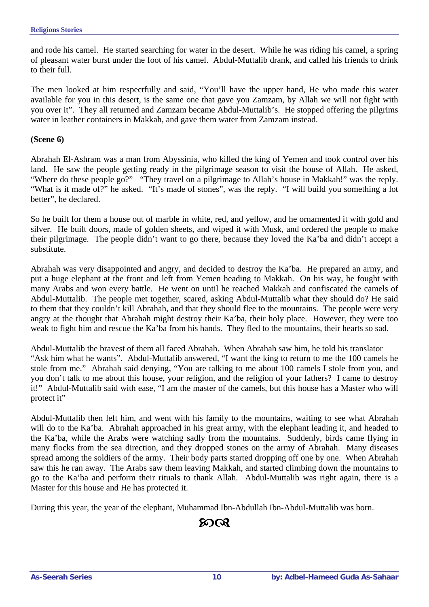and rode his camel. He started searching for water in the desert. While he was riding his camel, a spring of pleasant water burst under the foot of his camel. Abdul-Muttalib drank, and called his friends to drink to their full.

The men looked at him respectfully and said, "You'll have the upper hand, He who made this water available for you in this desert, is the same one that gave you Zamzam, by Allah we will not fight with you over it". They all returned and Zamzam became Abdul-Muttalib's. He stopped offering the pilgrims water in leather containers in Makkah, and gave them water from Zamzam instead.

#### **(Scene 6)**

Abrahah El-Ashram was a man from Abyssinia, who killed the king of Yemen and took control over his land. He saw the people getting ready in the pilgrimage season to visit the house of Allah. He asked, "Where do these people go?" "They travel on a pilgrimage to Allah's house in Makkah!" was the reply. "What is it made of?" he asked. "It's made of stones", was the reply. "I will build you something a lot better", he declared.

So he built for them a house out of marble in white, red, and yellow, and he ornamented it with gold and silver. He built doors, made of golden sheets, and wiped it with Musk, and ordered the people to make their pilgrimage. The people didn't want to go there, because they loved the Ka'ba and didn't accept a substitute.

Abrahah was very disappointed and angry, and decided to destroy the Ka'ba. He prepared an army, and put a huge elephant at the front and left from Yemen heading to Makkah. On his way, he fought with many Arabs and won every battle. He went on until he reached Makkah and confiscated the camels of Abdul-Muttalib. The people met together, scared, asking Abdul-Muttalib what they should do? He said to them that they couldn't kill Abrahah, and that they should flee to the mountains. The people were very angry at the thought that Abrahah might destroy their Ka'ba, their holy place. However, they were too weak to fight him and rescue the Ka'ba from his hands. They fled to the mountains, their hearts so sad.

Abdul-Muttalib the bravest of them all faced Abrahah. When Abrahah saw him, he told his translator "Ask him what he wants". Abdul-Muttalib answered, "I want the king to return to me the 100 camels he stole from me." Abrahah said denying, "You are talking to me about 100 camels I stole from you, and you don't talk to me about this house, your religion, and the religion of your fathers? I came to destroy it!" Abdul-Muttalib said with ease, "I am the master of the camels, but this house has a Master who will protect it"

Abdul-Muttalib then left him, and went with his family to the mountains, waiting to see what Abrahah will do to the Ka'ba. Abrahah approached in his great army, with the elephant leading it, and headed to the Ka'ba, while the Arabs were watching sadly from the mountains. Suddenly, birds came flying in many flocks from the sea direction, and they dropped stones on the army of Abrahah. Many diseases spread among the soldiers of the army. Their body parts started dropping off one by one. When Abrahah saw this he ran away. The Arabs saw them leaving Makkah, and started climbing down the mountains to go to the Ka'ba and perform their rituals to thank Allah. Abdul-Muttalib was right again, there is a Master for this house and He has protected it.

During this year, the year of the elephant, Muhammad Ibn-Abdullah Ibn-Abdul-Muttalib was born.

### $20<sup>2</sup>$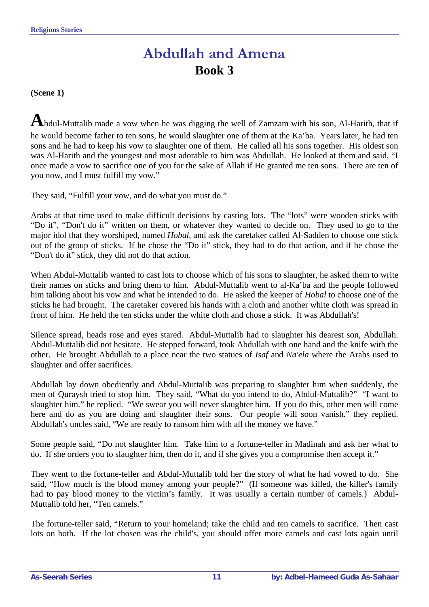### **Abdullah and Amena Book 3**

<span id="page-10-0"></span>**(Scene 1)** 

**A**bdul-Muttalib made a vow when he was digging the well of Zamzam with his son, Al-Harith, that if he would become father to ten sons, he would slaughter one of them at the Ka'ba. Years later, he had ten sons and he had to keep his vow to slaughter one of them. He called all his sons together. His oldest son was Al-Harith and the youngest and most adorable to him was Abdullah. He looked at them and said, "I once made a vow to sacrifice one of you for the sake of Allah if He granted me ten sons. There are ten of you now, and I must fulfill my vow."

They said, "Fulfill your vow, and do what you must do."

Arabs at that time used to make difficult decisions by casting lots. The "lots" were wooden sticks with "Do it", "Don't do it" written on them, or whatever they wanted to decide on. They used to go to the major idol that they worshiped, named *Hobal*, and ask the caretaker called Al-Sadden to choose one stick out of the group of sticks. If he chose the "Do it" stick, they had to do that action, and if he chose the "Don't do it" stick, they did not do that action.

When Abdul-Muttalib wanted to cast lots to choose which of his sons to slaughter, he asked them to write their names on sticks and bring them to him. Abdul-Muttalib went to al-Ka'ba and the people followed him talking about his vow and what he intended to do. He asked the keeper of *Hobal* to choose one of the sticks he had brought. The caretaker covered his hands with a cloth and another white cloth was spread in front of him. He held the ten sticks under the white cloth and chose a stick. It was Abdullah's!

Silence spread, heads rose and eyes stared. Abdul-Muttalib had to slaughter his dearest son, Abdullah. Abdul-Muttalib did not hesitate. He stepped forward, took Abdullah with one hand and the knife with the other. He brought Abdullah to a place near the two statues of *Isaf* and *Na'ela* where the Arabs used to slaughter and offer sacrifices.

Abdullah lay down obediently and Abdul-Muttalib was preparing to slaughter him when suddenly, the men of Quraysh tried to stop him. They said, "What do you intend to do, Abdul-Muttalib?" "I want to slaughter him." he replied. "We swear you will never slaughter him. If you do this, other men will come here and do as you are doing and slaughter their sons. Our people will soon vanish." they replied. Abdullah's uncles said, "We are ready to ransom him with all the money we have."

Some people said, "Do not slaughter him. Take him to a fortune-teller in Madinah and ask her what to do. If she orders you to slaughter him, then do it, and if she gives you a compromise then accept it."

They went to the fortune-teller and Abdul-Muttalib told her the story of what he had vowed to do. She said, "How much is the blood money among your people?" (If someone was killed, the killer's family had to pay blood money to the victim's family. It was usually a certain number of camels.) Abdul-Muttalib told her, "Ten camels."

The fortune-teller said, "Return to your homeland; take the child and ten camels to sacrifice. Then cast lots on both. If the lot chosen was the child's, you should offer more camels and cast lots again until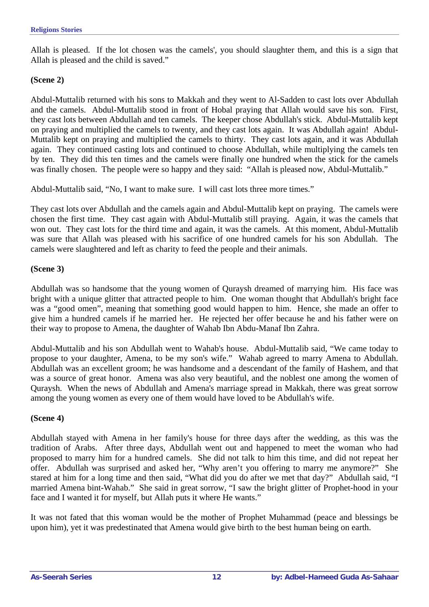Allah is pleased. If the lot chosen was the camels', you should slaughter them, and this is a sign that Allah is pleased and the child is saved."

#### **(Scene 2)**

Abdul-Muttalib returned with his sons to Makkah and they went to Al-Sadden to cast lots over Abdullah and the camels. Abdul-Muttalib stood in front of Hobal praying that Allah would save his son. First, they cast lots between Abdullah and ten camels. The keeper chose Abdullah's stick. Abdul-Muttalib kept on praying and multiplied the camels to twenty, and they cast lots again. It was Abdullah again! Abdul-Muttalib kept on praying and multiplied the camels to thirty. They cast lots again, and it was Abdullah again. They continued casting lots and continued to choose Abdullah, while multiplying the camels ten by ten. They did this ten times and the camels were finally one hundred when the stick for the camels was finally chosen. The people were so happy and they said: "Allah is pleased now, Abdul-Muttalib."

Abdul-Muttalib said, "No, I want to make sure. I will cast lots three more times."

They cast lots over Abdullah and the camels again and Abdul-Muttalib kept on praying. The camels were chosen the first time. They cast again with Abdul-Muttalib still praying. Again, it was the camels that won out. They cast lots for the third time and again, it was the camels. At this moment, Abdul-Muttalib was sure that Allah was pleased with his sacrifice of one hundred camels for his son Abdullah. The camels were slaughtered and left as charity to feed the people and their animals.

#### **(Scene 3)**

Abdullah was so handsome that the young women of Quraysh dreamed of marrying him. His face was bright with a unique glitter that attracted people to him. One woman thought that Abdullah's bright face was a "good omen", meaning that something good would happen to him. Hence, she made an offer to give him a hundred camels if he married her. He rejected her offer because he and his father were on their way to propose to Amena, the daughter of Wahab Ibn Abdu-Manaf Ibn Zahra.

Abdul-Muttalib and his son Abdullah went to Wahab's house. Abdul-Muttalib said, "We came today to propose to your daughter, Amena, to be my son's wife." Wahab agreed to marry Amena to Abdullah. Abdullah was an excellent groom; he was handsome and a descendant of the family of Hashem, and that was a source of great honor. Amena was also very beautiful, and the noblest one among the women of Quraysh. When the news of Abdullah and Amena's marriage spread in Makkah, there was great sorrow among the young women as every one of them would have loved to be Abdullah's wife.

#### **(Scene 4)**

Abdullah stayed with Amena in her family's house for three days after the wedding, as this was the tradition of Arabs. After three days, Abdullah went out and happened to meet the woman who had proposed to marry him for a hundred camels. She did not talk to him this time, and did not repeat her offer. Abdullah was surprised and asked her, "Why aren't you offering to marry me anymore?" She stared at him for a long time and then said, "What did you do after we met that day?" Abdullah said, "I married Amena bint-Wahab." She said in great sorrow, "I saw the bright glitter of Prophet-hood in your face and I wanted it for myself, but Allah puts it where He wants."

It was not fated that this woman would be the mother of Prophet Muhammad (peace and blessings be upon him), yet it was predestinated that Amena would give birth to the best human being on earth.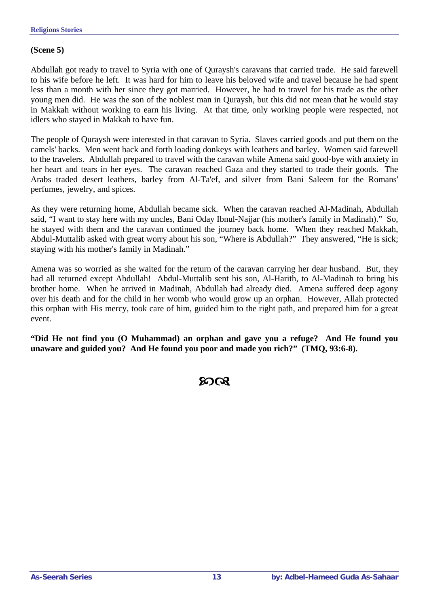#### **(Scene 5)**

Abdullah got ready to travel to Syria with one of Quraysh's caravans that carried trade. He said farewell to his wife before he left. It was hard for him to leave his beloved wife and travel because he had spent less than a month with her since they got married. However, he had to travel for his trade as the other young men did. He was the son of the noblest man in Quraysh, but this did not mean that he would stay in Makkah without working to earn his living. At that time, only working people were respected, not idlers who stayed in Makkah to have fun.

The people of Quraysh were interested in that caravan to Syria. Slaves carried goods and put them on the camels' backs. Men went back and forth loading donkeys with leathers and barley. Women said farewell to the travelers. Abdullah prepared to travel with the caravan while Amena said good-bye with anxiety in her heart and tears in her eyes. The caravan reached Gaza and they started to trade their goods. The Arabs traded desert leathers, barley from Al-Ta'ef, and silver from Bani Saleem for the Romans' perfumes, jewelry, and spices.

As they were returning home, Abdullah became sick. When the caravan reached Al-Madinah, Abdullah said, "I want to stay here with my uncles, Bani Oday Ibnul-Najjar (his mother's family in Madinah)." So, he stayed with them and the caravan continued the journey back home. When they reached Makkah, Abdul-Muttalib asked with great worry about his son, "Where is Abdullah?" They answered, "He is sick; staying with his mother's family in Madinah."

Amena was so worried as she waited for the return of the caravan carrying her dear husband. But, they had all returned except Abdullah! Abdul-Muttalib sent his son, Al-Harith, to Al-Madinah to bring his brother home. When he arrived in Madinah, Abdullah had already died. Amena suffered deep agony over his death and for the child in her womb who would grow up an orphan. However, Allah protected this orphan with His mercy, took care of him, guided him to the right path, and prepared him for a great event.

**"Did He not find you (O Muhammad) an orphan and gave you a refuge? And He found you unaware and guided you? And He found you poor and made you rich?" (TMQ, 93:6-8).** 

### YZ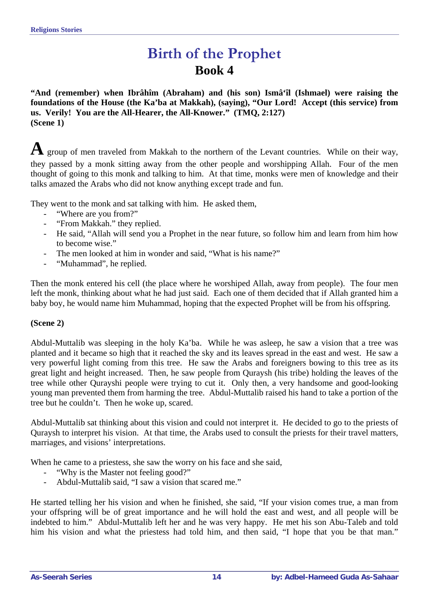### **Birth of the Prophet Book 4**

<span id="page-13-0"></span>**"And (remember) when Ibrâhîm (Abraham) and (his son) Ismâ'îl (Ishmael) were raising the foundations of the House (the Ka'ba at Makkah), (saying), "Our Lord! Accept (this service) from us. Verily! You are the All-Hearer, the All-Knower." (TMQ, 2:127) (Scene 1)** 

A group of men traveled from Makkah to the northern of the Levant countries. While on their way, they passed by a monk sitting away from the other people and worshipping Allah. Four of the men thought of going to this monk and talking to him. At that time, monks were men of knowledge and their talks amazed the Arabs who did not know anything except trade and fun.

They went to the monk and sat talking with him. He asked them,

- "Where are you from?"
- "From Makkah." they replied.
- He said, "Allah will send you a Prophet in the near future, so follow him and learn from him how to become wise."
- The men looked at him in wonder and said, "What is his name?"
- "Muhammad", he replied.

Then the monk entered his cell (the place where he worshiped Allah, away from people). The four men left the monk, thinking about what he had just said. Each one of them decided that if Allah granted him a baby boy, he would name him Muhammad, hoping that the expected Prophet will be from his offspring.

#### **(Scene 2)**

Abdul-Muttalib was sleeping in the holy Ka'ba. While he was asleep, he saw a vision that a tree was planted and it became so high that it reached the sky and its leaves spread in the east and west. He saw a very powerful light coming from this tree. He saw the Arabs and foreigners bowing to this tree as its great light and height increased. Then, he saw people from Quraysh (his tribe) holding the leaves of the tree while other Qurayshi people were trying to cut it. Only then, a very handsome and good-looking young man prevented them from harming the tree. Abdul-Muttalib raised his hand to take a portion of the tree but he couldn't. Then he woke up, scared.

Abdul-Muttalib sat thinking about this vision and could not interpret it. He decided to go to the priests of Quraysh to interpret his vision. At that time, the Arabs used to consult the priests for their travel matters, marriages, and visions' interpretations.

When he came to a priestess, she saw the worry on his face and she said,

- "Why is the Master not feeling good?"
- Abdul-Muttalib said, "I saw a vision that scared me."

He started telling her his vision and when he finished, she said, "If your vision comes true, a man from your offspring will be of great importance and he will hold the east and west, and all people will be indebted to him." Abdul-Muttalib left her and he was very happy. He met his son Abu-Taleb and told him his vision and what the priestess had told him, and then said, "I hope that you be that man."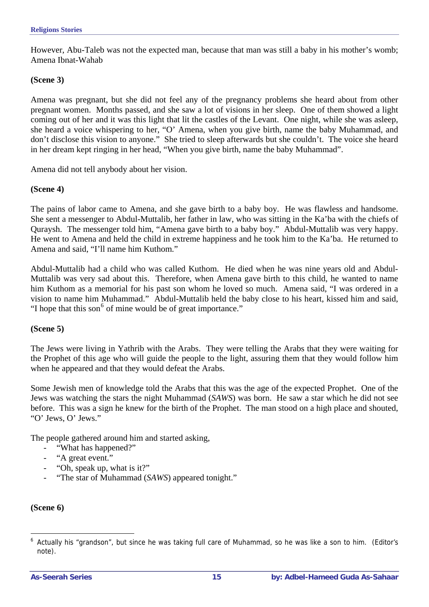However, Abu-Taleb was not the expected man, because that man was still a baby in his mother's womb; Amena Ibnat-Wahab

#### **(Scene 3)**

Amena was pregnant, but she did not feel any of the pregnancy problems she heard about from other pregnant women. Months passed, and she saw a lot of visions in her sleep. One of them showed a light coming out of her and it was this light that lit the castles of the Levant. One night, while she was asleep, she heard a voice whispering to her, "O' Amena, when you give birth, name the baby Muhammad, and don't disclose this vision to anyone." She tried to sleep afterwards but she couldn't. The voice she heard in her dream kept ringing in her head, "When you give birth, name the baby Muhammad".

Amena did not tell anybody about her vision.

#### **(Scene 4)**

The pains of labor came to Amena, and she gave birth to a baby boy. He was flawless and handsome. She sent a messenger to Abdul-Muttalib, her father in law, who was sitting in the Ka'ba with the chiefs of Quraysh. The messenger told him, "Amena gave birth to a baby boy." Abdul-Muttalib was very happy. He went to Amena and held the child in extreme happiness and he took him to the Ka'ba. He returned to Amena and said, "I'll name him Kuthom."

Abdul-Muttalib had a child who was called Kuthom. He died when he was nine years old and Abdul-Muttalib was very sad about this. Therefore, when Amena gave birth to this child, he wanted to name him Kuthom as a memorial for his past son whom he loved so much. Amena said, "I was ordered in a vision to name him Muhammad." Abdul-Muttalib held the baby close to his heart, kissed him and said, "I hope that this son $<sup>6</sup>$  $<sup>6</sup>$  $<sup>6</sup>$  of mine would be of great importance."</sup>

#### **(Scene 5)**

The Jews were living in Yathrib with the Arabs. They were telling the Arabs that they were waiting for the Prophet of this age who will guide the people to the light, assuring them that they would follow him when he appeared and that they would defeat the Arabs.

Some Jewish men of knowledge told the Arabs that this was the age of the expected Prophet. One of the Jews was watching the stars the night Muhammad (*SAWS*) was born. He saw a star which he did not see before. This was a sign he knew for the birth of the Prophet. The man stood on a high place and shouted, "O' Jews, O' Jews."

The people gathered around him and started asking,

- "What has happened?"
- "A great event."
- "Oh, speak up, what is it?"
- "The star of Muhammad (*SAWS*) appeared tonight."

#### **(Scene 6)**

<span id="page-14-0"></span> $\overline{a}$ <sup>6</sup> Actually his "grandson", but since he was taking full care of Muhammad, so he was like a son to him. (Editor's note).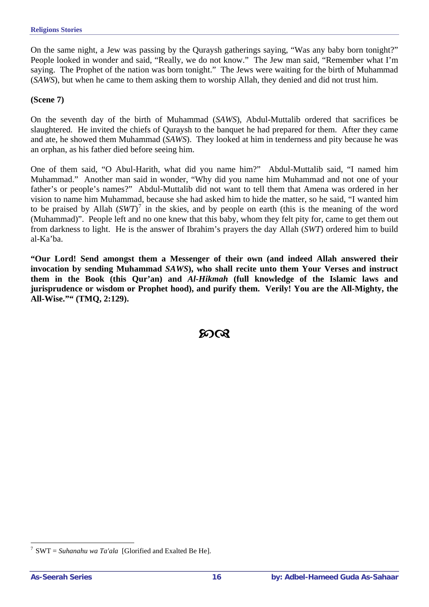On the same night, a Jew was passing by the Quraysh gatherings saying, "Was any baby born tonight?" People looked in wonder and said, "Really, we do not know." The Jew man said, "Remember what I'm saying. The Prophet of the nation was born tonight." The Jews were waiting for the birth of Muhammad (*SAWS*), but when he came to them asking them to worship Allah, they denied and did not trust him.

#### **(Scene 7)**

On the seventh day of the birth of Muhammad (*SAWS*), Abdul-Muttalib ordered that sacrifices be slaughtered. He invited the chiefs of Quraysh to the banquet he had prepared for them. After they came and ate, he showed them Muhammad (*SAWS*). They looked at him in tenderness and pity because he was an orphan, as his father died before seeing him.

One of them said, "O Abul-Harith, what did you name him?" Abdul-Muttalib said, "I named him Muhammad." Another man said in wonder, "Why did you name him Muhammad and not one of your father's or people's names?" Abdul-Muttalib did not want to tell them that Amena was ordered in her vision to name him Muhammad, because she had asked him to hide the matter, so he said, "I wanted him to be praised by Allah  $(SWT)^7$  $(SWT)^7$  in the skies, and by people on earth (this is the meaning of the word (Muhammad)". People left and no one knew that this baby, whom they felt pity for, came to get them out from darkness to light. He is the answer of Ibrahim's prayers the day Allah (*SWT*) ordered him to build al-Ka'ba.

**"Our Lord! Send amongst them a Messenger of their own (and indeed Allah answered their invocation by sending Muhammad** *SAWS***), who shall recite unto them Your Verses and instruct them in the Book (this Qur'an) and** *Al-Hikmah* **(full knowledge of the Islamic laws and jurisprudence or wisdom or Prophet hood), and purify them. Verily! You are the All-Mighty, the All-Wise."" (TMQ, 2:129).** 

YZ

 $\overline{a}$ 

<span id="page-15-0"></span><sup>&</sup>lt;sup>7</sup> SWT = *Suhanahu wa Ta'ala* [Glorified and Exalted Be He].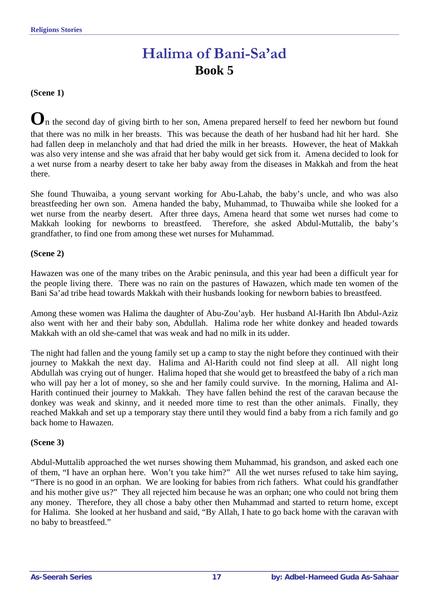### **Halima of Bani-Sa'ad Book 5**

#### <span id="page-16-0"></span>**(Scene 1)**

 $\mathbf{O}_n$  the second day of giving birth to her son, Amena prepared herself to feed her newborn but found that there was no milk in her breasts. This was because the death of her husband had hit her hard. She had fallen deep in melancholy and that had dried the milk in her breasts. However, the heat of Makkah was also very intense and she was afraid that her baby would get sick from it. Amena decided to look for a wet nurse from a nearby desert to take her baby away from the diseases in Makkah and from the heat there.

She found Thuwaiba, a young servant working for Abu-Lahab, the baby's uncle, and who was also breastfeeding her own son. Amena handed the baby, Muhammad, to Thuwaiba while she looked for a wet nurse from the nearby desert. After three days, Amena heard that some wet nurses had come to Makkah looking for newborns to breastfeed. Therefore, she asked Abdul-Muttalib, the baby's grandfather, to find one from among these wet nurses for Muhammad.

#### **(Scene 2)**

Hawazen was one of the many tribes on the Arabic peninsula, and this year had been a difficult year for the people living there. There was no rain on the pastures of Hawazen, which made ten women of the Bani Sa'ad tribe head towards Makkah with their husbands looking for newborn babies to breastfeed.

Among these women was Halima the daughter of Abu-Zou'ayb. Her husband Al-Harith Ibn Abdul-Aziz also went with her and their baby son, Abdullah. Halima rode her white donkey and headed towards Makkah with an old she-camel that was weak and had no milk in its udder.

The night had fallen and the young family set up a camp to stay the night before they continued with their journey to Makkah the next day. Halima and Al-Harith could not find sleep at all. All night long Abdullah was crying out of hunger. Halima hoped that she would get to breastfeed the baby of a rich man who will pay her a lot of money, so she and her family could survive. In the morning, Halima and Al-Harith continued their journey to Makkah. They have fallen behind the rest of the caravan because the donkey was weak and skinny, and it needed more time to rest than the other animals. Finally, they reached Makkah and set up a temporary stay there until they would find a baby from a rich family and go back home to Hawazen.

#### **(Scene 3)**

Abdul-Muttalib approached the wet nurses showing them Muhammad, his grandson, and asked each one of them, "I have an orphan here. Won't you take him?" All the wet nurses refused to take him saying, "There is no good in an orphan. We are looking for babies from rich fathers. What could his grandfather and his mother give us?" They all rejected him because he was an orphan; one who could not bring them any money. Therefore, they all chose a baby other then Muhammad and started to return home, except for Halima. She looked at her husband and said, "By Allah, I hate to go back home with the caravan with no baby to breastfeed."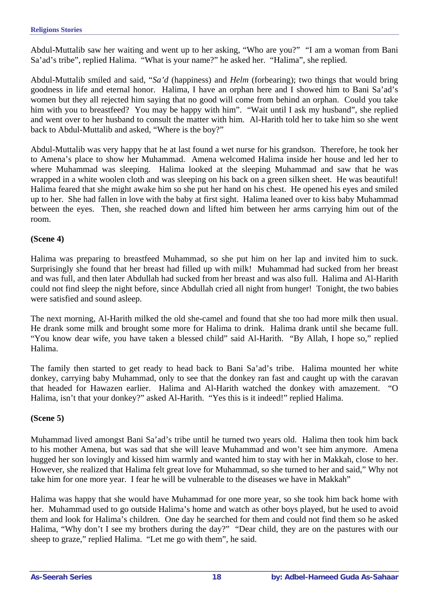Abdul-Muttalib saw her waiting and went up to her asking, "Who are you?" "I am a woman from Bani Sa'ad's tribe", replied Halima. "What is your name?" he asked her. "Halima", she replied.

Abdul-Muttalib smiled and said, "*Sa'd* (happiness) and *Helm* (forbearing); two things that would bring goodness in life and eternal honor. Halima, I have an orphan here and I showed him to Bani Sa'ad's women but they all rejected him saying that no good will come from behind an orphan. Could you take him with you to breastfeed? You may be happy with him". "Wait until I ask my husband", she replied and went over to her husband to consult the matter with him. Al-Harith told her to take him so she went back to Abdul-Muttalib and asked, "Where is the boy?"

Abdul-Muttalib was very happy that he at last found a wet nurse for his grandson. Therefore, he took her to Amena's place to show her Muhammad. Amena welcomed Halima inside her house and led her to where Muhammad was sleeping. Halima looked at the sleeping Muhammad and saw that he was wrapped in a white woolen cloth and was sleeping on his back on a green silken sheet. He was beautiful! Halima feared that she might awake him so she put her hand on his chest. He opened his eyes and smiled up to her. She had fallen in love with the baby at first sight. Halima leaned over to kiss baby Muhammad between the eyes. Then, she reached down and lifted him between her arms carrying him out of the room.

#### **(Scene 4)**

Halima was preparing to breastfeed Muhammad, so she put him on her lap and invited him to suck. Surprisingly she found that her breast had filled up with milk! Muhammad had sucked from her breast and was full, and then later Abdullah had sucked from her breast and was also full. Halima and Al-Harith could not find sleep the night before, since Abdullah cried all night from hunger! Tonight, the two babies were satisfied and sound asleep.

The next morning, Al-Harith milked the old she-camel and found that she too had more milk then usual. He drank some milk and brought some more for Halima to drink. Halima drank until she became full. "You know dear wife, you have taken a blessed child" said Al-Harith. "By Allah, I hope so," replied Halima.

The family then started to get ready to head back to Bani Sa'ad's tribe. Halima mounted her white donkey, carrying baby Muhammad, only to see that the donkey ran fast and caught up with the caravan that headed for Hawazen earlier. Halima and Al-Harith watched the donkey with amazement. "O Halima, isn't that your donkey?" asked Al-Harith. "Yes this is it indeed!" replied Halima.

#### **(Scene 5)**

Muhammad lived amongst Bani Sa'ad's tribe until he turned two years old. Halima then took him back to his mother Amena, but was sad that she will leave Muhammad and won't see him anymore. Amena hugged her son lovingly and kissed him warmly and wanted him to stay with her in Makkah, close to her. However, she realized that Halima felt great love for Muhammad, so she turned to her and said," Why not take him for one more year. I fear he will be vulnerable to the diseases we have in Makkah"

Halima was happy that she would have Muhammad for one more year, so she took him back home with her. Muhammad used to go outside Halima's home and watch as other boys played, but he used to avoid them and look for Halima's children. One day he searched for them and could not find them so he asked Halima, "Why don't I see my brothers during the day?" "Dear child, they are on the pastures with our sheep to graze," replied Halima. "Let me go with them", he said.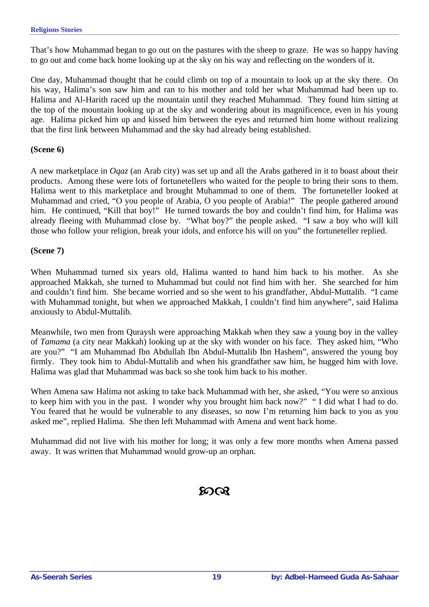That's how Muhammad began to go out on the pastures with the sheep to graze. He was so happy having to go out and come back home looking up at the sky on his way and reflecting on the wonders of it.

One day, Muhammad thought that he could climb on top of a mountain to look up at the sky there. On his way, Halima's son saw him and ran to his mother and told her what Muhammad had been up to. Halima and Al-Harith raced up the mountain until they reached Muhammad. They found him sitting at the top of the mountain looking up at the sky and wondering about its magnificence, even in his young age. Halima picked him up and kissed him between the eyes and returned him home without realizing that the first link between Muhammad and the sky had already being established.

#### **(Scene 6)**

A new marketplace in *Oqaz* (an Arab city) was set up and all the Arabs gathered in it to boast about their products. Among these were lots of fortunetellers who waited for the people to bring their sons to them. Halima went to this marketplace and brought Muhammad to one of them. The fortuneteller looked at Muhammad and cried, "O you people of Arabia, O you people of Arabia!" The people gathered around him. He continued, "Kill that boy!" He turned towards the boy and couldn't find him, for Halima was already fleeing with Muhammad close by. "What boy?" the people asked. "I saw a boy who will kill those who follow your religion, break your idols, and enforce his will on you" the fortuneteller replied.

#### **(Scene 7)**

When Muhammad turned six years old, Halima wanted to hand him back to his mother. As she approached Makkah, she turned to Muhammad but could not find him with her. She searched for him and couldn't find him. She became worried and so she went to his grandfather, Abdul-Muttalib. "I came with Muhammad tonight, but when we approached Makkah, I couldn't find him anywhere", said Halima anxiously to Abdul-Muttalib.

Meanwhile, two men from Quraysh were approaching Makkah when they saw a young boy in the valley of *Tamama* (a city near Makkah) looking up at the sky with wonder on his face. They asked him, "Who are you?" "I am Muhammad Ibn Abdullah Ibn Abdul-Muttalib Ibn Hashem", answered the young boy firmly. They took him to Abdul-Muttalib and when his grandfather saw him, he hugged him with love. Halima was glad that Muhammad was back so she took him back to his mother.

When Amena saw Halima not asking to take back Muhammad with her, she asked, "You were so anxious to keep him with you in the past. I wonder why you brought him back now?" " I did what I had to do. You feared that he would be vulnerable to any diseases, so now I'm returning him back to you as you asked me", replied Halima. She then left Muhammad with Amena and went back home.

Muhammad did not live with his mother for long; it was only a few more months when Amena passed away. It was written that Muhammad would grow-up an orphan.

### **ରେ**ଠା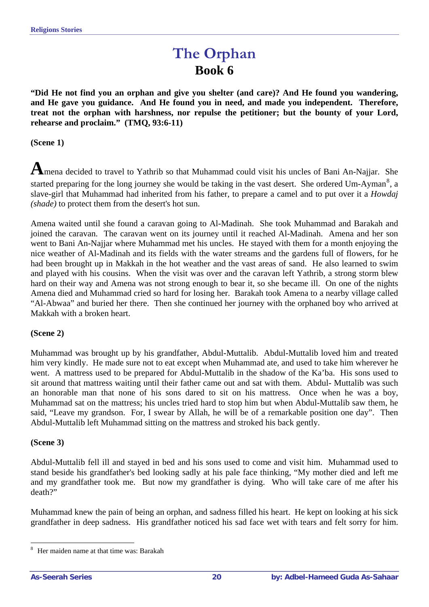### **The Orphan Book 6**

<span id="page-19-0"></span>**"Did He not find you an orphan and give you shelter (and care)? And He found you wandering, and He gave you guidance. And He found you in need, and made you independent. Therefore, treat not the orphan with harshness, nor repulse the petitioner; but the bounty of your Lord, rehearse and proclaim." (TMQ, 93:6-11)** 

**(Scene 1)**

A mena decided to travel to Yathrib so that Muhammad could visit his uncles of Bani An-Najjar. She started preparing for the long journey she would be taking in the vast desert. She ordered Um-Ayman<sup>[8](#page-19-1)</sup>, a slave-girl that Muhammad had inherited from his father, to prepare a camel and to put over it a *Howdaj (shade)* to protect them from the desert's hot sun.

Amena waited until she found a caravan going to Al-Madinah. She took Muhammad and Barakah and joined the caravan. The caravan went on its journey until it reached Al-Madinah. Amena and her son went to Bani An-Najjar where Muhammad met his uncles. He stayed with them for a month enjoying the nice weather of Al-Madinah and its fields with the water streams and the gardens full of flowers, for he had been brought up in Makkah in the hot weather and the vast areas of sand. He also learned to swim and played with his cousins. When the visit was over and the caravan left Yathrib, a strong storm blew hard on their way and Amena was not strong enough to bear it, so she became ill. On one of the nights Amena died and Muhammad cried so hard for losing her. Barakah took Amena to a nearby village called "Al-Abwaa" and buried her there. Then she continued her journey with the orphaned boy who arrived at Makkah with a broken heart.

#### **(Scene 2)**

Muhammad was brought up by his grandfather, Abdul-Muttalib. Abdul-Muttalib loved him and treated him very kindly. He made sure not to eat except when Muhammad ate, and used to take him wherever he went. A mattress used to be prepared for Abdul-Muttalib in the shadow of the Ka'ba. His sons used to sit around that mattress waiting until their father came out and sat with them. Abdul- Muttalib was such an honorable man that none of his sons dared to sit on his mattress. Once when he was a boy, Muhammad sat on the mattress; his uncles tried hard to stop him but when Abdul-Muttalib saw them, he said, "Leave my grandson. For, I swear by Allah, he will be of a remarkable position one day". Then Abdul-Muttalib left Muhammad sitting on the mattress and stroked his back gently.

#### **(Scene 3)**

 $\overline{a}$ 

Abdul-Muttalib fell ill and stayed in bed and his sons used to come and visit him. Muhammad used to stand beside his grandfather's bed looking sadly at his pale face thinking, "My mother died and left me and my grandfather took me. But now my grandfather is dying. Who will take care of me after his death?"

Muhammad knew the pain of being an orphan, and sadness filled his heart. He kept on looking at his sick grandfather in deep sadness. His grandfather noticed his sad face wet with tears and felt sorry for him.

<span id="page-19-1"></span><sup>8</sup> Her maiden name at that time was: Barakah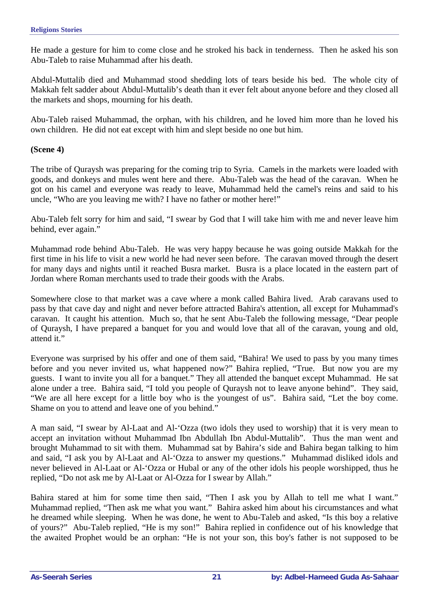He made a gesture for him to come close and he stroked his back in tenderness. Then he asked his son Abu-Taleb to raise Muhammad after his death.

Abdul-Muttalib died and Muhammad stood shedding lots of tears beside his bed. The whole city of Makkah felt sadder about Abdul-Muttalib's death than it ever felt about anyone before and they closed all the markets and shops, mourning for his death.

Abu-Taleb raised Muhammad, the orphan, with his children, and he loved him more than he loved his own children. He did not eat except with him and slept beside no one but him.

#### **(Scene 4)**

The tribe of Quraysh was preparing for the coming trip to Syria. Camels in the markets were loaded with goods, and donkeys and mules went here and there. Abu-Taleb was the head of the caravan. When he got on his camel and everyone was ready to leave, Muhammad held the camel's reins and said to his uncle, "Who are you leaving me with? I have no father or mother here!"

Abu-Taleb felt sorry for him and said, "I swear by God that I will take him with me and never leave him behind, ever again."

Muhammad rode behind Abu-Taleb. He was very happy because he was going outside Makkah for the first time in his life to visit a new world he had never seen before. The caravan moved through the desert for many days and nights until it reached Busra market. Busra is a place located in the eastern part of Jordan where Roman merchants used to trade their goods with the Arabs.

Somewhere close to that market was a cave where a monk called Bahira lived. Arab caravans used to pass by that cave day and night and never before attracted Bahira's attention, all except for Muhammad's caravan. It caught his attention. Much so, that he sent Abu-Taleb the following message, "Dear people of Quraysh, I have prepared a banquet for you and would love that all of the caravan, young and old, attend it."

Everyone was surprised by his offer and one of them said, "Bahira! We used to pass by you many times before and you never invited us, what happened now?" Bahira replied, "True. But now you are my guests. I want to invite you all for a banquet." They all attended the banquet except Muhammad. He sat alone under a tree. Bahira said, "I told you people of Quraysh not to leave anyone behind". They said, "We are all here except for a little boy who is the youngest of us". Bahira said, "Let the boy come. Shame on you to attend and leave one of you behind."

A man said, "I swear by Al-Laat and Al-'Ozza (two idols they used to worship) that it is very mean to accept an invitation without Muhammad Ibn Abdullah Ibn Abdul-Muttalib". Thus the man went and brought Muhammad to sit with them. Muhammad sat by Bahira's side and Bahira began talking to him and said, "I ask you by Al-Laat and Al-'Ozza to answer my questions." Muhammad disliked idols and never believed in Al-Laat or Al-'Ozza or Hubal or any of the other idols his people worshipped, thus he replied, "Do not ask me by Al-Laat or Al-Ozza for I swear by Allah."

Bahira stared at him for some time then said, "Then I ask you by Allah to tell me what I want." Muhammad replied, "Then ask me what you want." Bahira asked him about his circumstances and what he dreamed while sleeping. When he was done, he went to Abu-Taleb and asked, "Is this boy a relative of yours?" Abu-Taleb replied, "He is my son!" Bahira replied in confidence out of his knowledge that the awaited Prophet would be an orphan: "He is not your son, this boy's father is not supposed to be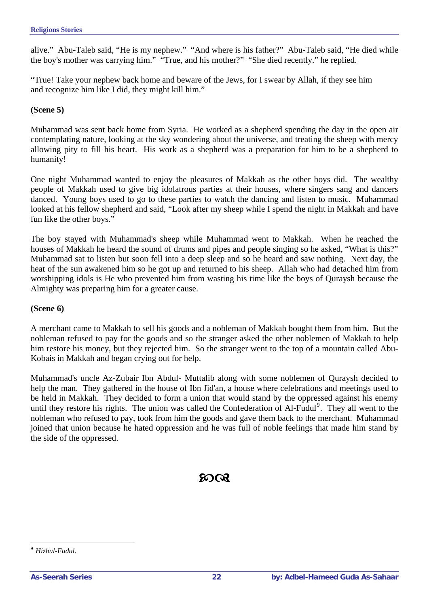alive." Abu-Taleb said, "He is my nephew." "And where is his father?" Abu-Taleb said, "He died while the boy's mother was carrying him." "True, and his mother?" "She died recently." he replied.

"True! Take your nephew back home and beware of the Jews, for I swear by Allah, if they see him and recognize him like I did, they might kill him."

#### **(Scene 5)**

Muhammad was sent back home from Syria. He worked as a shepherd spending the day in the open air contemplating nature, looking at the sky wondering about the universe, and treating the sheep with mercy allowing pity to fill his heart. His work as a shepherd was a preparation for him to be a shepherd to humanity!

One night Muhammad wanted to enjoy the pleasures of Makkah as the other boys did. The wealthy people of Makkah used to give big idolatrous parties at their houses, where singers sang and dancers danced. Young boys used to go to these parties to watch the dancing and listen to music. Muhammad looked at his fellow shepherd and said, "Look after my sheep while I spend the night in Makkah and have fun like the other boys."

The boy stayed with Muhammad's sheep while Muhammad went to Makkah. When he reached the houses of Makkah he heard the sound of drums and pipes and people singing so he asked, "What is this?" Muhammad sat to listen but soon fell into a deep sleep and so he heard and saw nothing. Next day, the heat of the sun awakened him so he got up and returned to his sheep. Allah who had detached him from worshipping idols is He who prevented him from wasting his time like the boys of Quraysh because the Almighty was preparing him for a greater cause.

#### **(Scene 6)**

A merchant came to Makkah to sell his goods and a nobleman of Makkah bought them from him. But the nobleman refused to pay for the goods and so the stranger asked the other noblemen of Makkah to help him restore his money, but they rejected him. So the stranger went to the top of a mountain called Abu-Kobais in Makkah and began crying out for help.

Muhammad's uncle Az-Zubair Ibn Abdul- Muttalib along with some noblemen of Quraysh decided to help the man. They gathered in the house of Ibn Jid'an, a house where celebrations and meetings used to be held in Makkah. They decided to form a union that would stand by the oppressed against his enemy until they restore his rights. The union was called the Confederation of Al-Fudul<sup>[9](#page-21-0)</sup>. They all went to the nobleman who refused to pay, took from him the goods and gave them back to the merchant. Muhammad joined that union because he hated oppression and he was full of noble feelings that made him stand by the side of the oppressed.

### ന്റെ

 $\overline{a}$ 

<span id="page-21-0"></span><sup>9</sup> *Hizbul-Fudul*.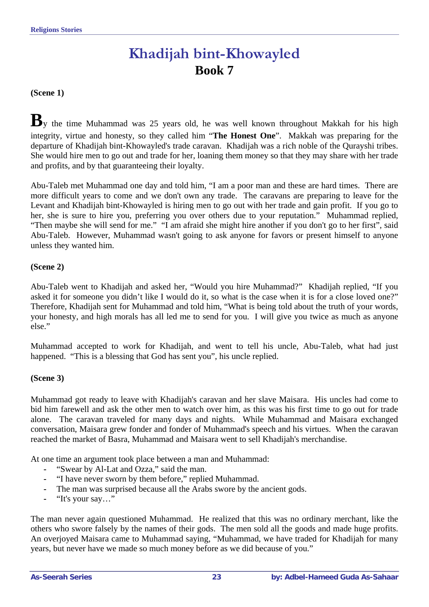# **Khadijah bint-Khowayled Book 7**

<span id="page-22-0"></span>**(Scene 1)** 

**B**y the time Muhammad was 25 years old, he was well known throughout Makkah for his high integrity, virtue and honesty, so they called him "**The Honest One**". Makkah was preparing for the departure of Khadijah bint-Khowayled's trade caravan. Khadijah was a rich noble of the Qurayshi tribes. She would hire men to go out and trade for her, loaning them money so that they may share with her trade and profits, and by that guaranteeing their loyalty.

Abu-Taleb met Muhammad one day and told him, "I am a poor man and these are hard times. There are more difficult years to come and we don't own any trade. The caravans are preparing to leave for the Levant and Khadijah bint-Khowayled is hiring men to go out with her trade and gain profit. If you go to her, she is sure to hire you, preferring you over others due to your reputation." Muhammad replied, "Then maybe she will send for me." "I am afraid she might hire another if you don't go to her first", said Abu-Taleb. However, Muhammad wasn't going to ask anyone for favors or present himself to anyone unless they wanted him.

#### **(Scene 2)**

Abu-Taleb went to Khadijah and asked her, "Would you hire Muhammad?" Khadijah replied, "If you asked it for someone you didn't like I would do it, so what is the case when it is for a close loved one?" Therefore, Khadijah sent for Muhammad and told him, "What is being told about the truth of your words, your honesty, and high morals has all led me to send for you. I will give you twice as much as anyone else."

Muhammad accepted to work for Khadijah, and went to tell his uncle, Abu-Taleb, what had just happened. "This is a blessing that God has sent you", his uncle replied.

#### **(Scene 3)**

Muhammad got ready to leave with Khadijah's caravan and her slave Maisara. His uncles had come to bid him farewell and ask the other men to watch over him, as this was his first time to go out for trade alone. The caravan traveled for many days and nights. While Muhammad and Maisara exchanged conversation, Maisara grew fonder and fonder of Muhammad's speech and his virtues. When the caravan reached the market of Basra, Muhammad and Maisara went to sell Khadijah's merchandise.

At one time an argument took place between a man and Muhammad:

- **-** "Swear by Al-Lat and Ozza," said the man.
- **-** "I have never sworn by them before," replied Muhammad.
- The man was surprised because all the Arabs swore by the ancient gods.
- **-** "It's your say…"

The man never again questioned Muhammad. He realized that this was no ordinary merchant, like the others who swore falsely by the names of their gods. The men sold all the goods and made huge profits. An overjoyed Maisara came to Muhammad saying, "Muhammad, we have traded for Khadijah for many years, but never have we made so much money before as we did because of you."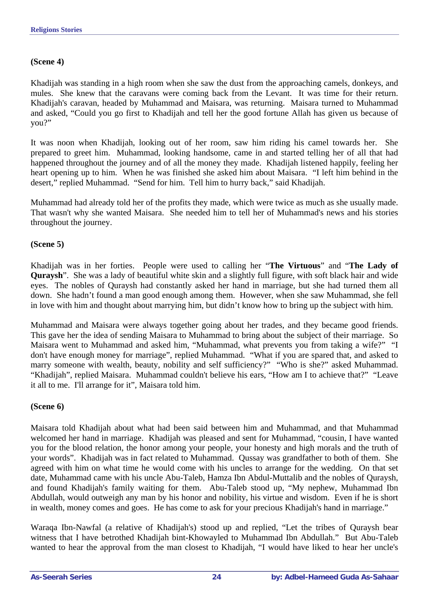#### **(Scene 4)**

Khadijah was standing in a high room when she saw the dust from the approaching camels, donkeys, and mules. She knew that the caravans were coming back from the Levant. It was time for their return. Khadijah's caravan, headed by Muhammad and Maisara, was returning. Maisara turned to Muhammad and asked, "Could you go first to Khadijah and tell her the good fortune Allah has given us because of you?"

It was noon when Khadijah, looking out of her room, saw him riding his camel towards her. She prepared to greet him. Muhammad, looking handsome, came in and started telling her of all that had happened throughout the journey and of all the money they made. Khadijah listened happily, feeling her heart opening up to him. When he was finished she asked him about Maisara. "I left him behind in the desert," replied Muhammad. "Send for him. Tell him to hurry back," said Khadijah.

Muhammad had already told her of the profits they made, which were twice as much as she usually made. That wasn't why she wanted Maisara. She needed him to tell her of Muhammad's news and his stories throughout the journey.

#### **(Scene 5)**

Khadijah was in her forties. People were used to calling her "**The Virtuous**" and "**The Lady of Quraysh**". She was a lady of beautiful white skin and a slightly full figure, with soft black hair and wide eyes. The nobles of Quraysh had constantly asked her hand in marriage, but she had turned them all down. She hadn't found a man good enough among them. However, when she saw Muhammad, she fell in love with him and thought about marrying him, but didn't know how to bring up the subject with him.

Muhammad and Maisara were always together going about her trades, and they became good friends. This gave her the idea of sending Maisara to Muhammad to bring about the subject of their marriage. So Maisara went to Muhammad and asked him, "Muhammad, what prevents you from taking a wife?" "I don't have enough money for marriage", replied Muhammad. "What if you are spared that, and asked to marry someone with wealth, beauty, nobility and self sufficiency?" "Who is she?" asked Muhammad. "Khadijah", replied Maisara. Muhammad couldn't believe his ears, "How am I to achieve that?" "Leave it all to me. I'll arrange for it", Maisara told him.

#### **(Scene 6)**

Maisara told Khadijah about what had been said between him and Muhammad, and that Muhammad welcomed her hand in marriage. Khadijah was pleased and sent for Muhammad, "cousin, I have wanted you for the blood relation, the honor among your people, your honesty and high morals and the truth of your words". Khadijah was in fact related to Muhammad. Qussay was grandfather to both of them. She agreed with him on what time he would come with his uncles to arrange for the wedding. On that set date, Muhammad came with his uncle Abu-Taleb, Hamza Ibn Abdul-Muttalib and the nobles of Quraysh, and found Khadijah's family waiting for them. Abu-Taleb stood up, "My nephew, Muhammad Ibn Abdullah, would outweigh any man by his honor and nobility, his virtue and wisdom. Even if he is short in wealth, money comes and goes. He has come to ask for your precious Khadijah's hand in marriage."

Waraqa Ibn-Nawfal (a relative of Khadijah's) stood up and replied, "Let the tribes of Quraysh bear witness that I have betrothed Khadijah bint-Khowayled to Muhammad Ibn Abdullah." But Abu-Taleb wanted to hear the approval from the man closest to Khadijah, "I would have liked to hear her uncle's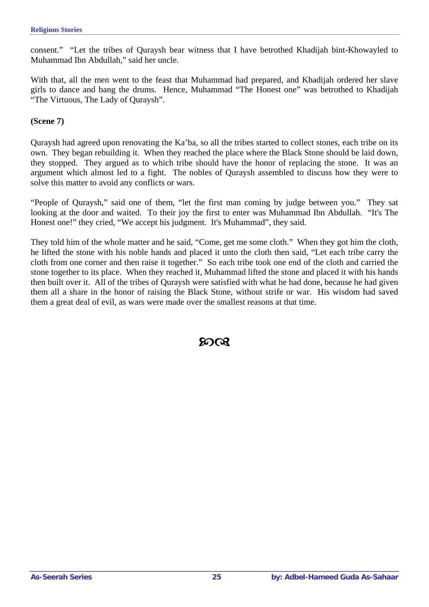consent." "Let the tribes of Quraysh bear witness that I have betrothed Khadijah bint-Khowayled to Muhammad Ibn Abdullah," said her uncle.

With that, all the men went to the feast that Muhammad had prepared, and Khadijah ordered her slave girls to dance and bang the drums. Hence, Muhammad "The Honest one" was betrothed to Khadijah "The Virtuous, The Lady of Quraysh".

**(Scene 7)** 

Quraysh had agreed upon renovating the Ka'ba, so all the tribes started to collect stones, each tribe on its own. They began rebuilding it. When they reached the place where the Black Stone should be laid down, they stopped. They argued as to which tribe should have the honor of replacing the stone. It was an argument which almost led to a fight. The nobles of Quraysh assembled to discuss how they were to solve this matter to avoid any conflicts or wars.

"People of Quraysh," said one of them, "let the first man coming by judge between you." They sat looking at the door and waited. To their joy the first to enter was Muhammad Ibn Abdullah. "It's The Honest one!" they cried, "We accept his judgment. It's Muhammad", they said.

They told him of the whole matter and he said, "Come, get me some cloth." When they got him the cloth, he lifted the stone with his noble hands and placed it unto the cloth then said, "Let each tribe carry the cloth from one corner and then raise it together." So each tribe took one end of the cloth and carried the stone together to its place. When they reached it, Muhammad lifted the stone and placed it with his hands then built over it. All of the tribes of Quraysh were satisfied with what he had done, because he had given them all a share in the honor of raising the Black Stone, without strife or war. His wisdom had saved them a great deal of evil, as wars were made over the smallest reasons at that time.

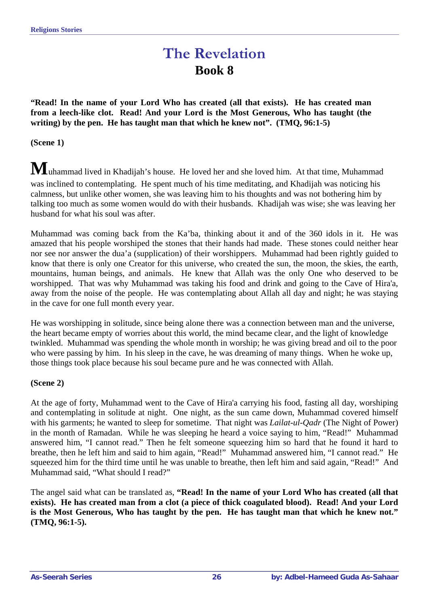### **The Revelation Book 8**

<span id="page-25-0"></span>**"Read! In the name of your Lord Who has created (all that exists). He has created man from a leech-like clot. Read! And your Lord is the Most Generous, Who has taught (the**  writing) by the pen. He has taught man that which he knew not". (TMQ, 96:1-5)

**(Scene 1)** 

**M**uhammad lived in Khadijah's house. He loved her and she loved him. At that time, Muhammad was inclined to contemplating. He spent much of his time meditating, and Khadijah was noticing his calmness, but unlike other women, she was leaving him to his thoughts and was not bothering him by talking too much as some women would do with their husbands. Khadijah was wise; she was leaving her husband for what his soul was after.

Muhammad was coming back from the Ka'ba, thinking about it and of the 360 idols in it. He was amazed that his people worshiped the stones that their hands had made. These stones could neither hear nor see nor answer the dua'a (supplication) of their worshippers. Muhammad had been rightly guided to know that there is only one Creator for this universe, who created the sun, the moon, the skies, the earth, mountains, human beings, and animals. He knew that Allah was the only One who deserved to be worshipped. That was why Muhammad was taking his food and drink and going to the Cave of Hira'a, away from the noise of the people. He was contemplating about Allah all day and night; he was staying in the cave for one full month every year.

He was worshipping in solitude, since being alone there was a connection between man and the universe, the heart became empty of worries about this world, the mind became clear, and the light of knowledge twinkled. Muhammad was spending the whole month in worship; he was giving bread and oil to the poor who were passing by him. In his sleep in the cave, he was dreaming of many things. When he woke up, those things took place because his soul became pure and he was connected with Allah.

#### **(Scene 2)**

At the age of forty, Muhammad went to the Cave of Hira'a carrying his food, fasting all day, worshiping and contemplating in solitude at night. One night, as the sun came down, Muhammad covered himself with his garments; he wanted to sleep for sometime. That night was *Lailat-ul-Qadr* (The Night of Power) in the month of Ramadan. While he was sleeping he heard a voice saying to him, "Read!" Muhammad answered him, "I cannot read." Then he felt someone squeezing him so hard that he found it hard to breathe, then he left him and said to him again, "Read!" Muhammad answered him, "I cannot read." He squeezed him for the third time until he was unable to breathe, then left him and said again, "Read!" And Muhammad said, "What should I read?"

The angel said what can be translated as, **"Read! In the name of your Lord Who has created (all that exists). He has created man from a clot (a piece of thick coagulated blood). Read! And your Lord is the Most Generous, Who has taught by the pen. He has taught man that which he knew not." (TMQ, 96:1-5).**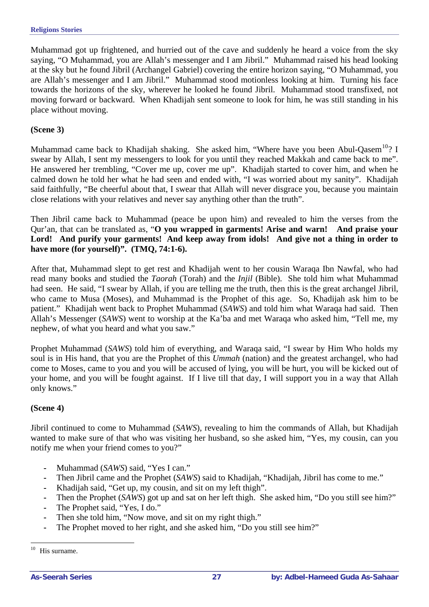Muhammad got up frightened, and hurried out of the cave and suddenly he heard a voice from the sky saying, "O Muhammad, you are Allah's messenger and I am Jibril." Muhammad raised his head looking at the sky but he found Jibril (Archangel Gabriel) covering the entire horizon saying, "O Muhammad, you are Allah's messenger and I am Jibril." Muhammad stood motionless looking at him. Turning his face towards the horizons of the sky, wherever he looked he found Jibril. Muhammad stood transfixed, not moving forward or backward. When Khadijah sent someone to look for him, he was still standing in his place without moving.

#### **(Scene 3)**

Muhammad came back to Khadijah shaking. She asked him, "Where have you been Abul-Qasem<sup>[10](#page-26-0)</sup>? I swear by Allah, I sent my messengers to look for you until they reached Makkah and came back to me". He answered her trembling, "Cover me up, cover me up". Khadijah started to cover him, and when he calmed down he told her what he had seen and ended with, "I was worried about my sanity". Khadijah said faithfully, "Be cheerful about that, I swear that Allah will never disgrace you, because you maintain close relations with your relatives and never say anything other than the truth".

Then Jibril came back to Muhammad (peace be upon him) and revealed to him the verses from the Qur'an, that can be translated as, "**O you wrapped in garments! Arise and warn! And praise your Lord! And purify your garments! And keep away from idols! And give not a thing in order to have more (for yourself)". (TMQ, 74:1-6).** 

After that, Muhammad slept to get rest and Khadijah went to her cousin Waraqa Ibn Nawfal, who had read many books and studied the *Taorah* (Torah) and the *Injil* (Bible). She told him what Muhammad had seen. He said, "I swear by Allah, if you are telling me the truth, then this is the great archangel Jibril, who came to Musa (Moses), and Muhammad is the Prophet of this age. So, Khadijah ask him to be patient." Khadijah went back to Prophet Muhammad (*SAWS*) and told him what Waraqa had said. Then Allah's Messenger (*SAWS*) went to worship at the Ka'ba and met Waraqa who asked him, "Tell me, my nephew, of what you heard and what you saw."

Prophet Muhammad (*SAWS*) told him of everything, and Waraqa said, "I swear by Him Who holds my soul is in His hand, that you are the Prophet of this *Ummah* (nation) and the greatest archangel*,* who had come to Moses, came to you and you will be accused of lying, you will be hurt, you will be kicked out of your home, and you will be fought against. If I live till that day, I will support you in a way that Allah only knows."

#### **(Scene 4)**

Jibril continued to come to Muhammad (*SAWS*), revealing to him the commands of Allah, but Khadijah wanted to make sure of that who was visiting her husband, so she asked him, "Yes, my cousin, can you notify me when your friend comes to you?"

- **-** Muhammad (*SAWS*) said, "Yes I can."
- **-** Then Jibril came and the Prophet (*SAWS*) said to Khadijah, "Khadijah, Jibril has come to me."
- **-** Khadijah said, "Get up, my cousin, and sit on my left thigh".
- **-** Then the Prophet (*SAWS*) got up and sat on her left thigh. She asked him, "Do you still see him?"
- **-** The Prophet said, "Yes, I do."
- Then she told him, "Now move, and sit on my right thigh."
- **-** The Prophet moved to her right, and she asked him, "Do you still see him?"

<span id="page-26-0"></span><sup>10</sup> His surname.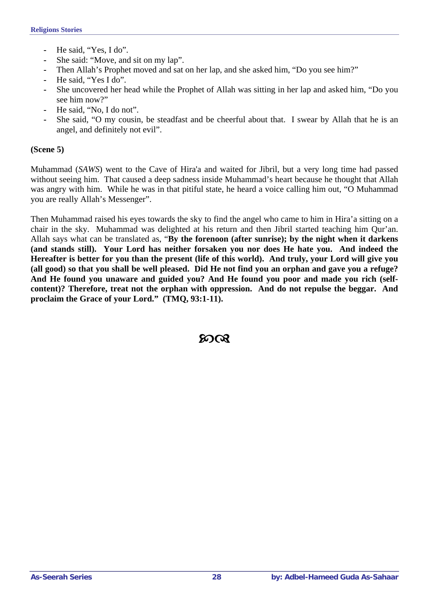- **-** He said, "Yes, I do".
- She said: "Move, and sit on my lap".
- **-** Then Allah's Prophet moved and sat on her lap, and she asked him, "Do you see him?"
- **-** He said, "Yes I do".
- **-** She uncovered her head while the Prophet of Allah was sitting in her lap and asked him, "Do you see him now?"
- He said, "No, I do not".
- She said, "O my cousin, be steadfast and be cheerful about that. I swear by Allah that he is an angel, and definitely not evil".

#### **(Scene 5)**

Muhammad (*SAWS*) went to the Cave of Hira'a and waited for Jibril, but a very long time had passed without seeing him. That caused a deep sadness inside Muhammad's heart because he thought that Allah was angry with him. While he was in that pitiful state, he heard a voice calling him out, "O Muhammad you are really Allah's Messenger".

Then Muhammad raised his eyes towards the sky to find the angel who came to him in Hira'a sitting on a chair in the sky. Muhammad was delighted at his return and then Jibril started teaching him Qur'an. Allah says what can be translated as, "**By the forenoon (after sunrise); by the night when it darkens (and stands still). Your Lord has neither forsaken you nor does He hate you. And indeed the Hereafter is better for you than the present (life of this world). And truly, your Lord will give you (all good) so that you shall be well pleased. Did He not find you an orphan and gave you a refuge? And He found you unaware and guided you? And He found you poor and made you rich (selfcontent)? Therefore, treat not the orphan with oppression. And do not repulse the beggar. And proclaim the Grace of your Lord." (TMQ, 93:1-11).**

ନ୍ଦେର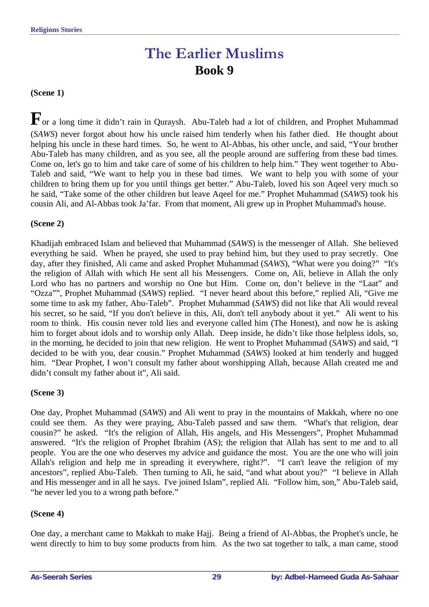### **The Earlier Muslims Book 9**

#### <span id="page-28-0"></span>**(Scene 1)**

**F**or a long time it didn't rain in Quraysh. Abu-Taleb had a lot of children, and Prophet Muhammad (*SAWS*) never forgot about how his uncle raised him tenderly when his father died. He thought about helping his uncle in these hard times. So, he went to Al-Abbas, his other uncle, and said, "Your brother Abu-Taleb has many children, and as you see, all the people around are suffering from these bad times. Come on, let's go to him and take care of some of his children to help him." They went together to Abu-Taleb and said, "We want to help you in these bad times. We want to help you with some of your children to bring them up for you until things get better." Abu-Taleb, loved his son Aqeel very much so he said, "Take some of the other children but leave Aqeel for me." Prophet Muhammad (*SAWS*) took his cousin Ali, and Al-Abbas took Ja'far. From that moment, Ali grew up in Prophet Muhammad's house.

#### **(Scene 2)**

Khadijah embraced Islam and believed that Muhammad (*SAWS*) is the messenger of Allah. She believed everything he said. When he prayed, she used to pray behind him, but they used to pray secretly. One day, after they finished, Ali came and asked Prophet Muhammad (*SAWS*), "What were you doing?" "It's the religion of Allah with which He sent all his Messengers. Come on, Ali, believe in Allah the only Lord who has no partners and worship no One but Him. Come on, don't believe in the "Laat" and "Ozza"", Prophet Muhammad (*SAWS*) replied. "I never heard about this before," replied Ali, "Give me some time to ask my father, Abu-Taleb". Prophet Muhammad (*SAWS*) did not like that Ali would reveal his secret, so he said, "If you don't believe in this, Ali, don't tell anybody about it yet." Ali went to his room to think. His cousin never told lies and everyone called him (The Honest), and now he is asking him to forget about idols and to worship only Allah. Deep inside, he didn't like those helpless idols, so, in the morning, he decided to join that new religion. He went to Prophet Muhammad (*SAWS*) and said, "I decided to be with you, dear cousin." Prophet Muhammad (*SAWS*) looked at him tenderly and hugged him. "Dear Prophet, I won't consult my father about worshipping Allah, because Allah created me and didn't consult my father about it", Ali said.

#### **(Scene 3)**

One day, Prophet Muhammad (*SAWS*) and Ali went to pray in the mountains of Makkah, where no one could see them. As they were praying, Abu-Taleb passed and saw them. "What's that religion, dear cousin?" he asked. "It's the religion of Allah, His angels, and His Messengers", Prophet Muhammad answered. "It's the religion of Prophet Ibrahim (AS); the religion that Allah has sent to me and to all people. You are the one who deserves my advice and guidance the most. You are the one who will join Allah's religion and help me in spreading it everywhere, right?". "I can't leave the religion of my ancestors", replied Abu-Taleb. Then turning to Ali, he said, "and what about you?" "I believe in Allah and His messenger and in all he says. I've joined Islam", replied Ali. "Follow him, son," Abu-Taleb said, "he never led you to a wrong path before."

#### **(Scene 4)**

One day, a merchant came to Makkah to make Hajj. Being a friend of Al-Abbas, the Prophet's uncle, he went directly to him to buy some products from him. As the two sat together to talk, a man came, stood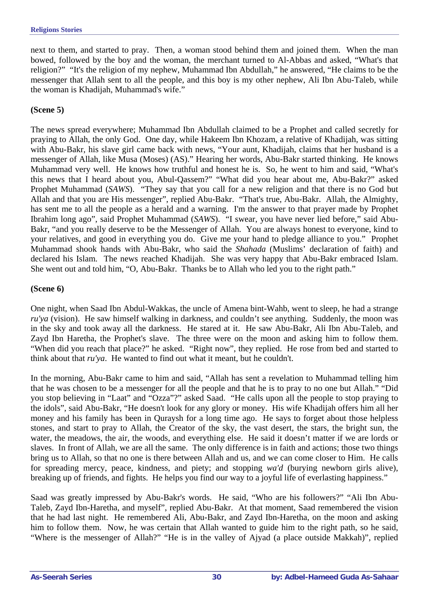next to them, and started to pray. Then, a woman stood behind them and joined them. When the man bowed, followed by the boy and the woman, the merchant turned to Al-Abbas and asked, "What's that religion?" "It's the religion of my nephew, Muhammad Ibn Abdullah," he answered, "He claims to be the messenger that Allah sent to all the people, and this boy is my other nephew, Ali Ibn Abu-Taleb, while the woman is Khadijah, Muhammad's wife."

#### **(Scene 5)**

The news spread everywhere; Muhammad Ibn Abdullah claimed to be a Prophet and called secretly for praying to Allah, the only God. One day, while Hakeem Ibn Khozam, a relative of Khadijah, was sitting with Abu-Bakr, his slave girl came back with news, "Your aunt, Khadijah, claims that her husband is a messenger of Allah, like Musa (Moses) (AS)." Hearing her words, Abu-Bakr started thinking. He knows Muhammad very well. He knows how truthful and honest he is. So, he went to him and said, "What's this news that I heard about you, Abul-Qassem?" "What did you hear about me, Abu-Bakr?" asked Prophet Muhammad (*SAWS*). "They say that you call for a new religion and that there is no God but Allah and that you are His messenger", replied Abu-Bakr. "That's true, Abu-Bakr. Allah, the Almighty, has sent me to all the people as a herald and a warning. I'm the answer to that prayer made by Prophet Ibrahim long ago", said Prophet Muhammad (*SAWS*). "I swear, you have never lied before," said Abu-Bakr, "and you really deserve to be the Messenger of Allah. You are always honest to everyone, kind to your relatives, and good in everything you do. Give me your hand to pledge alliance to you." Prophet Muhammad shook hands with Abu-Bakr, who said the *Shahada* (Muslims' declaration of faith) and declared his Islam. The news reached Khadijah. She was very happy that Abu-Bakr embraced Islam. She went out and told him, "O, Abu-Bakr. Thanks be to Allah who led you to the right path."

#### **(Scene 6)**

One night, when Saad Ibn Abdul-Wakkas, the uncle of Amena bint-Wahb, went to sleep, he had a strange *ru'ya* (vision). He saw himself walking in darkness, and couldn't see anything. Suddenly, the moon was in the sky and took away all the darkness. He stared at it. He saw Abu-Bakr, Ali Ibn Abu-Taleb, and Zayd Ibn Haretha, the Prophet's slave. The three were on the moon and asking him to follow them. "When did you reach that place?" he asked. "Right now", they replied. He rose from bed and started to think about that *ru'ya*. He wanted to find out what it meant, but he couldn't.

In the morning, Abu-Bakr came to him and said, "Allah has sent a revelation to Muhammad telling him that he was chosen to be a messenger for all the people and that he is to pray to no one but Allah." "Did you stop believing in "Laat" and "Ozza"?" asked Saad. "He calls upon all the people to stop praying to the idols", said Abu-Bakr, "He doesn't look for any glory or money. His wife Khadijah offers him all her money and his family has been in Quraysh for a long time ago. He says to forget about those helpless stones, and start to pray to Allah, the Creator of the sky, the vast desert, the stars, the bright sun, the water, the meadows, the air, the woods, and everything else. He said it doesn't matter if we are lords or slaves. In front of Allah, we are all the same. The only difference is in faith and actions; those two things bring us to Allah, so that no one is there between Allah and us, and we can come closer to Him. He calls for spreading mercy, peace, kindness, and piety; and stopping *wa'd* (burying newborn girls alive), breaking up of friends, and fights. He helps you find our way to a joyful life of everlasting happiness."

Saad was greatly impressed by Abu-Bakr's words. He said, "Who are his followers?" "Ali Ibn Abu-Taleb, Zayd Ibn-Haretha, and myself", replied Abu-Bakr. At that moment, Saad remembered the vision that he had last night. He remembered Ali, Abu-Bakr, and Zayd Ibn-Haretha, on the moon and asking him to follow them. Now, he was certain that Allah wanted to guide him to the right path, so he said, "Where is the messenger of Allah?" "He is in the valley of Ajyad (a place outside Makkah)", replied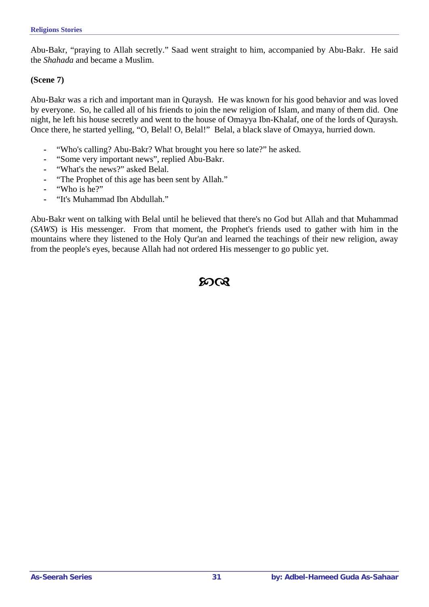Abu-Bakr, "praying to Allah secretly." Saad went straight to him, accompanied by Abu-Bakr. He said the *Shahada* and became a Muslim.

#### **(Scene 7)**

Abu-Bakr was a rich and important man in Quraysh. He was known for his good behavior and was loved by everyone. So, he called all of his friends to join the new religion of Islam, and many of them did. One night, he left his house secretly and went to the house of Omayya Ibn-Khalaf, one of the lords of Quraysh. Once there, he started yelling, "O, Belal! O, Belal!" Belal, a black slave of Omayya, hurried down.

- **-** "Who's calling? Abu-Bakr? What brought you here so late?" he asked.
- **-** "Some very important news", replied Abu-Bakr.
- **-** "What's the news?" asked Belal.
- **-** "The Prophet of this age has been sent by Allah."
- **-** "Who is he?"
- **-** "It's Muhammad Ibn Abdullah."

Abu-Bakr went on talking with Belal until he believed that there's no God but Allah and that Muhammad (*SAWS*) is His messenger. From that moment, the Prophet's friends used to gather with him in the mountains where they listened to the Holy Qur'an and learned the teachings of their new religion, away from the people's eyes, because Allah had not ordered His messenger to go public yet.

ന്റെ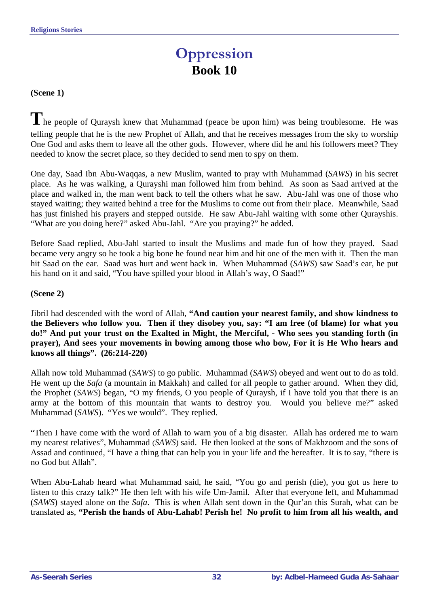# **Oppression Book 10**

#### <span id="page-31-0"></span>**(Scene 1)**

The people of Quraysh knew that Muhammad (peace be upon him) was being troublesome. He was telling people that he is the new Prophet of Allah, and that he receives messages from the sky to worship One God and asks them to leave all the other gods. However, where did he and his followers meet? They needed to know the secret place, so they decided to send men to spy on them.

One day, Saad Ibn Abu-Waqqas, a new Muslim, wanted to pray with Muhammad (*SAWS*) in his secret place. As he was walking, a Qurayshi man followed him from behind. As soon as Saad arrived at the place and walked in, the man went back to tell the others what he saw. Abu-Jahl was one of those who stayed waiting; they waited behind a tree for the Muslims to come out from their place. Meanwhile, Saad has just finished his prayers and stepped outside. He saw Abu-Jahl waiting with some other Qurayshis. "What are you doing here?" asked Abu-Jahl. "Are you praying?" he added.

Before Saad replied, Abu-Jahl started to insult the Muslims and made fun of how they prayed. Saad became very angry so he took a big bone he found near him and hit one of the men with it. Then the man hit Saad on the ear. Saad was hurt and went back in. When Muhammad (*SAWS*) saw Saad's ear, he put his hand on it and said, "You have spilled your blood in Allah's way, O Saad!"

#### **(Scene 2)**

Jibril had descended with the word of Allah, **"And caution your nearest family, and show kindness to the Believers who follow you. Then if they disobey you, say: "I am free (of blame) for what you do!" And put your trust on the Exalted in Might, the Merciful, - Who sees you standing forth (in prayer), And sees your movements in bowing among those who bow, For it is He Who hears and knows all things". (26:214-220)** 

Allah now told Muhammad (*SAWS*) to go public. Muhammad (*SAWS*) obeyed and went out to do as told. He went up the *Safa* (a mountain in Makkah) and called for all people to gather around. When they did, the Prophet (*SAWS*) began, "O my friends, O you people of Quraysh, if I have told you that there is an army at the bottom of this mountain that wants to destroy you. Would you believe me?" asked Muhammad (*SAWS*). "Yes we would". They replied.

"Then I have come with the word of Allah to warn you of a big disaster. Allah has ordered me to warn my nearest relatives", Muhammad (*SAWS*) said. He then looked at the sons of Makhzoom and the sons of Assad and continued, "I have a thing that can help you in your life and the hereafter. It is to say, "there is no God but Allah".

When Abu-Lahab heard what Muhammad said, he said, "You go and perish (die), you got us here to listen to this crazy talk?" He then left with his wife Um-Jamil. After that everyone left, and Muhammad (*SAWS*) stayed alone on the *Safa*. This is when Allah sent down in the Qur'an this Surah, what can be translated as, **"Perish the hands of Abu-Lahab! Perish he! No profit to him from all his wealth, and**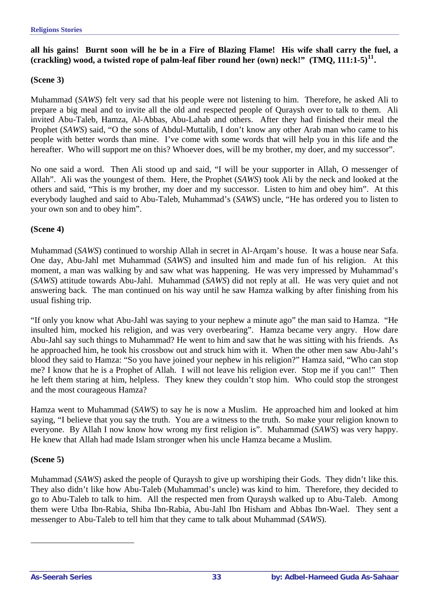**all his gains! Burnt soon will he be in a Fire of Blazing Flame! His wife shall carry the fuel, a (crackling) wood, a twisted rope of palm-leaf fiber round her (own) neck!" (TMQ, 111:1-5)[11](#page-32-0).** 

#### **(Scene 3)**

Muhammad (*SAWS*) felt very sad that his people were not listening to him. Therefore, he asked Ali to prepare a big meal and to invite all the old and respected people of Quraysh over to talk to them. Ali invited Abu-Taleb, Hamza, Al-Abbas, Abu-Lahab and others. After they had finished their meal the Prophet (*SAWS*) said, "O the sons of Abdul-Muttalib, I don't know any other Arab man who came to his people with better words than mine. I've come with some words that will help you in this life and the hereafter. Who will support me on this? Whoever does, will be my brother, my doer, and my successor".

No one said a word. Then Ali stood up and said, "I will be your supporter in Allah, O messenger of Allah". Ali was the youngest of them. Here, the Prophet (*SAWS*) took Ali by the neck and looked at the others and said, "This is my brother, my doer and my successor. Listen to him and obey him". At this everybody laughed and said to Abu-Taleb, Muhammad's (*SAWS*) uncle, "He has ordered you to listen to your own son and to obey him".

#### **(Scene 4)**

Muhammad (*SAWS*) continued to worship Allah in secret in Al-Arqam's house. It was a house near Safa. One day, Abu-Jahl met Muhammad (*SAWS*) and insulted him and made fun of his religion. At this moment, a man was walking by and saw what was happening. He was very impressed by Muhammad's (*SAWS*) attitude towards Abu-Jahl. Muhammad (*SAWS*) did not reply at all. He was very quiet and not answering back. The man continued on his way until he saw Hamza walking by after finishing from his usual fishing trip.

"If only you know what Abu-Jahl was saying to your nephew a minute ago" the man said to Hamza. "He insulted him, mocked his religion, and was very overbearing". Hamza became very angry. How dare Abu-Jahl say such things to Muhammad? He went to him and saw that he was sitting with his friends. As he approached him, he took his crossbow out and struck him with it. When the other men saw Abu-Jahl's blood they said to Hamza: "So you have joined your nephew in his religion?" Hamza said, "Who can stop me? I know that he is a Prophet of Allah. I will not leave his religion ever. Stop me if you can!" Then he left them staring at him, helpless. They knew they couldn't stop him. Who could stop the strongest and the most courageous Hamza?

Hamza went to Muhammad (*SAWS*) to say he is now a Muslim. He approached him and looked at him saying, "I believe that you say the truth. You are a witness to the truth. So make your religion known to everyone. By Allah I now know how wrong my first religion is". Muhammad (*SAWS*) was very happy. He knew that Allah had made Islam stronger when his uncle Hamza became a Muslim.

#### **(Scene 5)**

<span id="page-32-0"></span> $\overline{a}$ 

Muhammad (*SAWS*) asked the people of Quraysh to give up worshiping their Gods. They didn't like this. They also didn't like how Abu-Taleb (Muhammad's uncle) was kind to him. Therefore, they decided to go to Abu-Taleb to talk to him. All the respected men from Quraysh walked up to Abu-Taleb. Among them were Utba Ibn-Rabia, Shiba Ibn-Rabia, Abu-Jahl Ibn Hisham and Abbas Ibn-Wael. They sent a messenger to Abu-Taleb to tell him that they came to talk about Muhammad (*SAWS*).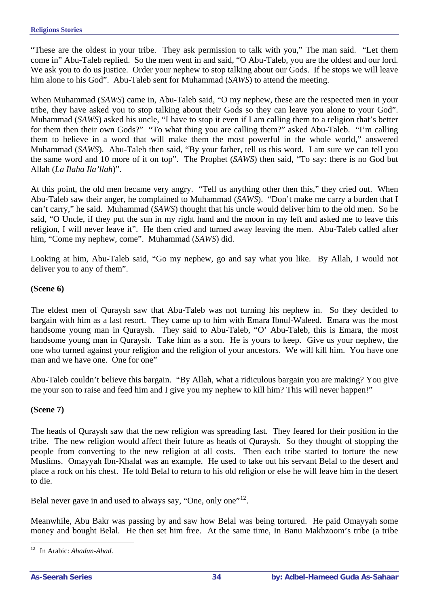"These are the oldest in your tribe. They ask permission to talk with you," The man said. "Let them come in" Abu-Taleb replied. So the men went in and said, "O Abu-Taleb, you are the oldest and our lord. We ask you to do us justice. Order your nephew to stop talking about our Gods. If he stops we will leave him alone to his God". Abu-Taleb sent for Muhammad (*SAWS*) to attend the meeting.

When Muhammad (*SAWS*) came in, Abu-Taleb said, "O my nephew, these are the respected men in your tribe, they have asked you to stop talking about their Gods so they can leave you alone to your God". Muhammad (*SAWS*) asked his uncle, "I have to stop it even if I am calling them to a religion that's better for them then their own Gods?" "To what thing you are calling them?" asked Abu-Taleb. "I'm calling them to believe in a word that will make them the most powerful in the whole world," answered Muhammad (*SAWS*). Abu-Taleb then said, "By your father, tell us this word. I am sure we can tell you the same word and 10 more of it on top". The Prophet (*SAWS*) then said, "To say: there is no God but Allah (*La Ilaha Ila'llah*)".

At this point, the old men became very angry. "Tell us anything other then this," they cried out. When Abu-Taleb saw their anger, he complained to Muhammad (*SAWS*). "Don't make me carry a burden that I can't carry," he said. Muhammad (*SAWS*) thought that his uncle would deliver him to the old men. So he said, "O Uncle, if they put the sun in my right hand and the moon in my left and asked me to leave this religion, I will never leave it". He then cried and turned away leaving the men. Abu-Taleb called after him, "Come my nephew, come". Muhammad (*SAWS*) did.

Looking at him, Abu-Taleb said, "Go my nephew, go and say what you like. By Allah, I would not deliver you to any of them".

#### **(Scene 6)**

The eldest men of Quraysh saw that Abu-Taleb was not turning his nephew in. So they decided to bargain with him as a last resort. They came up to him with Emara Ibnul-Waleed. Emara was the most handsome young man in Quraysh. They said to Abu-Taleb, "O' Abu-Taleb, this is Emara, the most handsome young man in Quraysh. Take him as a son. He is yours to keep. Give us your nephew, the one who turned against your religion and the religion of your ancestors. We will kill him. You have one man and we have one. One for one"

Abu-Taleb couldn't believe this bargain. "By Allah, what a ridiculous bargain you are making? You give me your son to raise and feed him and I give you my nephew to kill him? This will never happen!"

#### **(Scene 7)**

The heads of Quraysh saw that the new religion was spreading fast. They feared for their position in the tribe. The new religion would affect their future as heads of Quraysh. So they thought of stopping the people from converting to the new religion at all costs. Then each tribe started to torture the new Muslims. Omayyah Ibn-Khalaf was an example. He used to take out his servant Belal to the desert and place a rock on his chest. He told Belal to return to his old religion or else he will leave him in the desert to die.

Belal never gave in and used to always say, "One, only one"<sup>[12](#page-33-0)</sup>.

Meanwhile, Abu Bakr was passing by and saw how Belal was being tortured. He paid Omayyah some money and bought Belal. He then set him free. At the same time, In Banu Makhzoom's tribe (a tribe

<span id="page-33-0"></span> $12 \,$ 12 In Arabic: *Ahadun-Ahad*.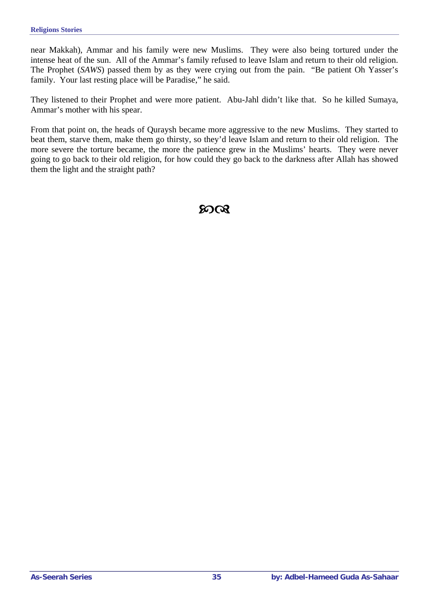near Makkah), Ammar and his family were new Muslims. They were also being tortured under the intense heat of the sun. All of the Ammar's family refused to leave Islam and return to their old religion. The Prophet (*SAWS*) passed them by as they were crying out from the pain. "Be patient Oh Yasser's family. Your last resting place will be Paradise," he said.

They listened to their Prophet and were more patient. Abu-Jahl didn't like that. So he killed Sumaya, Ammar's mother with his spear.

From that point on, the heads of Quraysh became more aggressive to the new Muslims. They started to beat them, starve them, make them go thirsty, so they'd leave Islam and return to their old religion. The more severe the torture became, the more the patience grew in the Muslims' hearts. They were never going to go back to their old religion, for how could they go back to the darkness after Allah has showed them the light and the straight path?

 $20 \Omega$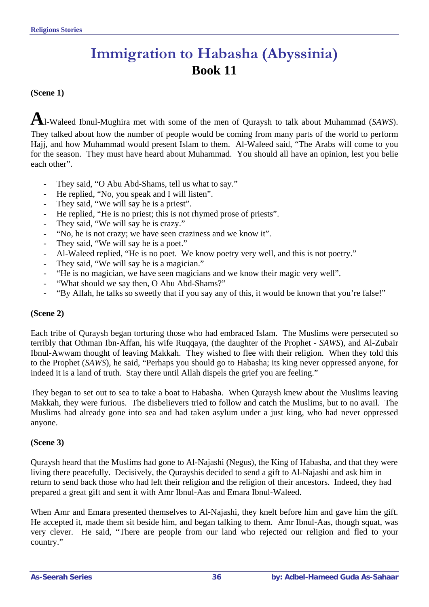# **Immigration to Habasha (Abyssinia) Book 11**

#### <span id="page-35-0"></span>**(Scene 1)**

**A**l-Waleed Ibnul-Mughira met with some of the men of Quraysh to talk about Muhammad (*SAWS*). They talked about how the number of people would be coming from many parts of the world to perform Hajj, and how Muhammad would present Islam to them. Al-Waleed said, "The Arabs will come to you for the season. They must have heard about Muhammad. You should all have an opinion, lest you belie each other".

- **-** They said, "O Abu Abd-Shams, tell us what to say."
- **-** He replied, "No, you speak and I will listen".
- **-** They said, "We will say he is a priest".
- **-** He replied, "He is no priest; this is not rhymed prose of priests".
- **-** They said, "We will say he is crazy."
- **-** "No, he is not crazy; we have seen craziness and we know it".
- **-** They said, "We will say he is a poet."
- **-** Al-Waleed replied, "He is no poet. We know poetry very well, and this is not poetry."
- **-** They said, "We will say he is a magician."
- **-** "He is no magician, we have seen magicians and we know their magic very well".
- **-** "What should we say then, O Abu Abd-Shams?"
- **-** "By Allah, he talks so sweetly that if you say any of this, it would be known that you're false!"

#### **(Scene 2)**

Each tribe of Quraysh began torturing those who had embraced Islam. The Muslims were persecuted so terribly that Othman Ibn-Affan, his wife Ruqqaya, (the daughter of the Prophet - *SAWS*), and Al-Zubair Ibnul-Awwam thought of leaving Makkah. They wished to flee with their religion. When they told this to the Prophet (*SAWS*), he said, "Perhaps you should go to Habasha; its king never oppressed anyone, for indeed it is a land of truth. Stay there until Allah dispels the grief you are feeling."

They began to set out to sea to take a boat to Habasha. When Quraysh knew about the Muslims leaving Makkah, they were furious. The disbelievers tried to follow and catch the Muslims, but to no avail. The Muslims had already gone into sea and had taken asylum under a just king, who had never oppressed anyone.

#### **(Scene 3)**

Quraysh heard that the Muslims had gone to Al-Najashi (Negus), the King of Habasha, and that they were living there peacefully. Decisively, the Qurayshis decided to send a gift to Al-Najashi and ask him in return to send back those who had left their religion and the religion of their ancestors. Indeed, they had prepared a great gift and sent it with Amr Ibnul-Aas and Emara Ibnul-Waleed.

When Amr and Emara presented themselves to Al-Najashi, they knelt before him and gave him the gift. He accepted it, made them sit beside him, and began talking to them. Amr Ibnul-Aas, though squat, was very clever. He said, "There are people from our land who rejected our religion and fled to your country."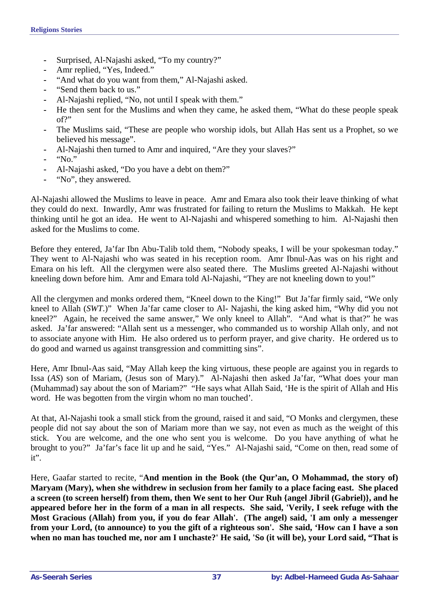- **-** Surprised, Al-Najashi asked, "To my country?"
- **-** Amr replied, "Yes, Indeed."
- "And what do you want from them," Al-Najashi asked.
- **-** "Send them back to us."
- **-** Al-Najashi replied, "No, not until I speak with them."
- **-** He then sent for the Muslims and when they came, he asked them, "What do these people speak of?"
- **-** The Muslims said, "These are people who worship idols, but Allah Has sent us a Prophet, so we believed his message".
- **-** Al-Najashi then turned to Amr and inquired, "Are they your slaves?"
- **-** "No."
- **-** Al-Najashi asked, "Do you have a debt on them?"
- **-** "No", they answered.

Al-Najashi allowed the Muslims to leave in peace. Amr and Emara also took their leave thinking of what they could do next. Inwardly, Amr was frustrated for failing to return the Muslims to Makkah. He kept thinking until he got an idea. He went to Al-Najashi and whispered something to him. Al-Najashi then asked for the Muslims to come.

Before they entered, Ja'far Ibn Abu-Talib told them, "Nobody speaks, I will be your spokesman today." They went to Al-Najashi who was seated in his reception room. Amr Ibnul-Aas was on his right and Emara on his left. All the clergymen were also seated there. The Muslims greeted Al-Najashi without kneeling down before him. Amr and Emara told Al-Najashi, "They are not kneeling down to you!"

All the clergymen and monks ordered them, "Kneel down to the King!" But Ja'far firmly said, "We only kneel to Allah (*SWT*.)" When Ja'far came closer to Al- Najashi, the king asked him, "Why did you not kneel?" Again, he received the same answer," We only kneel to Allah". "And what is that?" he was asked. Ja'far answered: "Allah sent us a messenger, who commanded us to worship Allah only, and not to associate anyone with Him. He also ordered us to perform prayer, and give charity. He ordered us to do good and warned us against transgression and committing sins".

Here, Amr Ibnul-Aas said, "May Allah keep the king virtuous, these people are against you in regards to Issa (*AS*) son of Mariam, (Jesus son of Mary)." Al-Najashi then asked Ja'far, "What does your man (Muhammad) say about the son of Mariam?" "He says what Allah Said, 'He is the spirit of Allah and His word. He was begotten from the virgin whom no man touched'*.* 

At that, Al-Najashi took a small stick from the ground, raised it and said, "O Monks and clergymen, these people did not say about the son of Mariam more than we say, not even as much as the weight of this stick. You are welcome, and the one who sent you is welcome. Do you have anything of what he brought to you?" Ja'far's face lit up and he said, "Yes." Al-Najashi said, "Come on then, read some of it".

Here, Gaafar started to recite, "And mention in the Book (the Qur'an, O Mohammad, the story of) **Maryam (Mary), when she withdrew in seclusion from her family to a place facing east. She placed a screen (to screen herself) from them, then We sent to her Our Ruh {angel Jibril (Gabriel)}, and he appeared before her in the form of a man in all respects. She said, 'Verily, I seek refuge with the Most Gracious (Allah) from you, if you do fear Allah'. (The angel) said, 'I am only a messenger from your Lord, (to announce) to you the gift of a righteous son'. She said, 'How can I have a son when no man has touched me, nor am I unchaste?' He said, 'So (it will be), your Lord said, "That is**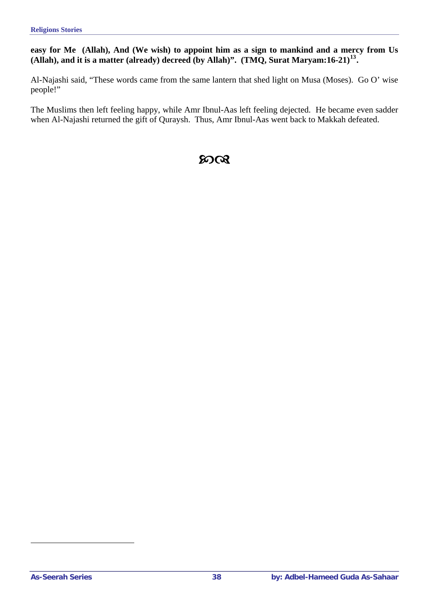## **easy for Me (Allah), And (We wish) to appoint him as a sign to mankind and a mercy from Us (Allah), and it is a matter (already) decreed (by Allah)". (TMQ, Surat Maryam:16-21)[13](#page-37-0).**

Al-Najashi said, "These words came from the same lantern that shed light on Musa (Moses). Go O' wise people!"

The Muslims then left feeling happy, while Amr Ibnul-Aas left feeling dejected. He became even sadder when Al-Najashi returned the gift of Quraysh. Thus, Amr Ibnul-Aas went back to Makkah defeated.

# $20$  $\alpha$

<span id="page-37-0"></span> $\overline{a}$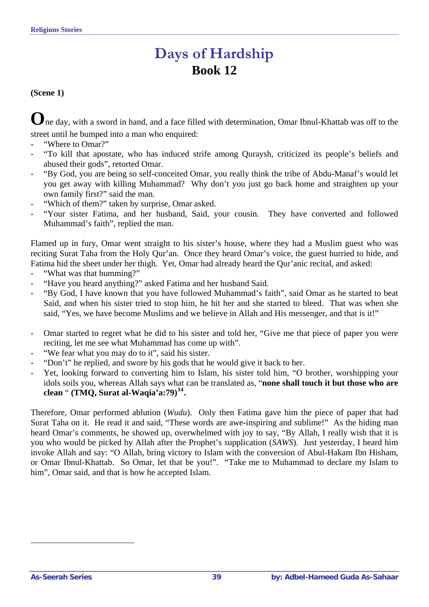# **Days of Hardship Book 12**

## **(Scene 1)**

**O**ne day, with a sword in hand, and a face filled with determination, Omar Ibnul-Khattab was off to the street until he bumped into a man who enquired:

- "Where to Omar?"
- "To kill that apostate, who has induced strife among Quraysh, criticized its people's beliefs and abused their gods", retorted Omar.
- "By God, you are being so self-conceited Omar, you really think the tribe of Abdu-Manaf's would let you get away with killing Muhammad? Why don't you just go back home and straighten up your own family first?" said the man.
- "Which of them?" taken by surprise, Omar asked.
- "Your sister Fatima, and her husband, Said, your cousin. They have converted and followed Muhammad's faith", replied the man.

Flamed up in fury, Omar went straight to his sister's house, where they had a Muslim guest who was reciting Surat Taha from the Holy Qur'an. Once they heard Omar's voice, the guest hurried to hide, and Fatima hid the sheet under her thigh. Yet, Omar had already heard the Qur'anic recital, and asked:

- "What was that humming?"
- "Have you heard anything?" asked Fatima and her husband Said.
- "By God, I have known that you have followed Muhammad's faith", said Omar as he started to beat Said, and when his sister tried to stop him, he hit her and she started to bleed. That was when she said, "Yes, we have become Muslims and we believe in Allah and His messenger, and that is it!"
- Omar started to regret what he did to his sister and told her, "Give me that piece of paper you were reciting, let me see what Muhammad has come up with".
- "We fear what you may do to it", said his sister.
- "Don't" he replied, and swore by his gods that he would give it back to her.
- Yet, looking forward to converting him to Islam, his sister told him, "O brother, worshipping your idols soils you, whereas Allah says what can be translated as, "**none shall touch it but those who are clean** " **(TMQ, Surat al-Waqia'a:79)[14](#page-38-0).**

Therefore, Omar performed ablution (*Wudu*). Only then Fatima gave him the piece of paper that had Surat Taha on it. He read it and said, "These words are awe-inspiring and sublime!" As the hiding man heard Omar's comments, he showed up, overwhelmed with joy to say, "By Allah, I really wish that it is you who would be picked by Allah after the Prophet's supplication (*SAWS*). Just yesterday, I heard him invoke Allah and say: "O Allah, bring victory to Islam with the conversion of Abul-Hakam Ibn Hisham, or Omar Ibnul-Khattab. So Omar, let that be you!". "Take me to Muhammad to declare my Islam to him", Omar said, and that is how he accepted Islam.

<span id="page-38-0"></span> $\overline{a}$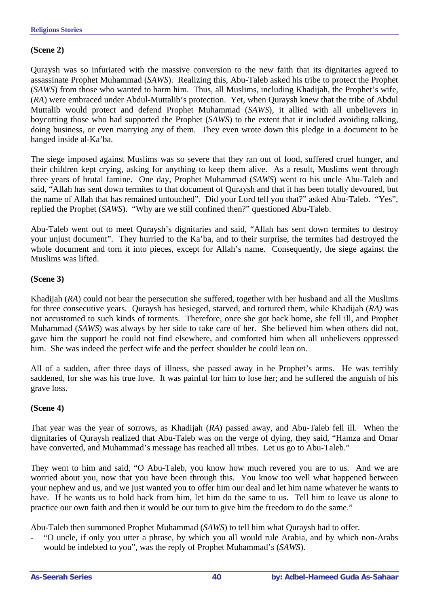## **(Scene 2)**

Quraysh was so infuriated with the massive conversion to the new faith that its dignitaries agreed to assassinate Prophet Muhammad (*SAWS*). Realizing this, Abu-Taleb asked his tribe to protect the Prophet (*SAWS*) from those who wanted to harm him. Thus, all Muslims, including Khadijah, the Prophet's wife, (*RA*) were embraced under Abdul-Muttalib's protection. Yet, when Quraysh knew that the tribe of Abdul Muttalib would protect and defend Prophet Muhammad (*SAWS*), it allied with all unbelievers in boycotting those who had supported the Prophet (*SAWS*) to the extent that it included avoiding talking, doing business, or even marrying any of them. They even wrote down this pledge in a document to be hanged inside al-Ka'ba.

The siege imposed against Muslims was so severe that they ran out of food, suffered cruel hunger, and their children kept crying, asking for anything to keep them alive. As a result, Muslims went through three years of brutal famine. One day, Prophet Muhammad (*SAWS*) went to his uncle Abu-Taleb and said, "Allah has sent down termites to that document of Quraysh and that it has been totally devoured, but the name of Allah that has remained untouched". Did your Lord tell you that?" asked Abu-Taleb. "Yes", replied the Prophet (*SAWS*). "Why are we still confined then?" questioned Abu-Taleb.

Abu-Taleb went out to meet Quraysh's dignitaries and said, "Allah has sent down termites to destroy your unjust document". They hurried to the Ka'ba, and to their surprise, the termites had destroyed the whole document and torn it into pieces, except for Allah's name. Consequently, the siege against the Muslims was lifted.

## **(Scene 3)**

Khadijah (*RA*) could not bear the persecution she suffered, together with her husband and all the Muslims for three consecutive years. Quraysh has besieged, starved, and tortured them, while Khadijah (*RA)* was not accustomed to such kinds of torments. Therefore, once she got back home, she fell ill, and Prophet Muhammad (*SAWS*) was always by her side to take care of her. She believed him when others did not, gave him the support he could not find elsewhere, and comforted him when all unbelievers oppressed him. She was indeed the perfect wife and the perfect shoulder he could lean on.

All of a sudden, after three days of illness, she passed away in he Prophet's arms. He was terribly saddened, for she was his true love. It was painful for him to lose her; and he suffered the anguish of his grave loss.

## **(Scene 4)**

That year was the year of sorrows, as Khadijah (*RA*) passed away, and Abu-Taleb fell ill. When the dignitaries of Quraysh realized that Abu-Taleb was on the verge of dying, they said, "Hamza and Omar have converted, and Muhammad's message has reached all tribes. Let us go to Abu-Taleb."

They went to him and said, "O Abu-Taleb, you know how much revered you are to us. And we are worried about you, now that you have been through this. You know too well what happened between your nephew and us, and we just wanted you to offer him our deal and let him name whatever he wants to have. If he wants us to hold back from him, let him do the same to us. Tell him to leave us alone to practice our own faith and then it would be our turn to give him the freedom to do the same."

Abu-Taleb then summoned Prophet Muhammad (*SAWS*) to tell him what Quraysh had to offer.

- "O uncle, if only you utter a phrase, by which you all would rule Arabia, and by which non-Arabs would be indebted to you", was the reply of Prophet Muhammad's (*SAWS*).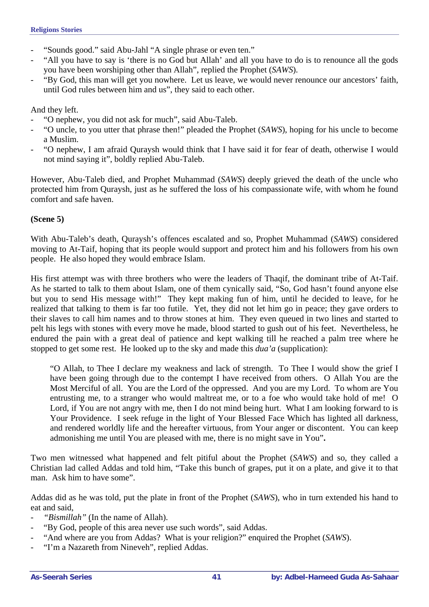- "Sounds good." said Abu-Jahl "A single phrase or even ten."
- "All you have to say is 'there is no God but Allah' and all you have to do is to renounce all the gods you have been worshiping other than Allah", replied the Prophet (*SAWS*).
- "By God, this man will get you nowhere. Let us leave, we would never renounce our ancestors' faith, until God rules between him and us", they said to each other.

And they left.

- "O nephew, you did not ask for much", said Abu-Taleb.
- "O uncle, to you utter that phrase then!" pleaded the Prophet (*SAWS*), hoping for his uncle to become a Muslim.
- "O nephew, I am afraid Quraysh would think that I have said it for fear of death, otherwise I would not mind saying it", boldly replied Abu-Taleb.

However, Abu-Taleb died, and Prophet Muhammad (*SAWS*) deeply grieved the death of the uncle who protected him from Quraysh, just as he suffered the loss of his compassionate wife, with whom he found comfort and safe haven.

#### **(Scene 5)**

With Abu-Taleb's death, Quraysh's offences escalated and so, Prophet Muhammad (*SAWS*) considered moving to At-Taif, hoping that its people would support and protect him and his followers from his own people. He also hoped they would embrace Islam.

His first attempt was with three brothers who were the leaders of Thaqif, the dominant tribe of At-Taif. As he started to talk to them about Islam, one of them cynically said, "So, God hasn't found anyone else but you to send His message with!" They kept making fun of him, until he decided to leave, for he realized that talking to them is far too futile. Yet, they did not let him go in peace; they gave orders to their slaves to call him names and to throw stones at him. They even queued in two lines and started to pelt his legs with stones with every move he made, blood started to gush out of his feet. Nevertheless, he endured the pain with a great deal of patience and kept walking till he reached a palm tree where he stopped to get some rest. He looked up to the sky and made this *dua'a* (supplication):

"O Allah, to Thee I declare my weakness and lack of strength. To Thee I would show the grief I have been going through due to the contempt I have received from others. O Allah You are the Most Merciful of all. You are the Lord of the oppressed. And you are my Lord. To whom are You entrusting me, to a stranger who would maltreat me, or to a foe who would take hold of me! O Lord, if You are not angry with me, then I do not mind being hurt. What I am looking forward to is Your Providence. I seek refuge in the light of Your Blessed Face Which has lighted all darkness, and rendered worldly life and the hereafter virtuous, from Your anger or discontent. You can keep admonishing me until You are pleased with me, there is no might save in You"**.** 

Two men witnessed what happened and felt pitiful about the Prophet (*SAWS*) and so, they called a Christian lad called Addas and told him, "Take this bunch of grapes, put it on a plate, and give it to that man. Ask him to have some".

Addas did as he was told, put the plate in front of the Prophet (*SAWS*), who in turn extended his hand to eat and said,

- "Bismillah" (In the name of Allah).
- "By God, people of this area never use such words", said Addas.
- "And where are you from Addas? What is your religion?" enquired the Prophet (*SAWS*).
- "I'm a Nazareth from Nineveh", replied Addas.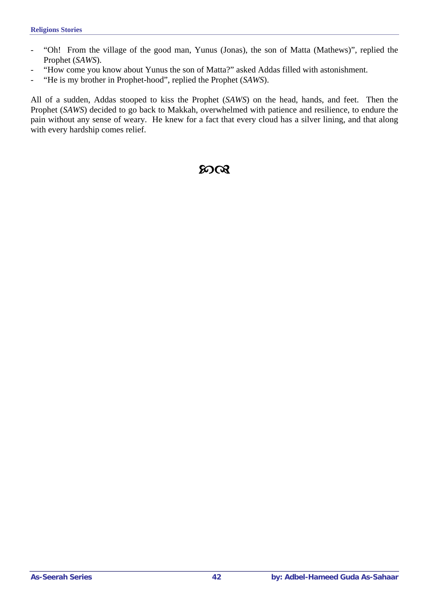- "Oh! From the village of the good man, Yunus (Jonas), the son of Matta (Mathews)", replied the Prophet (*SAWS*).
- "How come you know about Yunus the son of Matta?" asked Addas filled with astonishment.
- "He is my brother in Prophet-hood", replied the Prophet (*SAWS*).

All of a sudden, Addas stooped to kiss the Prophet (*SAWS*) on the head, hands, and feet. Then the Prophet (*SAWS*) decided to go back to Makkah, overwhelmed with patience and resilience, to endure the pain without any sense of weary. He knew for a fact that every cloud has a silver lining, and that along with every hardship comes relief.

# $20 \Omega$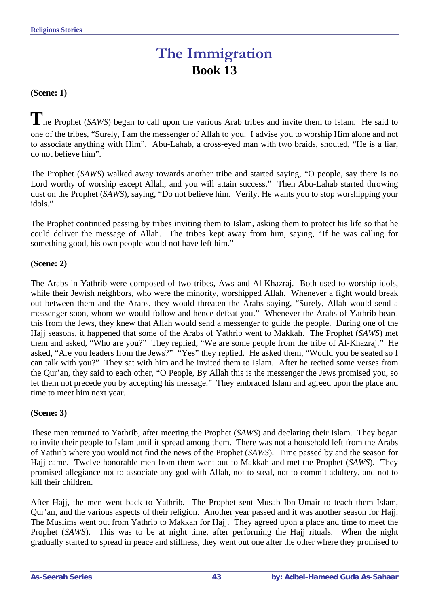# **The Immigration Book 13**

#### **(Scene: 1)**

**T**he Prophet (*SAWS*) began to call upon the various Arab tribes and invite them to Islam. He said to one of the tribes, "Surely, I am the messenger of Allah to you. I advise you to worship Him alone and not to associate anything with Him". Abu-Lahab, a cross-eyed man with two braids, shouted, "He is a liar, do not believe him".

The Prophet (*SAWS*) walked away towards another tribe and started saying, "O people, say there is no Lord worthy of worship except Allah, and you will attain success." Then Abu-Lahab started throwing dust on the Prophet (*SAWS*), saying, "Do not believe him. Verily, He wants you to stop worshipping your idols."

The Prophet continued passing by tribes inviting them to Islam, asking them to protect his life so that he could deliver the message of Allah. The tribes kept away from him, saying, "If he was calling for something good, his own people would not have left him."

#### **(Scene: 2)**

The Arabs in Yathrib were composed of two tribes, Aws and Al-Khazraj. Both used to worship idols, while their Jewish neighbors, who were the minority, worshipped Allah. Whenever a fight would break out between them and the Arabs, they would threaten the Arabs saying, "Surely, Allah would send a messenger soon, whom we would follow and hence defeat you." Whenever the Arabs of Yathrib heard this from the Jews, they knew that Allah would send a messenger to guide the people. During one of the Hajj seasons, it happened that some of the Arabs of Yathrib went to Makkah. The Prophet (*SAWS*) met them and asked, "Who are you?" They replied, "We are some people from the tribe of Al-Khazraj." He asked, "Are you leaders from the Jews?" "Yes" they replied. He asked them, "Would you be seated so I can talk with you?" They sat with him and he invited them to Islam. After he recited some verses from the Qur'an, they said to each other, "O People, By Allah this is the messenger the Jews promised you, so let them not precede you by accepting his message." They embraced Islam and agreed upon the place and time to meet him next year.

#### **(Scene: 3)**

These men returned to Yathrib, after meeting the Prophet (*SAWS*) and declaring their Islam. They began to invite their people to Islam until it spread among them. There was not a household left from the Arabs of Yathrib where you would not find the news of the Prophet (*SAWS*). Time passed by and the season for Hajj came. Twelve honorable men from them went out to Makkah and met the Prophet (*SAWS*). They promised allegiance not to associate any god with Allah, not to steal, not to commit adultery, and not to kill their children.

After Hajj, the men went back to Yathrib. The Prophet sent Musab Ibn-Umair to teach them Islam, Qur'an, and the various aspects of their religion. Another year passed and it was another season for Hajj. The Muslims went out from Yathrib to Makkah for Hajj. They agreed upon a place and time to meet the Prophet (*SAWS*). This was to be at night time, after performing the Hajj rituals. When the night gradually started to spread in peace and stillness, they went out one after the other where they promised to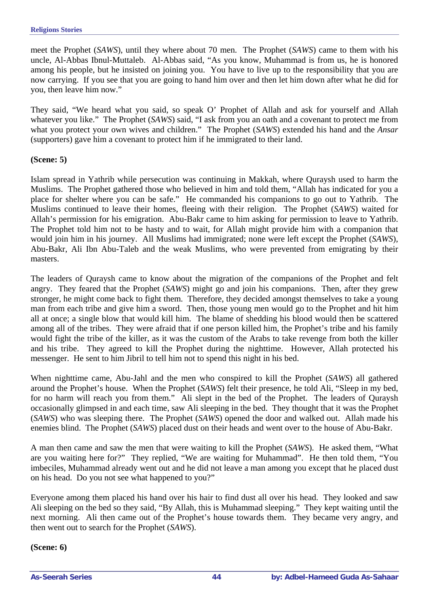meet the Prophet (*SAWS*), until they where about 70 men. The Prophet (*SAWS*) came to them with his uncle, Al-Abbas Ibnul-Muttaleb. Al-Abbas said, "As you know, Muhammad is from us, he is honored among his people, but he insisted on joining you. You have to live up to the responsibility that you are now carrying. If you see that you are going to hand him over and then let him down after what he did for you, then leave him now."

They said, "We heard what you said, so speak O' Prophet of Allah and ask for yourself and Allah whatever you like." The Prophet (*SAWS*) said, "I ask from you an oath and a covenant to protect me from what you protect your own wives and children." The Prophet (*SAWS*) extended his hand and the *Ansar* (supporters) gave him a covenant to protect him if he immigrated to their land.

#### **(Scene: 5)**

Islam spread in Yathrib while persecution was continuing in Makkah, where Quraysh used to harm the Muslims. The Prophet gathered those who believed in him and told them, "Allah has indicated for you a place for shelter where you can be safe." He commanded his companions to go out to Yathrib. The Muslims continued to leave their homes, fleeing with their religion. The Prophet (*SAWS*) waited for Allah's permission for his emigration. Abu-Bakr came to him asking for permission to leave to Yathrib. The Prophet told him not to be hasty and to wait, for Allah might provide him with a companion that would join him in his journey. All Muslims had immigrated; none were left except the Prophet (*SAWS*), Abu-Bakr, Ali Ibn Abu-Taleb and the weak Muslims, who were prevented from emigrating by their masters.

The leaders of Quraysh came to know about the migration of the companions of the Prophet and felt angry. They feared that the Prophet (*SAWS*) might go and join his companions. Then, after they grew stronger, he might come back to fight them. Therefore, they decided amongst themselves to take a young man from each tribe and give him a sword. Then, those young men would go to the Prophet and hit him all at once; a single blow that would kill him. The blame of shedding his blood would then be scattered among all of the tribes. They were afraid that if one person killed him, the Prophet's tribe and his family would fight the tribe of the killer, as it was the custom of the Arabs to take revenge from both the killer and his tribe. They agreed to kill the Prophet during the nighttime. However, Allah protected his messenger. He sent to him Jibril to tell him not to spend this night in his bed.

When nighttime came, Abu-Jahl and the men who conspired to kill the Prophet (*SAWS*) all gathered around the Prophet's house. When the Prophet (*SAWS*) felt their presence, he told Ali, "Sleep in my bed, for no harm will reach you from them." Ali slept in the bed of the Prophet. The leaders of Quraysh occasionally glimpsed in and each time, saw Ali sleeping in the bed. They thought that it was the Prophet (*SAWS*) who was sleeping there. The Prophet (*SAWS*) opened the door and walked out. Allah made his enemies blind. The Prophet (*SAWS*) placed dust on their heads and went over to the house of Abu-Bakr.

A man then came and saw the men that were waiting to kill the Prophet (*SAWS*). He asked them, "What are you waiting here for?" They replied, "We are waiting for Muhammad". He then told them, "You imbeciles, Muhammad already went out and he did not leave a man among you except that he placed dust on his head. Do you not see what happened to you?"

Everyone among them placed his hand over his hair to find dust all over his head. They looked and saw Ali sleeping on the bed so they said, "By Allah, this is Muhammad sleeping." They kept waiting until the next morning. Ali then came out of the Prophet's house towards them. They became very angry, and then went out to search for the Prophet (*SAWS*).

**(Scene: 6)**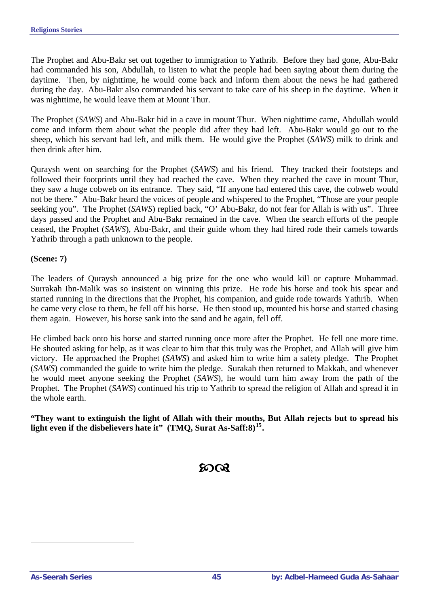The Prophet and Abu-Bakr set out together to immigration to Yathrib. Before they had gone, Abu-Bakr had commanded his son, Abdullah, to listen to what the people had been saying about them during the daytime. Then, by nighttime, he would come back and inform them about the news he had gathered during the day. Abu-Bakr also commanded his servant to take care of his sheep in the daytime. When it was nighttime, he would leave them at Mount Thur.

The Prophet (*SAWS*) and Abu-Bakr hid in a cave in mount Thur. When nighttime came, Abdullah would come and inform them about what the people did after they had left. Abu-Bakr would go out to the sheep, which his servant had left, and milk them. He would give the Prophet (*SAWS*) milk to drink and then drink after him.

Quraysh went on searching for the Prophet (*SAWS*) and his friend. They tracked their footsteps and followed their footprints until they had reached the cave. When they reached the cave in mount Thur, they saw a huge cobweb on its entrance. They said, "If anyone had entered this cave, the cobweb would not be there." Abu-Bakr heard the voices of people and whispered to the Prophet, "Those are your people seeking you". The Prophet (*SAWS*) replied back, "O' Abu-Bakr, do not fear for Allah is with us". Three days passed and the Prophet and Abu-Bakr remained in the cave. When the search efforts of the people ceased, the Prophet (*SAWS*), Abu-Bakr, and their guide whom they had hired rode their camels towards Yathrib through a path unknown to the people.

**(Scene: 7)** 

The leaders of Quraysh announced a big prize for the one who would kill or capture Muhammad. Surrakah Ibn-Malik was so insistent on winning this prize. He rode his horse and took his spear and started running in the directions that the Prophet, his companion, and guide rode towards Yathrib. When he came very close to them, he fell off his horse. He then stood up, mounted his horse and started chasing them again. However, his horse sank into the sand and he again, fell off.

He climbed back onto his horse and started running once more after the Prophet. He fell one more time. He shouted asking for help, as it was clear to him that this truly was the Prophet, and Allah will give him victory. He approached the Prophet (*SAWS*) and asked him to write him a safety pledge. The Prophet (*SAWS*) commanded the guide to write him the pledge. Surakah then returned to Makkah, and whenever he would meet anyone seeking the Prophet (*SAWS*), he would turn him away from the path of the Prophet. The Prophet (*SAWS*) continued his trip to Yathrib to spread the religion of Allah and spread it in the whole earth.

**"They want to extinguish the light of Allah with their mouths, But Allah rejects but to spread his light even if the disbelievers hate it" (TMQ, Surat As-Saff:8)[15](#page-44-0).** 

# ജര

<span id="page-44-0"></span> $\overline{a}$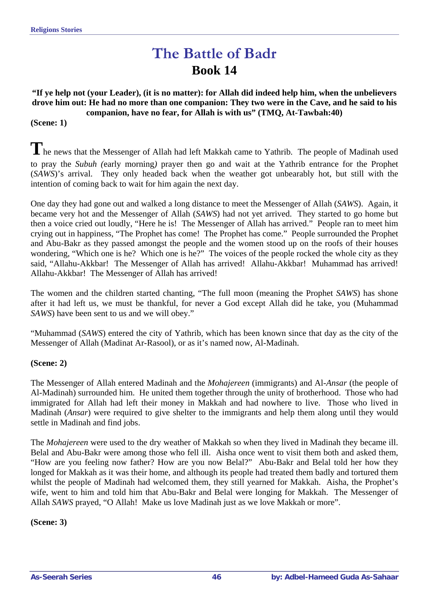# **The Battle of Badr Book 14**

**"If ye help not (your Leader), (it is no matter): for Allah did indeed help him, when the unbelievers drove him out: He had no more than one companion: They two were in the Cave, and he said to his companion, have no fear, for Allah is with us" (TMQ, At-Tawbah:40)** 

#### **(Scene: 1)**

The news that the Messenger of Allah had left Makkah came to Yathrib. The people of Madinah used to pray the *Subuh (*early morning*)* prayer then go and wait at the Yathrib entrance for the Prophet (*SAWS*)'s arrival. They only headed back when the weather got unbearably hot, but still with the intention of coming back to wait for him again the next day.

One day they had gone out and walked a long distance to meet the Messenger of Allah (*SAWS*). Again, it became very hot and the Messenger of Allah (*SAWS*) had not yet arrived. They started to go home but then a voice cried out loudly, "Here he is! The Messenger of Allah has arrived." People ran to meet him crying out in happiness, "The Prophet has come! The Prophet has come." People surrounded the Prophet and Abu-Bakr as they passed amongst the people and the women stood up on the roofs of their houses wondering, "Which one is he? Which one is he?" The voices of the people rocked the whole city as they said, "Allahu-Akkbar!The Messenger of Allah has arrived! Allahu-Akkbar! Muhammad has arrived! Allahu-Akkbar!The Messenger of Allah has arrived!

The women and the children started chanting, "The full moon (meaning the Prophet *SAWS*) has shone after it had left us, we must be thankful, for never a God except Allah did he take, you (Muhammad *SAWS*) have been sent to us and we will obey."

"Muhammad (*SAWS*) entered the city of Yathrib, which has been known since that day as the city of the Messenger of Allah (Madinat Ar-Rasool), or as it's named now, Al-Madinah.

#### **(Scene: 2)**

The Messenger of Allah entered Madinah and the *Mohajereen* (immigrants) and Al-*Ansar* (the people of Al-Madinah) surrounded him. He united them together through the unity of brotherhood. Those who had immigrated for Allah had left their money in Makkah and had nowhere to live. Those who lived in Madinah (*Ansar*) were required to give shelter to the immigrants and help them along until they would settle in Madinah and find jobs.

The *Mohajereen* were used to the dry weather of Makkah so when they lived in Madinah they became ill. Belal and Abu-Bakr were among those who fell ill. Aisha once went to visit them both and asked them, "How are you feeling now father? How are you now Belal?" Abu-Bakr and Belal told her how they longed for Makkah as it was their home, and although its people had treated them badly and tortured them whilst the people of Madinah had welcomed them, they still yearned for Makkah. Aisha, the Prophet's wife, went to him and told him that Abu-Bakr and Belal were longing for Makkah. The Messenger of Allah *SAWS* prayed, "O Allah! Make us love Madinah just as we love Makkah or more".

**(Scene: 3)**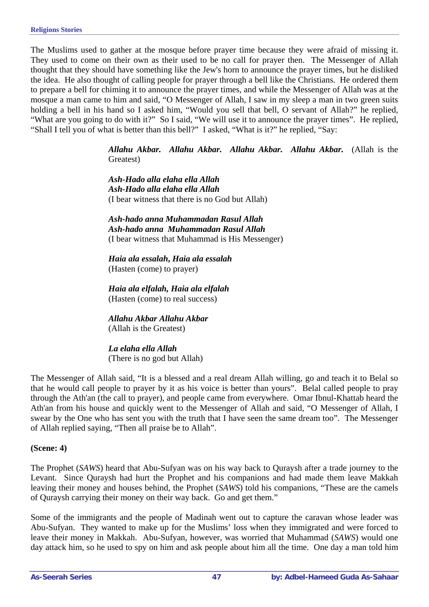The Muslims used to gather at the mosque before prayer time because they were afraid of missing it. They used to come on their own as their used to be no call for prayer then. The Messenger of Allah thought that they should have something like the Jew's horn to announce the prayer times, but he disliked the idea. He also thought of calling people for prayer through a bell like the Christians. He ordered them to prepare a bell for chiming it to announce the prayer times, and while the Messenger of Allah was at the mosque a man came to him and said, "O Messenger of Allah, I saw in my sleep a man in two green suits holding a bell in his hand so I asked him, "Would you sell that bell, O servant of Allah?" he replied, "What are you going to do with it?" So I said, "We will use it to announce the prayer times". He replied, "Shall I tell you of what is better than this bell?" I asked, "What is it?" he replied, "Say:

> *Allahu Akbar. Allahu Akbar. Allahu Akbar. Allahu Akbar.* (Allah is the Greatest)

*Ash-Hado alla elaha ella Allah Ash-Hado alla elaha ella Allah* (I bear witness that there is no God but Allah)

*Ash-hado anna Muhammadan Rasul Allah Ash-hado anna Muhammadan Rasul Allah*  (I bear witness that Muhammad is His Messenger)

*Haia ala essalah***,** *Haia ala essalah*  (Hasten (come) to prayer)

*Haia ala elfalah, Haia ala elfalah*  (Hasten (come) to real success)

*Allahu Akbar Allahu Akbar* (Allah is the Greatest)

*La elaha ella Allah* (There is no god but Allah)

The Messenger of Allah said, "It is a blessed and a real dream Allah willing, go and teach it to Belal so that he would call people to prayer by it as his voice is better than yours". Belal called people to pray through the Ath'an (the call to prayer), and people came from everywhere. Omar Ibnul-Khattab heard the Ath'an from his house and quickly went to the Messenger of Allah and said, "O Messenger of Allah, I swear by the One who has sent you with the truth that I have seen the same dream too". The Messenger of Allah replied saying, "Then all praise be to Allah".

#### **(Scene: 4)**

The Prophet (*SAWS*) heard that Abu-Sufyan was on his way back to Quraysh after a trade journey to the Levant. Since Quraysh had hurt the Prophet and his companions and had made them leave Makkah leaving their money and houses behind, the Prophet (*SAWS*) told his companions, "These are the camels of Quraysh carrying their money on their way back. Go and get them."

Some of the immigrants and the people of Madinah went out to capture the caravan whose leader was Abu-Sufyan. They wanted to make up for the Muslims' loss when they immigrated and were forced to leave their money in Makkah. Abu-Sufyan, however, was worried that Muhammad (*SAWS*) would one day attack him, so he used to spy on him and ask people about him all the time. One day a man told him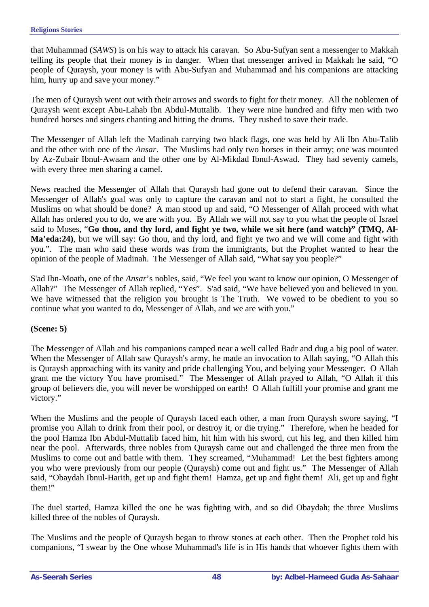that Muhammad (*SAWS*) is on his way to attack his caravan. So Abu-Sufyan sent a messenger to Makkah telling its people that their money is in danger. When that messenger arrived in Makkah he said, "O people of Quraysh, your money is with Abu-Sufyan and Muhammad and his companions are attacking him, hurry up and save your money."

The men of Quraysh went out with their arrows and swords to fight for their money. All the noblemen of Quraysh went except Abu-Lahab Ibn Abdul-Muttalib. They were nine hundred and fifty men with two hundred horses and singers chanting and hitting the drums. They rushed to save their trade.

The Messenger of Allah left the Madinah carrying two black flags, one was held by Ali Ibn Abu-Talib and the other with one of the *Ansar*. The Muslims had only two horses in their army; one was mounted by Az-Zubair Ibnul-Awaam and the other one by Al-Mikdad Ibnul-Aswad. They had seventy camels, with every three men sharing a camel.

News reached the Messenger of Allah that Quraysh had gone out to defend their caravan. Since the Messenger of Allah's goal was only to capture the caravan and not to start a fight, he consulted the Muslims on what should be done?A man stood up and said, "O Messenger of Allah proceed with what Allah has ordered you to do, we are with you. By Allah we will not say to you what the people of Israel said to Moses, "**Go thou, and thy lord, and fight ye two, while we sit here (and watch)" (TMQ, Al-Ma'eda:24)**, but we will say: Go thou, and thy lord, and fight ye two and we will come and fight with you.". The man who said these words was from the immigrants, but the Prophet wanted to hear the opinion of the people of Madinah. The Messenger of Allah said, "What say you people?"

S'ad Ibn-Moath, one of the *Ansar*'s nobles, said, "We feel you want to know our opinion, O Messenger of Allah?" The Messenger of Allah replied, "Yes". S'ad said, "We have believed you and believed in you. We have witnessed that the religion you brought is The Truth. We vowed to be obedient to you so continue what you wanted to do, Messenger of Allah, and we are with you."

## **(Scene: 5)**

The Messenger of Allah and his companions camped near a well called Badr and dug a big pool of water. When the Messenger of Allah saw Quraysh's army, he made an invocation to Allah saying, "O Allah this is Quraysh approaching with its vanity and pride challenging You, and belying your Messenger. O Allah grant me the victory You have promised." The Messenger of Allah prayed to Allah, "O Allah if this group of believers die, you will never be worshipped on earth! O Allah fulfill your promise and grant me victory."

When the Muslims and the people of Quraysh faced each other, a man from Quraysh swore saying, "I promise you Allah to drink from their pool, or destroy it, or die trying." Therefore, when he headed for the pool Hamza Ibn Abdul-Muttalib faced him, hit him with his sword, cut his leg, and then killed him near the pool. Afterwards, three nobles from Quraysh came out and challenged the three men from the Muslims to come out and battle with them. They screamed, "Muhammad! Let the best fighters among you who were previously from our people (Quraysh) come out and fight us." The Messenger of Allah said, "Obaydah Ibnul-Harith, get up and fight them! Hamza, get up and fight them! Ali, get up and fight them!"

The duel started, Hamza killed the one he was fighting with, and so did Obaydah; the three Muslims killed three of the nobles of Quraysh.

The Muslims and the people of Quraysh began to throw stones at each other. Then the Prophet told his companions, "I swear by the One whose Muhammad's life is in His hands that whoever fights them with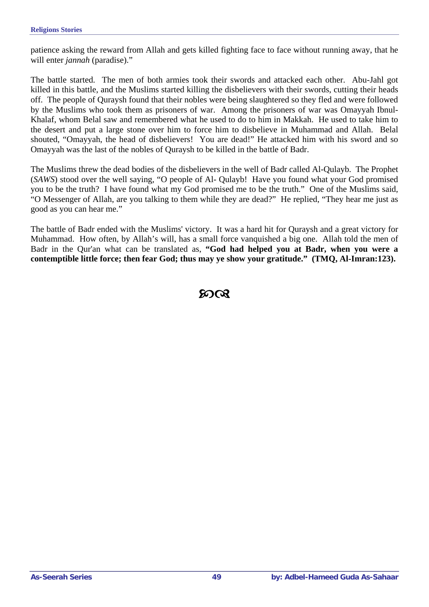patience asking the reward from Allah and gets killed fighting face to face without running away, that he will enter *jannah* (paradise)."

The battle started. The men of both armies took their swords and attacked each other. Abu-Jahl got killed in this battle, and the Muslims started killing the disbelievers with their swords, cutting their heads off. The people of Quraysh found that their nobles were being slaughtered so they fled and were followed by the Muslims who took them as prisoners of war. Among the prisoners of war was Omayyah Ibnul-Khalaf, whom Belal saw and remembered what he used to do to him in Makkah. He used to take him to the desert and put a large stone over him to force him to disbelieve in Muhammad and Allah. Belal shouted, "Omayyah, the head of disbelievers! You are dead!" He attacked him with his sword and so Omayyah was the last of the nobles of Quraysh to be killed in the battle of Badr.

The Muslims threw the dead bodies of the disbelievers in the well of Badr called Al-Qulayb. The Prophet (*SAWS*) stood over the well saying, "O people of Al- Qulayb! Have you found what your God promised you to be the truth? I have found what my God promised me to be the truth." One of the Muslims said, "O Messenger of Allah, are you talking to them while they are dead?" He replied, "They hear me just as good as you can hear me."

The battle of Badr ended with the Muslims' victory. It was a hard hit for Quraysh and a great victory for Muhammad. How often, by Allah's will, has a small force vanquished a big one. Allah told the men of Badr in the Qur'an what can be translated as, **"God had helped you at Badr, when you were a contemptible little force; then fear God; thus may ye show your gratitude." (TMQ, Al-Imran:123).** 

# $\infty$ ର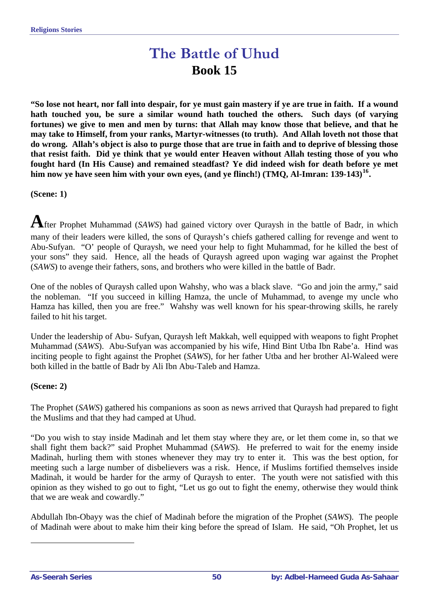# **The Battle of Uhud Book 15**

**"So lose not heart, nor fall into despair, for ye must gain mastery if ye are true in faith. If a wound hath touched you, be sure a similar wound hath touched the others. Such days (of varying fortunes) we give to men and men by turns: that Allah may know those that believe, and that he may take to Himself, from your ranks, Martyr-witnesses (to truth). And Allah loveth not those that do wrong. Allah's object is also to purge those that are true in faith and to deprive of blessing those that resist faith. Did ye think that ye would enter Heaven without Allah testing those of you who fought hard (In His Cause) and remained steadfast? Ye did indeed wish for death before ye met him now ye have seen him with your own eyes, (and ye flinch!) (TMQ, Al-Imran: 139-143)[16](#page-49-0).** 

**(Scene: 1)** 

**A**fter Prophet Muhammad (*SAWS*) had gained victory over Quraysh in the battle of Badr, in which many of their leaders were killed, the sons of Quraysh's chiefs gathered calling for revenge and went to Abu-Sufyan. "O' people of Quraysh, we need your help to fight Muhammad, for he killed the best of your sons" they said. Hence, all the heads of Quraysh agreed upon waging war against the Prophet (*SAWS*) to avenge their fathers, sons, and brothers who were killed in the battle of Badr.

One of the nobles of Quraysh called upon Wahshy, who was a black slave. "Go and join the army," said the nobleman. "If you succeed in killing Hamza, the uncle of Muhammad, to avenge my uncle who Hamza has killed, then you are free." Wahshy was well known for his spear-throwing skills, he rarely failed to hit his target.

Under the leadership of Abu- Sufyan, Quraysh left Makkah, well equipped with weapons to fight Prophet Muhammad (*SAWS*). Abu-Sufyan was accompanied by his wife, Hind Bint Utba Ibn Rabe'a. Hind was inciting people to fight against the Prophet (*SAWS*), for her father Utba and her brother Al-Waleed were both killed in the battle of Badr by Ali Ibn Abu-Taleb and Hamza.

#### **(Scene: 2)**

The Prophet (*SAWS*) gathered his companions as soon as news arrived that Quraysh had prepared to fight the Muslims and that they had camped at Uhud.

"Do you wish to stay inside Madinah and let them stay where they are, or let them come in, so that we shall fight them back?" said Prophet Muhammad (*SAWS*). He preferred to wait for the enemy inside Madinah, hurling them with stones whenever they may try to enter it. This was the best option, for meeting such a large number of disbelievers was a risk. Hence, if Muslims fortified themselves inside Madinah, it would be harder for the army of Quraysh to enter. The youth were not satisfied with this opinion as they wished to go out to fight, "Let us go out to fight the enemy, otherwise they would think that we are weak and cowardly."

Abdullah Ibn-Obayy was the chief of Madinah before the migration of the Prophet (*SAWS*). The people of Madinah were about to make him their king before the spread of Islam. He said, "Oh Prophet, let us

<span id="page-49-0"></span> $\overline{a}$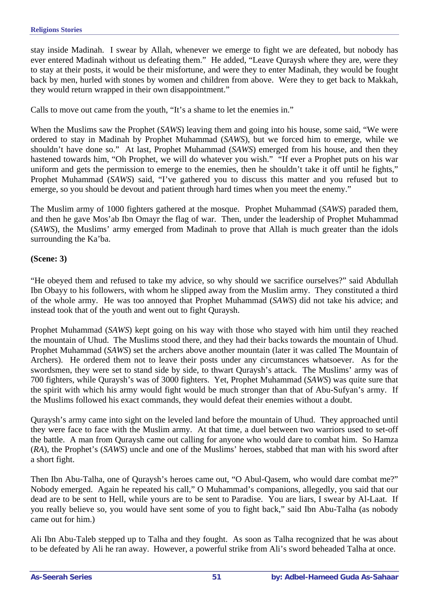stay inside Madinah. I swear by Allah, whenever we emerge to fight we are defeated, but nobody has ever entered Madinah without us defeating them." He added, "Leave Quraysh where they are, were they to stay at their posts, it would be their misfortune, and were they to enter Madinah, they would be fought back by men, hurled with stones by women and children from above. Were they to get back to Makkah, they would return wrapped in their own disappointment."

Calls to move out came from the youth, "It's a shame to let the enemies in."

When the Muslims saw the Prophet (*SAWS*) leaving them and going into his house, some said, "We were ordered to stay in Madinah by Prophet Muhammad (*SAWS*), but we forced him to emerge, while we shouldn't have done so." At last, Prophet Muhammad (*SAWS*) emerged from his house, and then they hastened towards him, "Oh Prophet, we will do whatever you wish." "If ever a Prophet puts on his war uniform and gets the permission to emerge to the enemies, then he shouldn't take it off until he fights," Prophet Muhammad (*SAWS*) said, "I've gathered you to discuss this matter and you refused but to emerge, so you should be devout and patient through hard times when you meet the enemy."

The Muslim army of 1000 fighters gathered at the mosque. Prophet Muhammad (*SAWS*) paraded them, and then he gave Mos'ab Ibn Omayr the flag of war. Then, under the leadership of Prophet Muhammad (*SAWS*), the Muslims' army emerged from Madinah to prove that Allah is much greater than the idols surrounding the Ka'ba.

#### **(Scene: 3)**

"He obeyed them and refused to take my advice, so why should we sacrifice ourselves?" said Abdullah Ibn Obayy to his followers, with whom he slipped away from the Muslim army. They constituted a third of the whole army. He was too annoyed that Prophet Muhammad (*SAWS*) did not take his advice; and instead took that of the youth and went out to fight Quraysh.

Prophet Muhammad (*SAWS*) kept going on his way with those who stayed with him until they reached the mountain of Uhud. The Muslims stood there, and they had their backs towards the mountain of Uhud. Prophet Muhammad (*SAWS*) set the archers above another mountain (later it was called The Mountain of Archers). He ordered them not to leave their posts under any circumstances whatsoever. As for the swordsmen, they were set to stand side by side, to thwart Quraysh's attack. The Muslims' army was of 700 fighters, while Quraysh's was of 3000 fighters. Yet, Prophet Muhammad (*SAWS*) was quite sure that the spirit with which his army would fight would be much stronger than that of Abu-Sufyan's army. If the Muslims followed his exact commands, they would defeat their enemies without a doubt.

Quraysh's army came into sight on the leveled land before the mountain of Uhud. They approached until they were face to face with the Muslim army. At that time, a duel between two warriors used to set-off the battle. A man from Quraysh came out calling for anyone who would dare to combat him. So Hamza (*RA*), the Prophet's (*SAWS*) uncle and one of the Muslims' heroes, stabbed that man with his sword after a short fight.

Then Ibn Abu-Talha, one of Quraysh's heroes came out, "O Abul-Qasem, who would dare combat me?" Nobody emerged. Again he repeated his call," O Muhammad's companions, allegedly, you said that our dead are to be sent to Hell, while yours are to be sent to Paradise. You are liars, I swear by Al-Laat. If you really believe so, you would have sent some of you to fight back," said Ibn Abu-Talha (as nobody came out for him.)

Ali Ibn Abu-Taleb stepped up to Talha and they fought. As soon as Talha recognized that he was about to be defeated by Ali he ran away. However, a powerful strike from Ali's sword beheaded Talha at once.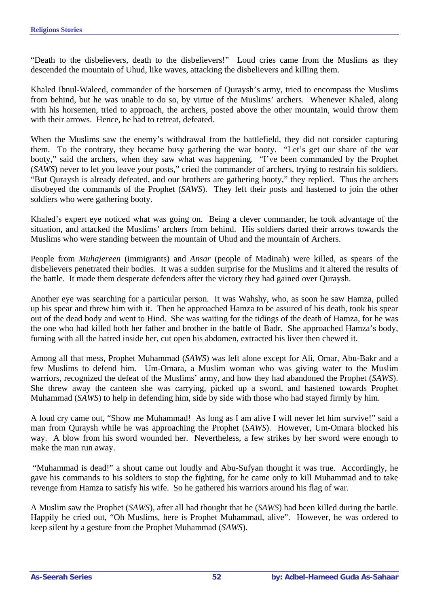"Death to the disbelievers, death to the disbelievers!" Loud cries came from the Muslims as they descended the mountain of Uhud, like waves, attacking the disbelievers and killing them.

Khaled Ibnul-Waleed, commander of the horsemen of Quraysh's army, tried to encompass the Muslims from behind, but he was unable to do so, by virtue of the Muslims' archers. Whenever Khaled, along with his horsemen, tried to approach, the archers, posted above the other mountain, would throw them with their arrows. Hence, he had to retreat, defeated.

When the Muslims saw the enemy's withdrawal from the battlefield, they did not consider capturing them. To the contrary, they became busy gathering the war booty. "Let's get our share of the war booty," said the archers, when they saw what was happening. "I've been commanded by the Prophet (*SAWS*) never to let you leave your posts," cried the commander of archers, trying to restrain his soldiers. "But Quraysh is already defeated, and our brothers are gathering booty," they replied. Thus the archers disobeyed the commands of the Prophet (*SAWS*). They left their posts and hastened to join the other soldiers who were gathering booty.

Khaled's expert eye noticed what was going on. Being a clever commander, he took advantage of the situation, and attacked the Muslims' archers from behind. His soldiers darted their arrows towards the Muslims who were standing between the mountain of Uhud and the mountain of Archers.

People from *Muhajereen* (immigrants) and *Ansar* (people of Madinah) were killed, as spears of the disbelievers penetrated their bodies. It was a sudden surprise for the Muslims and it altered the results of the battle. It made them desperate defenders after the victory they had gained over Quraysh.

Another eye was searching for a particular person. It was Wahshy, who, as soon he saw Hamza, pulled up his spear and threw him with it. Then he approached Hamza to be assured of his death, took his spear out of the dead body and went to Hind. She was waiting for the tidings of the death of Hamza, for he was the one who had killed both her father and brother in the battle of Badr. She approached Hamza's body, fuming with all the hatred inside her, cut open his abdomen, extracted his liver then chewed it.

Among all that mess, Prophet Muhammad (*SAWS*) was left alone except for Ali, Omar, Abu-Bakr and a few Muslims to defend him. Um-Omara, a Muslim woman who was giving water to the Muslim warriors, recognized the defeat of the Muslims' army, and how they had abandoned the Prophet (*SAWS*). She threw away the canteen she was carrying, picked up a sword, and hastened towards Prophet Muhammad (*SAWS*) to help in defending him, side by side with those who had stayed firmly by him.

A loud cry came out, "Show me Muhammad! As long as I am alive I will never let him survive!" said a man from Quraysh while he was approaching the Prophet (*SAWS*). However, Um-Omara blocked his way. A blow from his sword wounded her. Nevertheless, a few strikes by her sword were enough to make the man run away.

 "Muhammad is dead!" a shout came out loudly and Abu-Sufyan thought it was true. Accordingly, he gave his commands to his soldiers to stop the fighting, for he came only to kill Muhammad and to take revenge from Hamza to satisfy his wife. So he gathered his warriors around his flag of war.

A Muslim saw the Prophet (*SAWS*), after all had thought that he (*SAWS*) had been killed during the battle. Happily he cried out, "Oh Muslims, here is Prophet Muhammad, alive". However, he was ordered to keep silent by a gesture from the Prophet Muhammad (*SAWS*).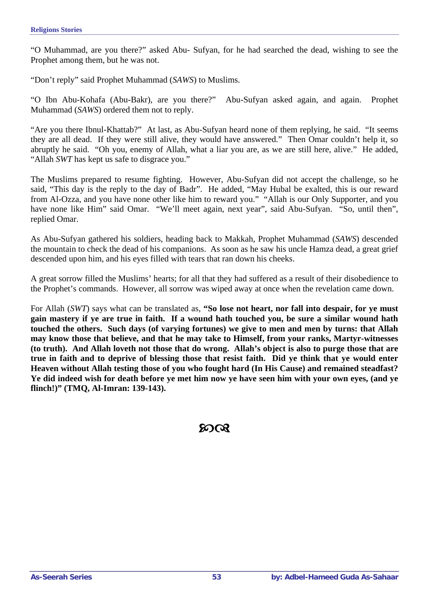"O Muhammad, are you there?" asked Abu- Sufyan, for he had searched the dead, wishing to see the Prophet among them, but he was not.

"Don't reply" said Prophet Muhammad (*SAWS*) to Muslims.

"O Ibn Abu-Kohafa (Abu-Bakr), are you there?" Abu-Sufyan asked again, and again. Prophet Muhammad (*SAWS*) ordered them not to reply.

"Are you there Ibnul-Khattab?" At last, as Abu-Sufyan heard none of them replying, he said. "It seems they are all dead. If they were still alive, they would have answered." Then Omar couldn't help it, so abruptly he said. "Oh you, enemy of Allah, what a liar you are, as we are still here, alive." He added, "Allah *SWT* has kept us safe to disgrace you."

The Muslims prepared to resume fighting. However, Abu-Sufyan did not accept the challenge, so he said, "This day is the reply to the day of Badr". He added, "May Hubal be exalted, this is our reward from Al-Ozza, and you have none other like him to reward you." "Allah is our Only Supporter, and you have none like Him" said Omar. "We'll meet again, next year", said Abu-Sufyan. "So, until then", replied Omar.

As Abu-Sufyan gathered his soldiers, heading back to Makkah, Prophet Muhammad (*SAWS*) descended the mountain to check the dead of his companions. As soon as he saw his uncle Hamza dead, a great grief descended upon him, and his eyes filled with tears that ran down his cheeks.

A great sorrow filled the Muslims' hearts; for all that they had suffered as a result of their disobedience to the Prophet's commands. However, all sorrow was wiped away at once when the revelation came down.

For Allah (*SWT*) says what can be translated as, **"So lose not heart, nor fall into despair, for ye must gain mastery if ye are true in faith. If a wound hath touched you, be sure a similar wound hath touched the others. Such days (of varying fortunes) we give to men and men by turns: that Allah may know those that believe, and that he may take to Himself, from your ranks, Martyr-witnesses (to truth). And Allah loveth not those that do wrong. Allah's object is also to purge those that are true in faith and to deprive of blessing those that resist faith. Did ye think that ye would enter Heaven without Allah testing those of you who fought hard (In His Cause) and remained steadfast? Ye did indeed wish for death before ye met him now ye have seen him with your own eyes, (and ye flinch!)" (TMQ, Al-Imran: 139-143).** 

 $20Q$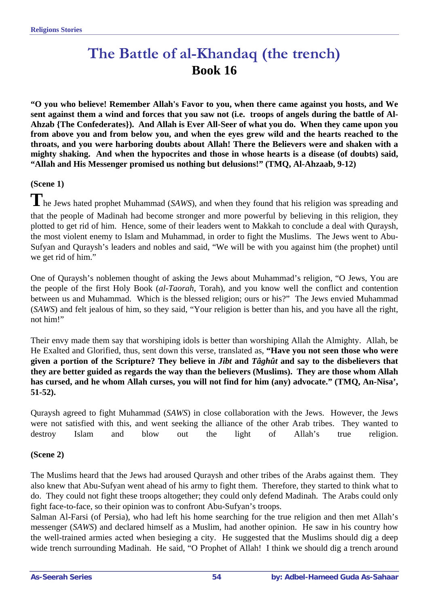# **The Battle of al-Khandaq (the trench) Book 16**

**"O you who believe! Remember Allah's Favor to you, when there came against you hosts, and We sent against them a wind and forces that you saw not (i.e. troops of angels during the battle of Al-Ahzab {The Confederates}). And Allah is Ever All-Seer of what you do. When they came upon you from above you and from below you, and when the eyes grew wild and the hearts reached to the throats, and you were harboring doubts about Allah! There the Believers were and shaken with a mighty shaking. And when the hypocrites and those in whose hearts is a disease (of doubts) said, "Allah and His Messenger promised us nothing but delusions!" (TMQ, Al-Ahzaab, 9-12)**

## **(Scene 1)**

**T** he Jews hated prophet Muhammad (*SAWS*), and when they found that his religion was spreading and that the people of Madinah had become stronger and more powerful by believing in this religion, they plotted to get rid of him. Hence, some of their leaders went to Makkah to conclude a deal with Quraysh, the most violent enemy to Islam and Muhammad, in order to fight the Muslims. The Jews went to Abu-Sufyan and Quraysh's leaders and nobles and said, "We will be with you against him (the prophet) until we get rid of him."

One of Quraysh's noblemen thought of asking the Jews about Muhammad's religion, "O Jews, You are the people of the first Holy Book (*al-Taorah*, Torah), and you know well the conflict and contention between us and Muhammad. Which is the blessed religion; ours or his?" The Jews envied Muhammad (*SAWS*) and felt jealous of him, so they said, "Your religion is better than his, and you have all the right, not him!"

Their envy made them say that worshiping idols is better than worshiping Allah the Almighty. Allah, be He Exalted and Glorified, thus, sent down this verse, translated as, **"Have you not seen those who were given a portion of the Scripture? They believe in** *Jibt* **and** *Tâghût* **and say to the disbelievers that they are better guided as regards the way than the believers (Muslims). They are those whom Allah has cursed, and he whom Allah curses, you will not find for him (any) advocate." (TMQ, An-Nisa', 51-52).** 

Quraysh agreed to fight Muhammad (*SAWS*) in close collaboration with the Jews. However, the Jews were not satisfied with this, and went seeking the alliance of the other Arab tribes. They wanted to destroy Islam and blow out the light of Allah's true religion.

## **(Scene 2)**

The Muslims heard that the Jews had aroused Quraysh and other tribes of the Arabs against them. They also knew that Abu-Sufyan went ahead of his army to fight them. Therefore, they started to think what to do. They could not fight these troops altogether; they could only defend Madinah. The Arabs could only fight face-to-face, so their opinion was to confront Abu-Sufyan's troops.

Salman Al-Farsi (of Persia), who had left his home searching for the true religion and then met Allah's messenger (*SAWS*) and declared himself as a Muslim, had another opinion. He saw in his country how the well-trained armies acted when besieging a city. He suggested that the Muslims should dig a deep wide trench surrounding Madinah. He said, "O Prophet of Allah! I think we should dig a trench around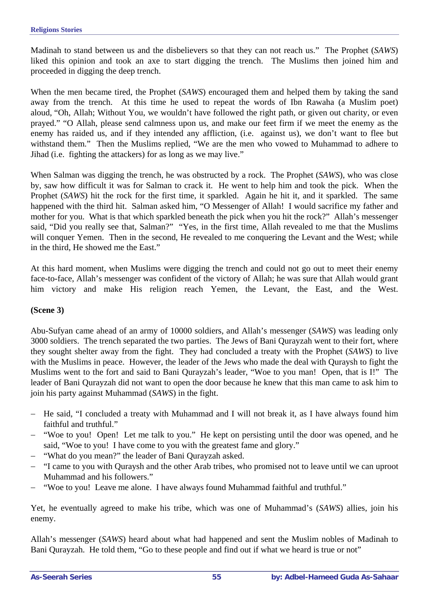Madinah to stand between us and the disbelievers so that they can not reach us." The Prophet (*SAWS*) liked this opinion and took an axe to start digging the trench. The Muslims then joined him and proceeded in digging the deep trench.

When the men became tired, the Prophet (*SAWS*) encouraged them and helped them by taking the sand away from the trench. At this time he used to repeat the words of Ibn Rawaha (a Muslim poet) aloud, "Oh, Allah; Without You, we wouldn't have followed the right path, or given out charity, or even prayed." "O Allah, please send calmness upon us, and make our feet firm if we meet the enemy as the enemy has raided us, and if they intended any affliction, (i.e. against us), we don't want to flee but withstand them." Then the Muslims replied, "We are the men who vowed to Muhammad to adhere to Jihad (i.e. fighting the attackers) for as long as we may live."

When Salman was digging the trench, he was obstructed by a rock. The Prophet (*SAWS*), who was close by, saw how difficult it was for Salman to crack it. He went to help him and took the pick. When the Prophet (*SAWS*) hit the rock for the first time, it sparkled. Again he hit it, and it sparkled. The same happened with the third hit. Salman asked him, "O Messenger of Allah! I would sacrifice my father and mother for you. What is that which sparkled beneath the pick when you hit the rock?" Allah's messenger said, "Did you really see that, Salman?" "Yes, in the first time, Allah revealed to me that the Muslims will conquer Yemen. Then in the second, He revealed to me conquering the Levant and the West; while in the third, He showed me the East."

At this hard moment, when Muslims were digging the trench and could not go out to meet their enemy face-to-face, Allah's messenger was confident of the victory of Allah; he was sure that Allah would grant him victory and make His religion reach Yemen, the Levant, the East, and the West.

#### **(Scene 3)**

Abu-Sufyan came ahead of an army of 10000 soldiers, and Allah's messenger (*SAWS*) was leading only 3000 soldiers. The trench separated the two parties. The Jews of Bani Qurayzah went to their fort, where they sought shelter away from the fight. They had concluded a treaty with the Prophet (*SAWS*) to live with the Muslims in peace. However, the leader of the Jews who made the deal with Quraysh to fight the Muslims went to the fort and said to Bani Qurayzah's leader, "Woe to you man! Open, that is I!" The leader of Bani Qurayzah did not want to open the door because he knew that this man came to ask him to join his party against Muhammad (*SAWS*) in the fight.

- − He said, "I concluded a treaty with Muhammad and I will not break it, as I have always found him faithful and truthful."
- − "Woe to you! Open! Let me talk to you." He kept on persisting until the door was opened, and he said, "Woe to you! I have come to you with the greatest fame and glory."
- "What do you mean?" the leader of Bani Qurayzah asked.
- − "I came to you with Quraysh and the other Arab tribes, who promised not to leave until we can uproot Muhammad and his followers."
- − "Woe to you! Leave me alone. I have always found Muhammad faithful and truthful."

Yet, he eventually agreed to make his tribe, which was one of Muhammad's (*SAWS*) allies, join his enemy.

Allah's messenger (*SAWS*) heard about what had happened and sent the Muslim nobles of Madinah to Bani Qurayzah. He told them, "Go to these people and find out if what we heard is true or not"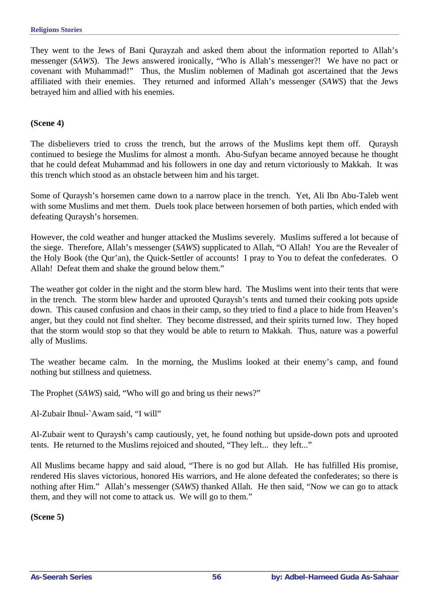They went to the Jews of Bani Qurayzah and asked them about the information reported to Allah's messenger (*SAWS*). The Jews answered ironically, "Who is Allah's messenger?! We have no pact or covenant with Muhammad!" Thus, the Muslim noblemen of Madinah got ascertained that the Jews affiliated with their enemies. They returned and informed Allah's messenger (*SAWS*) that the Jews betrayed him and allied with his enemies.

#### **(Scene 4)**

The disbelievers tried to cross the trench, but the arrows of the Muslims kept them off. Quraysh continued to besiege the Muslims for almost a month. Abu-Sufyan became annoyed because he thought that he could defeat Muhammad and his followers in one day and return victoriously to Makkah. It was this trench which stood as an obstacle between him and his target.

Some of Quraysh's horsemen came down to a narrow place in the trench. Yet, Ali Ibn Abu-Taleb went with some Muslims and met them. Duels took place between horsemen of both parties, which ended with defeating Quraysh's horsemen.

However, the cold weather and hunger attacked the Muslims severely. Muslims suffered a lot because of the siege. Therefore, Allah's messenger (*SAWS*) supplicated to Allah, "O Allah! You are the Revealer of the Holy Book (the Qur'an), the Quick-Settler of accounts! I pray to You to defeat the confederates. O Allah! Defeat them and shake the ground below them."

The weather got colder in the night and the storm blew hard. The Muslims went into their tents that were in the trench. The storm blew harder and uprooted Quraysh's tents and turned their cooking pots upside down. This caused confusion and chaos in their camp, so they tried to find a place to hide from Heaven's anger, but they could not find shelter. They become distressed, and their spirits turned low. They hoped that the storm would stop so that they would be able to return to Makkah. Thus, nature was a powerful ally of Muslims.

The weather became calm. In the morning, the Muslims looked at their enemy's camp, and found nothing but stillness and quietness.

The Prophet (*SAWS*) said, "Who will go and bring us their news?"

Al-Zubair Ibnul-`Awam said, "I will"

Al-Zubair went to Quraysh's camp cautiously, yet, he found nothing but upside-down pots and uprooted tents. He returned to the Muslims rejoiced and shouted, "They left... they left..."

All Muslims became happy and said aloud, "There is no god but Allah. He has fulfilled His promise, rendered His slaves victorious, honored His warriors, and He alone defeated the confederates; so there is nothing after Him." Allah's messenger (*SAWS*) thanked Allah. He then said, "Now we can go to attack them, and they will not come to attack us. We will go to them."

**(Scene 5)**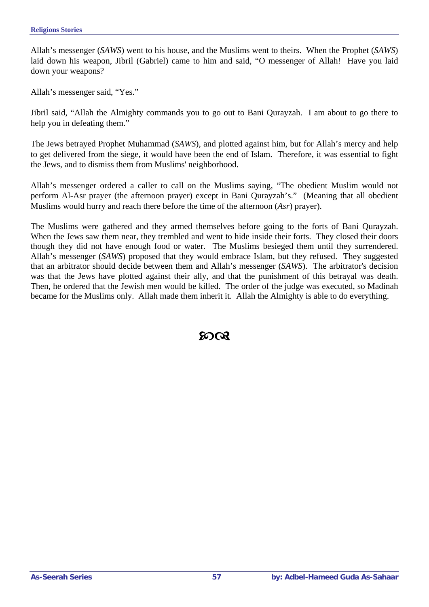Allah's messenger (*SAWS*) went to his house, and the Muslims went to theirs. When the Prophet (*SAWS*) laid down his weapon, Jibril (Gabriel) came to him and said, "O messenger of Allah! Have you laid down your weapons?

Allah's messenger said, "Yes."

Jibril said, "Allah the Almighty commands you to go out to Bani Qurayzah. I am about to go there to help you in defeating them."

The Jews betrayed Prophet Muhammad (*SAWS*), and plotted against him, but for Allah's mercy and help to get delivered from the siege, it would have been the end of Islam. Therefore, it was essential to fight the Jews, and to dismiss them from Muslims' neighborhood.

Allah's messenger ordered a caller to call on the Muslims saying, "The obedient Muslim would not perform Al-Asr prayer (the afternoon prayer) except in Bani Qurayzah's." (Meaning that all obedient Muslims would hurry and reach there before the time of the afternoon (*Asr*) prayer).

The Muslims were gathered and they armed themselves before going to the forts of Bani Qurayzah. When the Jews saw them near, they trembled and went to hide inside their forts. They closed their doors though they did not have enough food or water. The Muslims besieged them until they surrendered. Allah's messenger (*SAWS*) proposed that they would embrace Islam, but they refused. They suggested that an arbitrator should decide between them and Allah's messenger (*SAWS*). The arbitrator's decision was that the Jews have plotted against their ally, and that the punishment of this betrayal was death. Then, he ordered that the Jewish men would be killed. The order of the judge was executed, so Madinah became for the Muslims only. Allah made them inherit it. Allah the Almighty is able to do everything.

## ജര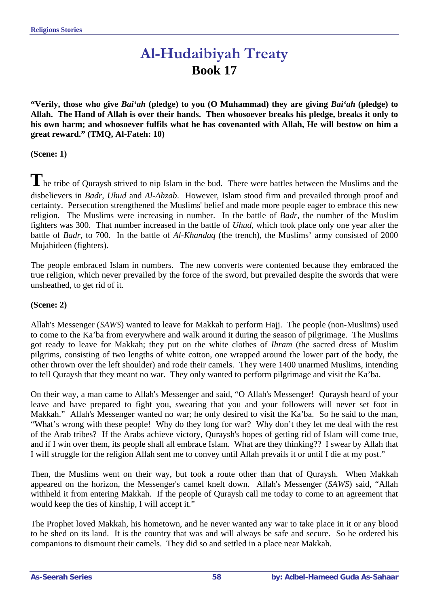# **Al-Hudaibiyah Treaty Book 17**

**"Verily, those who give** *Bai'ah* **(pledge) to you (O Muhammad) they are giving** *Bai'ah* **(pledge) to Allah. The Hand of Allah is over their hands. Then whosoever breaks his pledge, breaks it only to his own harm; and whosoever fulfils what he has covenanted with Allah, He will bestow on him a great reward." (TMQ, Al-Fateh: 10)** 

**(Scene: 1)** 

The tribe of Quraysh strived to nip Islam in the bud. There were battles between the Muslims and the disbelievers in *Badr*, *Uhud* and *Al-Ahzab*. However, Islam stood firm and prevailed through proof and certainty. Persecution strengthened the Muslims' belief and made more people eager to embrace this new religion. The Muslims were increasing in number. In the battle of *Badr*, the number of the Muslim fighters was 300. That number increased in the battle of *Uhud*, which took place only one year after the battle of *Badr*, to 700. In the battle of *Al-Khandaq* (the trench), the Muslims' army consisted of 2000 Mujahideen (fighters).

The people embraced Islam in numbers. The new converts were contented because they embraced the true religion, which never prevailed by the force of the sword, but prevailed despite the swords that were unsheathed, to get rid of it.

#### **(Scene: 2)**

Allah's Messenger (*SAWS*) wanted to leave for Makkah to perform Hajj. The people (non-Muslims) used to come to the Ka'ba from everywhere and walk around it during the season of pilgrimage. The Muslims got ready to leave for Makkah; they put on the white clothes of *Ihram* (the sacred dress of Muslim pilgrims, consisting of two lengths of white cotton, one wrapped around the lower part of the body, the other thrown over the left shoulder) and rode their camels. They were 1400 unarmed Muslims, intending to tell Quraysh that they meant no war. They only wanted to perform pilgrimage and visit the Ka'ba.

On their way, a man came to Allah's Messenger and said, "O Allah's Messenger! Quraysh heard of your leave and have prepared to fight you, swearing that you and your followers will never set foot in Makkah." Allah's Messenger wanted no war; he only desired to visit the Ka'ba. So he said to the man, "What's wrong with these people! Why do they long for war? Why don't they let me deal with the rest of the Arab tribes? If the Arabs achieve victory, Quraysh's hopes of getting rid of Islam will come true, and if I win over them, its people shall all embrace Islam. What are they thinking?? I swear by Allah that I will struggle for the religion Allah sent me to convey until Allah prevails it or until I die at my post."

Then, the Muslims went on their way, but took a route other than that of Quraysh. When Makkah appeared on the horizon, the Messenger's camel knelt down. Allah's Messenger (*SAWS*) said, "Allah withheld it from entering Makkah. If the people of Quraysh call me today to come to an agreement that would keep the ties of kinship, I will accept it."

The Prophet loved Makkah, his hometown, and he never wanted any war to take place in it or any blood to be shed on its land. It is the country that was and will always be safe and secure. So he ordered his companions to dismount their camels. They did so and settled in a place near Makkah.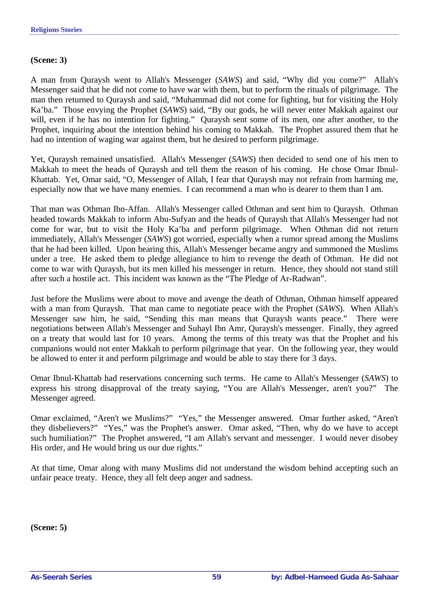#### **(Scene: 3)**

A man from Quraysh went to Allah's Messenger (*SAWS*) and said, "Why did you come?" Allah's Messenger said that he did not come to have war with them, but to perform the rituals of pilgrimage. The man then returned to Quraysh and said, "Muhammad did not come for fighting, but for visiting the Holy Ka'ba." Those envying the Prophet (*SAWS*) said, "By our gods, he will never enter Makkah against our will, even if he has no intention for fighting." Quraysh sent some of its men, one after another, to the Prophet, inquiring about the intention behind his coming to Makkah. The Prophet assured them that he had no intention of waging war against them, but he desired to perform pilgrimage.

Yet, Quraysh remained unsatisfied. Allah's Messenger (*SAWS*) then decided to send one of his men to Makkah to meet the heads of Quraysh and tell them the reason of his coming. He chose Omar Ibnul-Khattab. Yet, Omar said, "O, Messenger of Allah, I fear that Quraysh may not refrain from harming me, especially now that we have many enemies. I can recommend a man who is dearer to them than I am.

That man was Othman Ibn-Affan. Allah's Messenger called Othman and sent him to Quraysh. Othman headed towards Makkah to inform Abu-Sufyan and the heads of Quraysh that Allah's Messenger had not come for war, but to visit the Holy Ka'ba and perform pilgrimage. When Othman did not return immediately, Allah's Messenger (*SAWS*) got worried, especially when a rumor spread among the Muslims that he had been killed. Upon hearing this, Allah's Messenger became angry and summoned the Muslims under a tree. He asked them to pledge allegiance to him to revenge the death of Othman. He did not come to war with Quraysh, but its men killed his messenger in return. Hence, they should not stand still after such a hostile act. This incident was known as the "The Pledge of Ar-Radwan".

Just before the Muslims were about to move and avenge the death of Othman, Othman himself appeared with a man from Quraysh. That man came to negotiate peace with the Prophet (*SAWS*). When Allah's Messenger saw him, he said, "Sending this man means that Quraysh wants peace." There were negotiations between Allah's Messenger and Suhayl Ibn Amr, Quraysh's messenger. Finally, they agreed on a treaty that would last for 10 years. Among the terms of this treaty was that the Prophet and his companions would not enter Makkah to perform pilgrimage that year. On the following year, they would be allowed to enter it and perform pilgrimage and would be able to stay there for 3 days.

Omar Ibnul-Khattab had reservations concerning such terms. He came to Allah's Messenger (*SAWS*) to express his strong disapproval of the treaty saying, "You are Allah's Messenger, aren't you?" The Messenger agreed.

Omar exclaimed, "Aren't we Muslims?" "Yes," the Messenger answered. Omar further asked, "Aren't they disbelievers?" "Yes," was the Prophet's answer. Omar asked, "Then, why do we have to accept such humiliation?" The Prophet answered, "I am Allah's servant and messenger. I would never disobey His order, and He would bring us our due rights."

At that time, Omar along with many Muslims did not understand the wisdom behind accepting such an unfair peace treaty. Hence, they all felt deep anger and sadness.

**(Scene: 5)**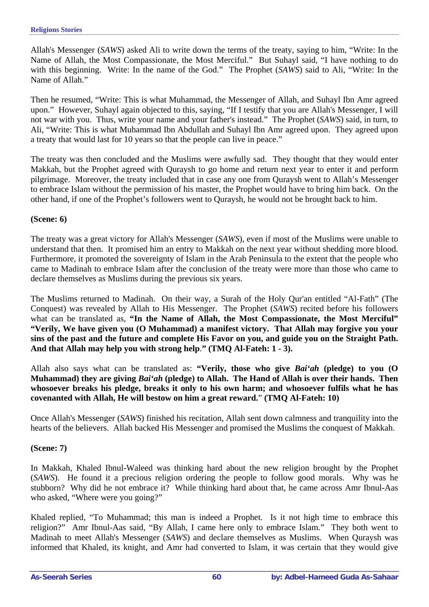Allah's Messenger (*SAWS*) asked Ali to write down the terms of the treaty, saying to him, "Write: In the Name of Allah, the Most Compassionate, the Most Merciful." But Suhayl said, "I have nothing to do with this beginning. Write: In the name of the God." The Prophet (*SAWS*) said to Ali, "Write: In the Name of Allah."

Then he resumed, "Write: This is what Muhammad, the Messenger of Allah, and Suhayl Ibn Amr agreed upon." However, Suhayl again objected to this, saying, "If I testify that you are Allah's Messenger, I will not war with you. Thus, write your name and your father's instead." The Prophet (*SAWS*) said, in turn, to Ali, "Write: This is what Muhammad Ibn Abdullah and Suhayl Ibn Amr agreed upon. They agreed upon a treaty that would last for 10 years so that the people can live in peace."

The treaty was then concluded and the Muslims were awfully sad. They thought that they would enter Makkah, but the Prophet agreed with Quraysh to go home and return next year to enter it and perform pilgrimage. Moreover, the treaty included that in case any one from Quraysh went to Allah's Messenger to embrace Islam without the permission of his master, the Prophet would have to bring him back. On the other hand, if one of the Prophet's followers went to Quraysh, he would not be brought back to him.

## **(Scene: 6)**

The treaty was a great victory for Allah's Messenger (*SAWS*), even if most of the Muslims were unable to understand that then. It promised him an entry to Makkah on the next year without shedding more blood. Furthermore, it promoted the sovereignty of Islam in the Arab Peninsula to the extent that the people who came to Madinah to embrace Islam after the conclusion of the treaty were more than those who came to declare themselves as Muslims during the previous six years.

The Muslims returned to Madinah. On their way, a Surah of the Holy Qur'an entitled "Al-Fath" (The Conquest) was revealed by Allah to His Messenger. The Prophet (*SAWS*) recited before his followers what can be translated as, "In the Name of Allah, the Most Compassionate, the Most Merciful" **"Verily, We have given you (O Muhammad) a manifest victory. That Allah may forgive you your sins of the past and the future and complete His Favor on you, and guide you on the Straight Path. And that Allah may help you with strong help**.**" (TMQ Al-Fateh: 1 - 3).** 

Allah also says what can be translated as: **"Verily, those who give** *Bai'ah* **(pledge) to you (O Muhammad) they are giving** *Bai'ah* **(pledge) to Allah. The Hand of Allah is over their hands. Then whosoever breaks his pledge, breaks it only to his own harm; and whosoever fulfils what he has covenanted with Allah, He will bestow on him a great reward.**" **(TMQ Al-Fateh: 10)** 

Once Allah's Messenger (*SAWS*) finished his recitation, Allah sent down calmness and tranquility into the hearts of the believers. Allah backed His Messenger and promised the Muslims the conquest of Makkah.

## **(Scene: 7)**

In Makkah, Khaled Ibnul-Waleed was thinking hard about the new religion brought by the Prophet (*SAWS*). He found it a precious religion ordering the people to follow good morals. Why was he stubborn? Why did he not embrace it? While thinking hard about that, he came across Amr Ibnul-Aas who asked, "Where were you going?"

Khaled replied, "To Muhammad; this man is indeed a Prophet. Is it not high time to embrace this religion?" Amr Ibnul-Aas said, "By Allah, I came here only to embrace Islam." They both went to Madinah to meet Allah's Messenger (*SAWS*) and declare themselves as Muslims. When Quraysh was informed that Khaled, its knight, and Amr had converted to Islam, it was certain that they would give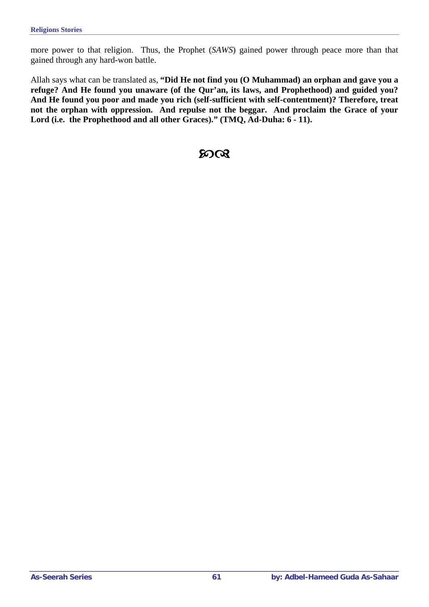more power to that religion. Thus, the Prophet (*SAWS*) gained power through peace more than that gained through any hard-won battle.

Allah says what can be translated as, **"Did He not find you (O Muhammad) an orphan and gave you a refuge? And He found you unaware (of the Qur'an, its laws, and Prophethood) and guided you? And He found you poor and made you rich (self-sufficient with self-contentment)? Therefore, treat not the orphan with oppression. And repulse not the beggar. And proclaim the Grace of your Lord (i.e. the Prophethood and all other Graces)." (TMQ, Ad-Duha: 6 - 11).** 

# $20<sup>Q</sup>$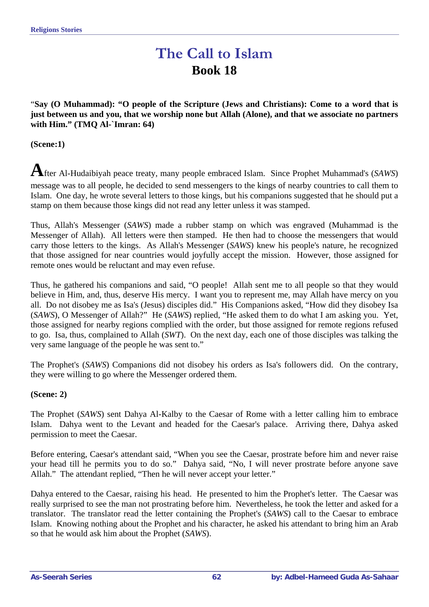# **The Call to Islam Book 18**

"**Say (O Muhammad): "O people of the Scripture (Jews and Christians): Come to a word that is just between us and you, that we worship none but Allah (Alone), and that we associate no partners with Him." (TMQ Al-`Imran: 64)** 

**(Scene:1)** 

**A**fter Al-Hudaibiyah peace treaty, many people embraced Islam. Since Prophet Muhammad's (*SAWS*) message was to all people, he decided to send messengers to the kings of nearby countries to call them to Islam. One day, he wrote several letters to those kings, but his companions suggested that he should put a stamp on them because those kings did not read any letter unless it was stamped.

Thus, Allah's Messenger (*SAWS*) made a rubber stamp on which was engraved (Muhammad is the Messenger of Allah). All letters were then stamped. He then had to choose the messengers that would carry those letters to the kings. As Allah's Messenger (*SAWS*) knew his people's nature, he recognized that those assigned for near countries would joyfully accept the mission. However, those assigned for remote ones would be reluctant and may even refuse.

Thus, he gathered his companions and said, "O people! Allah sent me to all people so that they would believe in Him, and, thus, deserve His mercy. I want you to represent me, may Allah have mercy on you all. Do not disobey me as Isa's (Jesus) disciples did." His Companions asked, "How did they disobey Isa (*SAWS*), O Messenger of Allah?" He (*SAWS*) replied, "He asked them to do what I am asking you. Yet, those assigned for nearby regions complied with the order, but those assigned for remote regions refused to go. Isa, thus, complained to Allah (*SWT*). On the next day, each one of those disciples was talking the very same language of the people he was sent to."

The Prophet's (*SAWS*) Companions did not disobey his orders as Isa's followers did. On the contrary, they were willing to go where the Messenger ordered them.

## **(Scene: 2)**

The Prophet (*SAWS*) sent Dahya Al-Kalby to the Caesar of Rome with a letter calling him to embrace Islam. Dahya went to the Levant and headed for the Caesar's palace. Arriving there, Dahya asked permission to meet the Caesar.

Before entering, Caesar's attendant said, "When you see the Caesar, prostrate before him and never raise your head till he permits you to do so." Dahya said, "No, I will never prostrate before anyone save Allah." The attendant replied, "Then he will never accept your letter."

Dahya entered to the Caesar, raising his head. He presented to him the Prophet's letter. The Caesar was really surprised to see the man not prostrating before him. Nevertheless, he took the letter and asked for a translator. The translator read the letter containing the Prophet's (*SAWS*) call to the Caesar to embrace Islam. Knowing nothing about the Prophet and his character, he asked his attendant to bring him an Arab so that he would ask him about the Prophet (*SAWS*).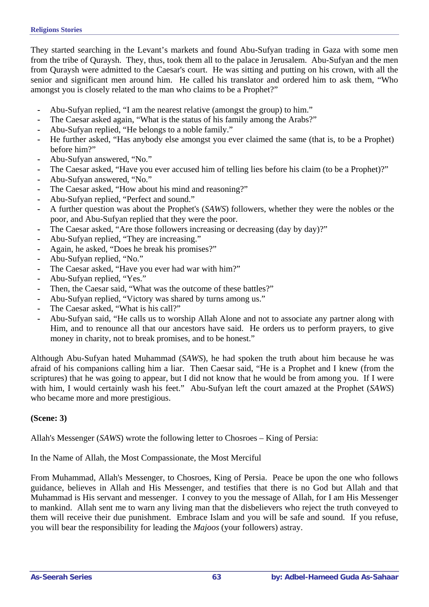They started searching in the Levant's markets and found Abu-Sufyan trading in Gaza with some men from the tribe of Quraysh. They, thus, took them all to the palace in Jerusalem. Abu-Sufyan and the men from Quraysh were admitted to the Caesar's court. He was sitting and putting on his crown, with all the senior and significant men around him. He called his translator and ordered him to ask them, "Who amongst you is closely related to the man who claims to be a Prophet?"

- **-** Abu-Sufyan replied, "I am the nearest relative (amongst the group) to him."
- **-** The Caesar asked again, "What is the status of his family among the Arabs?"
- **-** Abu-Sufyan replied, "He belongs to a noble family."
- **-** He further asked, "Has anybody else amongst you ever claimed the same (that is, to be a Prophet) before him?"
- **-** Abu-Sufyan answered, "No."
- **-** The Caesar asked, "Have you ever accused him of telling lies before his claim (to be a Prophet)?"
- **-** Abu-Sufyan answered, "No."
- **-** The Caesar asked, "How about his mind and reasoning?"
- **-** Abu-Sufyan replied, "Perfect and sound."
- **-** A further question was about the Prophet's (*SAWS*) followers, whether they were the nobles or the poor, and Abu-Sufyan replied that they were the poor.
- The Caesar asked, "Are those followers increasing or decreasing (day by day)?"
- **-** Abu-Sufyan replied, "They are increasing."
- **-** Again, he asked, "Does he break his promises?"
- **-** Abu-Sufyan replied, "No."
- **-** The Caesar asked, "Have you ever had war with him?"
- **-** Abu-Sufyan replied, "Yes."
- **-** Then, the Caesar said, "What was the outcome of these battles?"
- **-** Abu-Sufyan replied, "Victory was shared by turns among us."
- The Caesar asked, "What is his call?"
- **-** Abu-Sufyan said, "He calls us to worship Allah Alone and not to associate any partner along with Him, and to renounce all that our ancestors have said. He orders us to perform prayers, to give money in charity, not to break promises, and to be honest."

Although Abu-Sufyan hated Muhammad (*SAWS*), he had spoken the truth about him because he was afraid of his companions calling him a liar. Then Caesar said, "He is a Prophet and I knew (from the scriptures) that he was going to appear, but I did not know that he would be from among you. If I were with him, I would certainly wash his feet." Abu-Sufyan left the court amazed at the Prophet (*SAWS*) who became more and more prestigious.

## **(Scene: 3)**

Allah's Messenger (*SAWS*) wrote the following letter to Chosroes – King of Persia:

In the Name of Allah, the Most Compassionate, the Most Merciful

From Muhammad, Allah's Messenger, to Chosroes, King of Persia. Peace be upon the one who follows guidance, believes in Allah and His Messenger, and testifies that there is no God but Allah and that Muhammad is His servant and messenger. I convey to you the message of Allah, for I am His Messenger to mankind. Allah sent me to warn any living man that the disbelievers who reject the truth conveyed to them will receive their due punishment. Embrace Islam and you will be safe and sound. If you refuse, you will bear the responsibility for leading the *Majoos* (your followers) astray.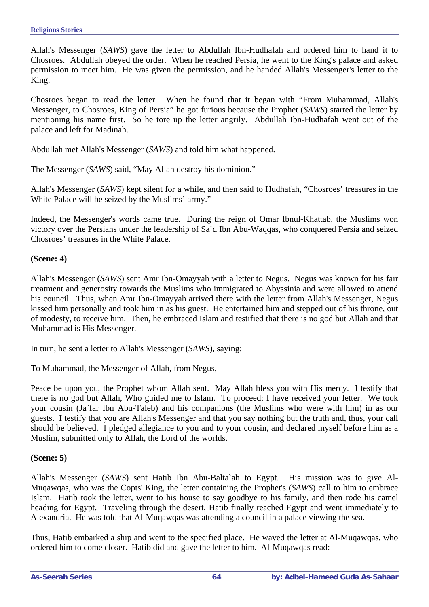Allah's Messenger (*SAWS*) gave the letter to Abdullah Ibn-Hudhafah and ordered him to hand it to Chosroes. Abdullah obeyed the order. When he reached Persia, he went to the King's palace and asked permission to meet him. He was given the permission, and he handed Allah's Messenger's letter to the King.

Chosroes began to read the letter. When he found that it began with "From Muhammad, Allah's Messenger, to Chosroes, King of Persia" he got furious because the Prophet (*SAWS*) started the letter by mentioning his name first. So he tore up the letter angrily. Abdullah Ibn-Hudhafah went out of the palace and left for Madinah.

Abdullah met Allah's Messenger (*SAWS*) and told him what happened.

The Messenger (*SAWS*) said, "May Allah destroy his dominion."

Allah's Messenger (*SAWS*) kept silent for a while, and then said to Hudhafah, "Chosroes' treasures in the White Palace will be seized by the Muslims' army."

Indeed, the Messenger's words came true. During the reign of Omar Ibnul-Khattab, the Muslims won victory over the Persians under the leadership of Sa`d Ibn Abu-Waqqas, who conquered Persia and seized Chosroes' treasures in the White Palace.

#### **(Scene: 4)**

Allah's Messenger (*SAWS*) sent Amr Ibn-Omayyah with a letter to Negus. Negus was known for his fair treatment and generosity towards the Muslims who immigrated to Abyssinia and were allowed to attend his council. Thus, when Amr Ibn-Omayyah arrived there with the letter from Allah's Messenger, Negus kissed him personally and took him in as his guest. He entertained him and stepped out of his throne, out of modesty, to receive him. Then, he embraced Islam and testified that there is no god but Allah and that Muhammad is His Messenger.

In turn, he sent a letter to Allah's Messenger (*SAWS*), saying:

To Muhammad, the Messenger of Allah, from Negus,

Peace be upon you, the Prophet whom Allah sent. May Allah bless you with His mercy. I testify that there is no god but Allah, Who guided me to Islam. To proceed: I have received your letter. We took your cousin (Ja`far Ibn Abu-Taleb) and his companions (the Muslims who were with him) in as our guests. I testify that you are Allah's Messenger and that you say nothing but the truth and, thus, your call should be believed. I pledged allegiance to you and to your cousin, and declared myself before him as a Muslim, submitted only to Allah, the Lord of the worlds.

#### **(Scene: 5)**

Allah's Messenger (*SAWS*) sent Hatib Ibn Abu-Balta`ah to Egypt. His mission was to give Al-Muqawqas, who was the Copts' King, the letter containing the Prophet's (*SAWS*) call to him to embrace Islam. Hatib took the letter, went to his house to say goodbye to his family, and then rode his camel heading for Egypt. Traveling through the desert, Hatib finally reached Egypt and went immediately to Alexandria. He was told that Al-Muqawqas was attending a council in a palace viewing the sea.

Thus, Hatib embarked a ship and went to the specified place. He waved the letter at Al-Muqawqas, who ordered him to come closer. Hatib did and gave the letter to him. Al-Muqawqas read: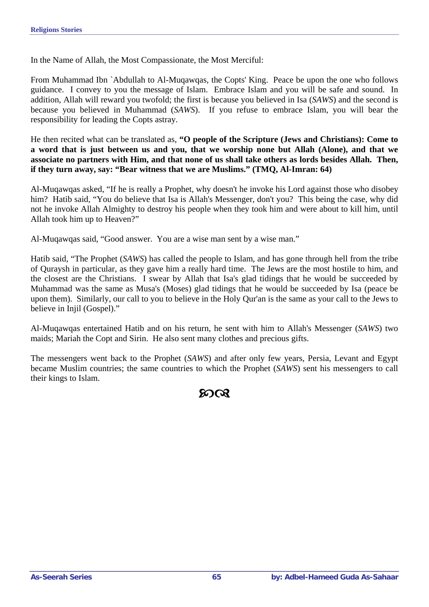In the Name of Allah, the Most Compassionate, the Most Merciful:

From Muhammad Ibn `Abdullah to Al-Muqawqas, the Copts' King. Peace be upon the one who follows guidance. I convey to you the message of Islam. Embrace Islam and you will be safe and sound. In addition, Allah will reward you twofold; the first is because you believed in Isa (*SAWS*) and the second is because you believed in Muhammad (*SAWS*). If you refuse to embrace Islam, you will bear the responsibility for leading the Copts astray.

He then recited what can be translated as, **"O people of the Scripture (Jews and Christians): Come to a word that is just between us and you, that we worship none but Allah (Alone), and that we associate no partners with Him, and that none of us shall take others as lords besides Allah. Then, if they turn away, say: "Bear witness that we are Muslims." (TMQ, Al-Imran: 64)** 

Al-Muqawqas asked, "If he is really a Prophet, why doesn't he invoke his Lord against those who disobey him? Hatib said, "You do believe that Isa is Allah's Messenger, don't you? This being the case, why did not he invoke Allah Almighty to destroy his people when they took him and were about to kill him, until Allah took him up to Heaven?"

Al-Muqawqas said, "Good answer. You are a wise man sent by a wise man."

Hatib said, "The Prophet (*SAWS*) has called the people to Islam, and has gone through hell from the tribe of Quraysh in particular, as they gave him a really hard time. The Jews are the most hostile to him, and the closest are the Christians. I swear by Allah that Isa's glad tidings that he would be succeeded by Muhammad was the same as Musa's (Moses) glad tidings that he would be succeeded by Isa (peace be upon them). Similarly, our call to you to believe in the Holy Qur'an is the same as your call to the Jews to believe in Injil (Gospel)."

Al-Muqawqas entertained Hatib and on his return, he sent with him to Allah's Messenger (*SAWS*) two maids; Mariah the Copt and Sirin. He also sent many clothes and precious gifts.

The messengers went back to the Prophet (*SAWS*) and after only few years, Persia, Levant and Egypt became Muslim countries; the same countries to which the Prophet (*SAWS*) sent his messengers to call their kings to Islam.

ന്റെ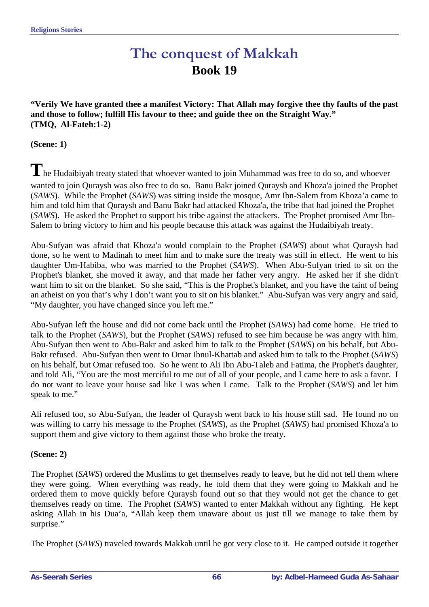# **The conquest of Makkah Book 19**

**"Verily We have granted thee a manifest Victory: That Allah may forgive thee thy faults of the past and those to follow; fulfill His favour to thee; and guide thee on the Straight Way." (TMQ, Al-Fateh:1-2)** 

**(Scene: 1)** 

The Hudaibiyah treaty stated that whoever wanted to join Muhammad was free to do so, and whoever wanted to join Quraysh was also free to do so. Banu Bakr joined Quraysh and Khoza'a joined the Prophet (*SAWS*). While the Prophet (*SAWS*) was sitting inside the mosque, Amr Ibn-Salem from Khoza'a came to him and told him that Quraysh and Banu Bakr had attacked Khoza'a, the tribe that had joined the Prophet (*SAWS*). He asked the Prophet to support his tribe against the attackers. The Prophet promised Amr Ibn-Salem to bring victory to him and his people because this attack was against the Hudaibiyah treaty.

Abu-Sufyan was afraid that Khoza'a would complain to the Prophet (*SAWS*) about what Quraysh had done, so he went to Madinah to meet him and to make sure the treaty was still in effect. He went to his daughter Um-Habiba, who was married to the Prophet (*SAWS*). When Abu-Sufyan tried to sit on the Prophet's blanket, she moved it away, and that made her father very angry. He asked her if she didn't want him to sit on the blanket. So she said, "This is the Prophet's blanket, and you have the taint of being an atheist on you that's why I don't want you to sit on his blanket." Abu-Sufyan was very angry and said, "My daughter, you have changed since you left me."

Abu-Sufyan left the house and did not come back until the Prophet (*SAWS*) had come home. He tried to talk to the Prophet (*SAWS*), but the Prophet (*SAWS*) refused to see him because he was angry with him. Abu-Sufyan then went to Abu-Bakr and asked him to talk to the Prophet (*SAWS*) on his behalf, but Abu-Bakr refused. Abu-Sufyan then went to Omar Ibnul-Khattab and asked him to talk to the Prophet (*SAWS*) on his behalf, but Omar refused too. So he went to Ali Ibn Abu-Taleb and Fatima, the Prophet's daughter, and told Ali, "You are the most merciful to me out of all of your people, and I came here to ask a favor. I do not want to leave your house sad like I was when I came. Talk to the Prophet (*SAWS*) and let him speak to me."

Ali refused too, so Abu-Sufyan, the leader of Quraysh went back to his house still sad. He found no on was willing to carry his message to the Prophet (*SAWS*), as the Prophet (*SAWS*) had promised Khoza'a to support them and give victory to them against those who broke the treaty.

#### **(Scene: 2)**

The Prophet (*SAWS*) ordered the Muslims to get themselves ready to leave, but he did not tell them where they were going. When everything was ready, he told them that they were going to Makkah and he ordered them to move quickly before Quraysh found out so that they would not get the chance to get themselves ready on time. The Prophet (*SAWS*) wanted to enter Makkah without any fighting. He kept asking Allah in his Dua'a, "Allah keep them unaware about us just till we manage to take them by surprise."

The Prophet (*SAWS*) traveled towards Makkah until he got very close to it. He camped outside it together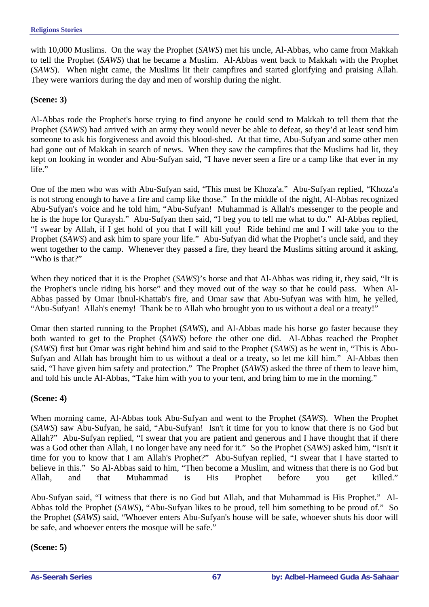with 10,000 Muslims. On the way the Prophet (*SAWS*) met his uncle, Al-Abbas, who came from Makkah to tell the Prophet (*SAWS*) that he became a Muslim. Al-Abbas went back to Makkah with the Prophet (*SAWS*). When night came, the Muslims lit their campfires and started glorifying and praising Allah. They were warriors during the day and men of worship during the night.

#### **(Scene: 3)**

Al-Abbas rode the Prophet's horse trying to find anyone he could send to Makkah to tell them that the Prophet (*SAWS*) had arrived with an army they would never be able to defeat, so they'd at least send him someone to ask his forgiveness and avoid this blood-shed. At that time, Abu-Sufyan and some other men had gone out of Makkah in search of news. When they saw the campfires that the Muslims had lit, they kept on looking in wonder and Abu-Sufyan said, "I have never seen a fire or a camp like that ever in my life."

One of the men who was with Abu-Sufyan said, "This must be Khoza'a." Abu-Sufyan replied, "Khoza'a is not strong enough to have a fire and camp like those." In the middle of the night, Al-Abbas recognized Abu-Sufyan's voice and he told him, "Abu-Sufyan! Muhammad is Allah's messenger to the people and he is the hope for Quraysh." Abu-Sufyan then said, "I beg you to tell me what to do." Al-Abbas replied, "I swear by Allah, if I get hold of you that I will kill you! Ride behind me and I will take you to the Prophet (*SAWS*) and ask him to spare your life." Abu-Sufyan did what the Prophet's uncle said, and they went together to the camp. Whenever they passed a fire, they heard the Muslims sitting around it asking, "Who is that?"

When they noticed that it is the Prophet (*SAWS*)'s horse and that Al-Abbas was riding it, they said, "It is the Prophet's uncle riding his horse" and they moved out of the way so that he could pass. When Al-Abbas passed by Omar Ibnul-Khattab's fire, and Omar saw that Abu-Sufyan was with him, he yelled, "Abu-Sufyan! Allah's enemy! Thank be to Allah who brought you to us without a deal or a treaty!"

Omar then started running to the Prophet (*SAWS*), and Al-Abbas made his horse go faster because they both wanted to get to the Prophet (*SAWS*) before the other one did. Al-Abbas reached the Prophet (*SAWS*) first but Omar was right behind him and said to the Prophet (*SAWS*) as he went in, "This is Abu-Sufyan and Allah has brought him to us without a deal or a treaty, so let me kill him." Al-Abbas then said, "I have given him safety and protection." The Prophet (*SAWS*) asked the three of them to leave him, and told his uncle Al-Abbas, "Take him with you to your tent, and bring him to me in the morning."

#### **(Scene: 4)**

When morning came, Al-Abbas took Abu-Sufyan and went to the Prophet (*SAWS*). When the Prophet (*SAWS*) saw Abu-Sufyan, he said, "Abu-Sufyan! Isn't it time for you to know that there is no God but Allah?" Abu-Sufyan replied, "I swear that you are patient and generous and I have thought that if there was a God other than Allah, I no longer have any need for it." So the Prophet (*SAWS*) asked him, "Isn't it time for you to know that I am Allah's Prophet?" Abu-Sufyan replied, "I swear that I have started to believe in this." So Al-Abbas said to him, "Then become a Muslim, and witness that there is no God but Allah, and that Muhammad is His Prophet before you get killed."

Abu-Sufyan said, "I witness that there is no God but Allah, and that Muhammad is His Prophet." Al-Abbas told the Prophet (*SAWS*), "Abu-Sufyan likes to be proud, tell him something to be proud of." So the Prophet (*SAWS*) said, "Whoever enters Abu-Sufyan's house will be safe, whoever shuts his door will be safe, and whoever enters the mosque will be safe."

#### **(Scene: 5)**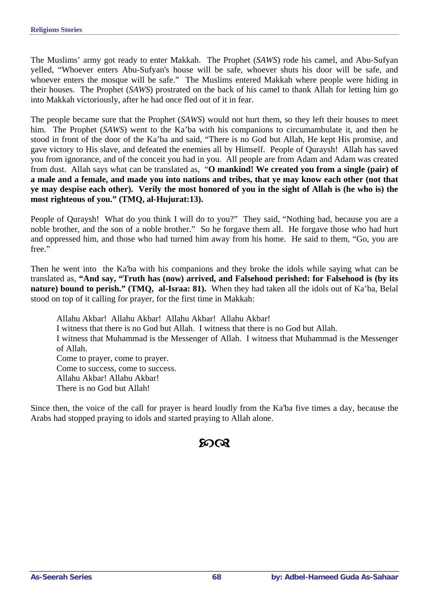The Muslims' army got ready to enter Makkah. The Prophet (*SAWS*) rode his camel, and Abu-Sufyan yelled, "Whoever enters Abu-Sufyan's house will be safe, whoever shuts his door will be safe, and whoever enters the mosque will be safe." The Muslims entered Makkah where people were hiding in their houses. The Prophet (*SAWS*) prostrated on the back of his camel to thank Allah for letting him go into Makkah victoriously, after he had once fled out of it in fear.

The people became sure that the Prophet (*SAWS*) would not hurt them, so they left their houses to meet him. The Prophet (*SAWS*) went to the Ka'ba with his companions to circumambulate it, and then he stood in front of the door of the Ka'ba and said, "There is no God but Allah, He kept His promise, and gave victory to His slave, and defeated the enemies all by Himself. People of Quraysh! Allah has saved you from ignorance, and of the conceit you had in you. All people are from Adam and Adam was created from dust. Allah says what can be translated as, "**O mankind! We created you from a single (pair) of a male and a female, and made you into nations and tribes, that ye may know each other (not that ye may despise each other). Verily the most honored of you in the sight of Allah is (he who is) the most righteous of you." (TMQ, al-Hujurat:13).**

People of Quraysh! What do you think I will do to you?" They said, "Nothing bad, because you are a noble brother, and the son of a noble brother." So he forgave them all. He forgave those who had hurt and oppressed him, and those who had turned him away from his home. He said to them, "Go, you are free."

Then he went into the Ka'ba with his companions and they broke the idols while saying what can be translated as, **"And say, "Truth has (now) arrived, and Falsehood perished: for Falsehood is (by its nature) bound to perish." (TMQ, al-Israa: 81).** When they had taken all the idols out of Ka'ba, Belal stood on top of it calling for prayer, for the first time in Makkah:

Allahu Akbar!Allahu Akbar! Allahu Akbar!Allahu Akbar! I witness that there is no God but Allah. I witness that there is no God but Allah. I witness that Muhammad is the Messenger of Allah. I witness that Muhammad is the Messenger of Allah. Come to prayer, come to prayer. Come to success, come to success. Allahu Akbar! Allahu Akbar! There is no God but Allah!

Since then, the voice of the call for prayer is heard loudly from the Ka'ba five times a day, because the Arabs had stopped praying to idols and started praying to Allah alone.

# $20$ ର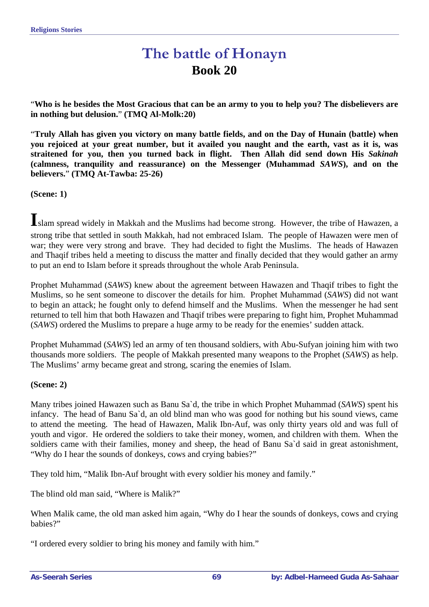# **The battle of Honayn Book 20**

"**Who is he besides the Most Gracious that can be an army to you to help you? The disbelievers are in nothing but delusion.**" **(TMQ Al-Molk:20)** 

"**Truly Allah has given you victory on many battle fields, and on the Day of Hunain (battle) when you rejoiced at your great number, but it availed you naught and the earth, vast as it is, was straitened for you, then you turned back in flight. Then Allah did send down His** *Sakinah* **(calmness, tranquility and reassurance) on the Messenger (Muhammad** *SAWS***), and on the believers.**" **(TMQ At-Tawba: 25-26)**

**(Scene: 1)** 

**I**slam spread widely in Makkah and the Muslims had become strong. However, the tribe of Hawazen, a strong tribe that settled in south Makkah, had not embraced Islam. The people of Hawazen were men of war; they were very strong and brave. They had decided to fight the Muslims. The heads of Hawazen and Thaqif tribes held a meeting to discuss the matter and finally decided that they would gather an army to put an end to Islam before it spreads throughout the whole Arab Peninsula.

Prophet Muhammad (*SAWS*) knew about the agreement between Hawazen and Thaqif tribes to fight the Muslims, so he sent someone to discover the details for him. Prophet Muhammad (*SAWS*) did not want to begin an attack; he fought only to defend himself and the Muslims. When the messenger he had sent returned to tell him that both Hawazen and Thaqif tribes were preparing to fight him, Prophet Muhammad (*SAWS*) ordered the Muslims to prepare a huge army to be ready for the enemies' sudden attack.

Prophet Muhammad (*SAWS*) led an army of ten thousand soldiers, with Abu-Sufyan joining him with two thousands more soldiers. The people of Makkah presented many weapons to the Prophet (*SAWS*) as help. The Muslims' army became great and strong, scaring the enemies of Islam.

#### **(Scene: 2)**

Many tribes joined Hawazen such as Banu Sa`d, the tribe in which Prophet Muhammad (*SAWS*) spent his infancy. The head of Banu Sa`d, an old blind man who was good for nothing but his sound views, came to attend the meeting. The head of Hawazen, Malik Ibn-Auf, was only thirty years old and was full of youth and vigor. He ordered the soldiers to take their money, women, and children with them. When the soldiers came with their families, money and sheep, the head of Banu Sa'd said in great astonishment, "Why do I hear the sounds of donkeys, cows and crying babies?"

They told him, "Malik Ibn-Auf brought with every soldier his money and family."

The blind old man said, "Where is Malik?"

When Malik came, the old man asked him again, "Why do I hear the sounds of donkeys, cows and crying babies?"

"I ordered every soldier to bring his money and family with him."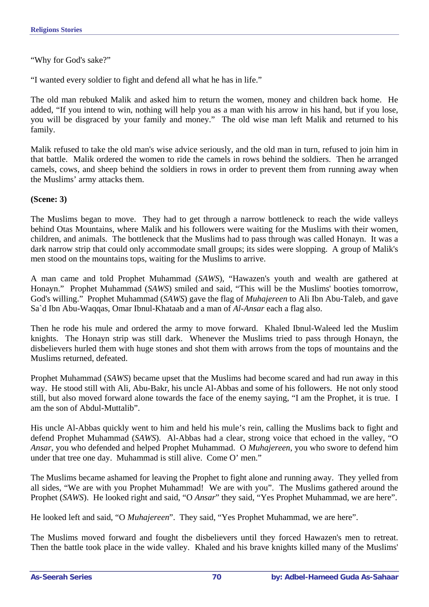"Why for God's sake?"

"I wanted every soldier to fight and defend all what he has in life."

The old man rebuked Malik and asked him to return the women, money and children back home. He added, "If you intend to win, nothing will help you as a man with his arrow in his hand, but if you lose, you will be disgraced by your family and money." The old wise man left Malik and returned to his family.

Malik refused to take the old man's wise advice seriously, and the old man in turn, refused to join him in that battle. Malik ordered the women to ride the camels in rows behind the soldiers. Then he arranged camels, cows, and sheep behind the soldiers in rows in order to prevent them from running away when the Muslims' army attacks them.

#### **(Scene: 3)**

The Muslims began to move. They had to get through a narrow bottleneck to reach the wide valleys behind Otas Mountains, where Malik and his followers were waiting for the Muslims with their women, children, and animals. The bottleneck that the Muslims had to pass through was called Honayn. It was a dark narrow strip that could only accommodate small groups; its sides were slopping. A group of Malik's men stood on the mountains tops, waiting for the Muslims to arrive.

A man came and told Prophet Muhammad (*SAWS*), "Hawazen's youth and wealth are gathered at Honayn." Prophet Muhammad (*SAWS*) smiled and said, "This will be the Muslims' booties tomorrow, God's willing." Prophet Muhammad (*SAWS*) gave the flag of *Muhajereen* to Ali Ibn Abu-Taleb, and gave Sa`d Ibn Abu-Waqqas, Omar Ibnul-Khataab and a man of *Al-Ansar* each a flag also.

Then he rode his mule and ordered the army to move forward. Khaled Ibnul-Waleed led the Muslim knights. The Honayn strip was still dark. Whenever the Muslims tried to pass through Honayn, the disbelievers hurled them with huge stones and shot them with arrows from the tops of mountains and the Muslims returned, defeated.

Prophet Muhammad (*SAWS*) became upset that the Muslims had become scared and had run away in this way. He stood still with Ali, Abu-Bakr, his uncle Al-Abbas and some of his followers. He not only stood still, but also moved forward alone towards the face of the enemy saying, "I am the Prophet, it is true. I am the son of Abdul-Muttalib".

His uncle Al-Abbas quickly went to him and held his mule's rein, calling the Muslims back to fight and defend Prophet Muhammad (*SAWS*). Al-Abbas had a clear, strong voice that echoed in the valley, "O *Ansar*, you who defended and helped Prophet Muhammad. O *Muhajereen*, you who swore to defend him under that tree one day. Muhammad is still alive. Come O' men."

The Muslims became ashamed for leaving the Prophet to fight alone and running away. They yelled from all sides, "We are with you Prophet Muhammad! We are with you". The Muslims gathered around the Prophet (*SAWS*). He looked right and said, "O *Ansar*" they said, "Yes Prophet Muhammad, we are here".

He looked left and said, "O *Muhajereen*". They said, "Yes Prophet Muhammad, we are here".

The Muslims moved forward and fought the disbelievers until they forced Hawazen's men to retreat. Then the battle took place in the wide valley. Khaled and his brave knights killed many of the Muslims'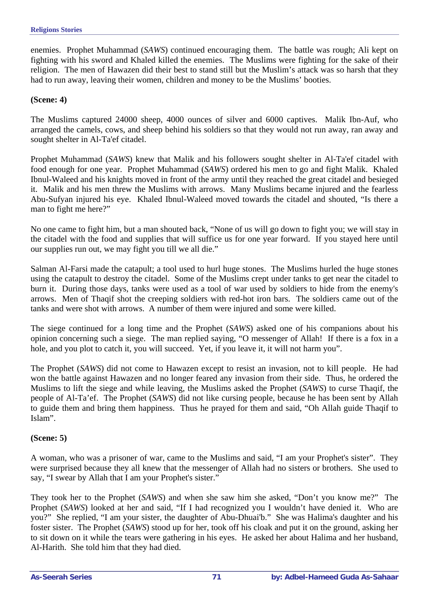enemies. Prophet Muhammad (*SAWS*) continued encouraging them. The battle was rough; Ali kept on fighting with his sword and Khaled killed the enemies. The Muslims were fighting for the sake of their religion. The men of Hawazen did their best to stand still but the Muslim's attack was so harsh that they had to run away, leaving their women, children and money to be the Muslims' booties.

## **(Scene: 4)**

The Muslims captured 24000 sheep, 4000 ounces of silver and 6000 captives. Malik Ibn-Auf, who arranged the camels, cows, and sheep behind his soldiers so that they would not run away, ran away and sought shelter in Al-Ta'ef citadel.

Prophet Muhammad (*SAWS*) knew that Malik and his followers sought shelter in Al-Ta'ef citadel with food enough for one year. Prophet Muhammad (*SAWS*) ordered his men to go and fight Malik. Khaled Ibnul-Waleed and his knights moved in front of the army until they reached the great citadel and besieged it. Malik and his men threw the Muslims with arrows. Many Muslims became injured and the fearless Abu-Sufyan injured his eye. Khaled Ibnul-Waleed moved towards the citadel and shouted, "Is there a man to fight me here?"

No one came to fight him, but a man shouted back, "None of us will go down to fight you; we will stay in the citadel with the food and supplies that will suffice us for one year forward. If you stayed here until our supplies run out, we may fight you till we all die."

Salman Al-Farsi made the catapult; a tool used to hurl huge stones. The Muslims hurled the huge stones using the catapult to destroy the citadel. Some of the Muslims crept under tanks to get near the citadel to burn it. During those days, tanks were used as a tool of war used by soldiers to hide from the enemy's arrows. Men of Thaqif shot the creeping soldiers with red-hot iron bars. The soldiers came out of the tanks and were shot with arrows. A number of them were injured and some were killed.

The siege continued for a long time and the Prophet (*SAWS*) asked one of his companions about his opinion concerning such a siege. The man replied saying, "O messenger of Allah! If there is a fox in a hole, and you plot to catch it, you will succeed. Yet, if you leave it, it will not harm you".

The Prophet (*SAWS*) did not come to Hawazen except to resist an invasion, not to kill people. He had won the battle against Hawazen and no longer feared any invasion from their side. Thus, he ordered the Muslims to lift the siege and while leaving, the Muslims asked the Prophet (*SAWS*) to curse Thaqif, the people of Al-Ta'ef. The Prophet (*SAWS*) did not like cursing people, because he has been sent by Allah to guide them and bring them happiness. Thus he prayed for them and said, "Oh Allah guide Thaqif to Islam".

## **(Scene: 5)**

A woman, who was a prisoner of war, came to the Muslims and said, "I am your Prophet's sister". They were surprised because they all knew that the messenger of Allah had no sisters or brothers. She used to say, "I swear by Allah that I am your Prophet's sister."

They took her to the Prophet (*SAWS*) and when she saw him she asked, "Don't you know me?" The Prophet (*SAWS*) looked at her and said, "If I had recognized you I wouldn't have denied it. Who are you?" She replied, "I am your sister, the daughter of Abu-Dhuai'b." She was Halima's daughter and his foster sister. The Prophet (*SAWS*) stood up for her, took off his cloak and put it on the ground, asking her to sit down on it while the tears were gathering in his eyes. He asked her about Halima and her husband, Al-Harith. She told him that they had died.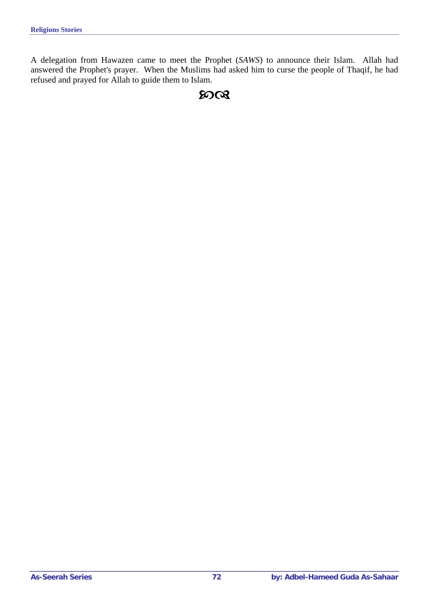A delegation from Hawazen came to meet the Prophet (*SAWS*) to announce their Islam. Allah had answered the Prophet's prayer. When the Muslims had asked him to curse the people of Thaqif, he had refused and prayed for Allah to guide them to Islam.

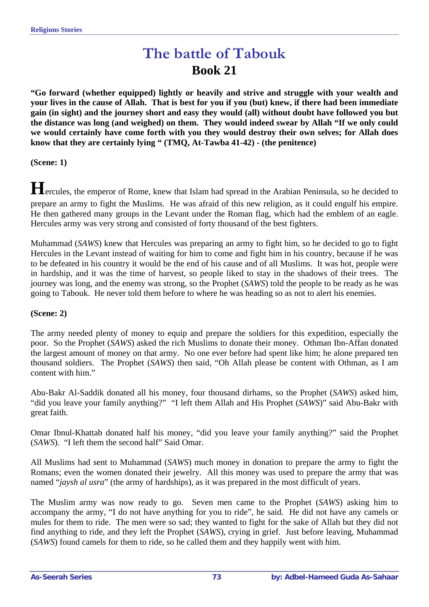# **The battle of Tabouk Book 21**

**"Go forward (whether equipped) lightly or heavily and strive and struggle with your wealth and your lives in the cause of Allah. That is best for you if you (but) knew, if there had been immediate gain (in sight) and the journey short and easy they would (all) without doubt have followed you but the distance was long (and weighed) on them. They would indeed swear by Allah "If we only could we would certainly have come forth with you they would destroy their own selves; for Allah does know that they are certainly lying " (TMQ, At-Tawba 41-42) - (the penitence)**

**(Scene: 1)** 

**H**ercules, the emperor of Rome, knew that Islam had spread in the Arabian Peninsula, so he decided to prepare an army to fight the Muslims. He was afraid of this new religion, as it could engulf his empire. He then gathered many groups in the Levant under the Roman flag, which had the emblem of an eagle. Hercules army was very strong and consisted of forty thousand of the best fighters.

Muhammad (*SAWS*) knew that Hercules was preparing an army to fight him, so he decided to go to fight Hercules in the Levant instead of waiting for him to come and fight him in his country, because if he was to be defeated in his country it would be the end of his cause and of all Muslims. It was hot, people were in hardship, and it was the time of harvest, so people liked to stay in the shadows of their trees. The journey was long, and the enemy was strong, so the Prophet (*SAWS*) told the people to be ready as he was going to Tabouk. He never told them before to where he was heading so as not to alert his enemies.

#### **(Scene: 2)**

The army needed plenty of money to equip and prepare the soldiers for this expedition, especially the poor. So the Prophet (*SAWS*) asked the rich Muslims to donate their money. Othman Ibn-Affan donated the largest amount of money on that army. No one ever before had spent like him; he alone prepared ten thousand soldiers. The Prophet (*SAWS*) then said, "Oh Allah please be content with Othman, as I am content with him."

Abu-Bakr Al-Saddik donated all his money, four thousand dirhams, so the Prophet (*SAWS*) asked him, "did you leave your family anything?" "I left them Allah and His Prophet (*SAWS*)" said Abu-Bakr with great faith.

Omar Ibnul-Khattab donated half his money, "did you leave your family anything?" said the Prophet (*SAWS*). "I left them the second half" Said Omar.

All Muslims had sent to Muhammad (*SAWS*) much money in donation to prepare the army to fight the Romans; even the women donated their jewelry. All this money was used to prepare the army that was named "*jaysh al usra*" (the army of hardships), as it was prepared in the most difficult of years.

The Muslim army was now ready to go. Seven men came to the Prophet (*SAWS*) asking him to accompany the army, "I do not have anything for you to ride", he said. He did not have any camels or mules for them to ride. The men were so sad; they wanted to fight for the sake of Allah but they did not find anything to ride, and they left the Prophet (*SAWS*), crying in grief. Just before leaving, Muhammad (*SAWS*) found camels for them to ride, so he called them and they happily went with him.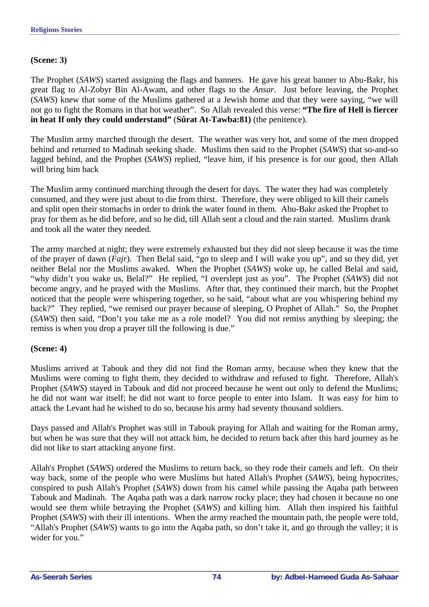#### **(Scene: 3)**

The Prophet (*SAWS*) started assigning the flags and banners. He gave his great banner to Abu-Bakr, his great flag to Al-Zobyr Bin Al-Awam, and other flags to the *Ansar*. Just before leaving, the Prophet (*SAWS*) knew that some of the Muslims gathered at a Jewish home and that they were saying, "we will not go to fight the Romans in that hot weather". So Allah revealed this verse: **"The fire of Hell is fiercer in heat If only they could understand"** (**Sûrat At-Tawba:81)** (the penitence).

The Muslim army marched through the desert. The weather was very hot, and some of the men dropped behind and returned to Madinah seeking shade. Muslims then said to the Prophet (*SAWS*) that so-and-so lagged behind, and the Prophet (*SAWS*) replied, "leave him, if his presence is for our good, then Allah will bring him back

The Muslim army continued marching through the desert for days. The water they had was completely consumed, and they were just about to die from thirst. Therefore, they were obliged to kill their camels and split open their stomachs in order to drink the water found in them. Abu-Bakr asked the Prophet to pray for them as he did before, and so he did, till Allah sent a cloud and the rain started. Muslims drank and took all the water they needed.

The army marched at night; they were extremely exhausted but they did not sleep because it was the time of the prayer of dawn (*Fajr*). Then Belal said, "go to sleep and I will wake you up", and so they did, yet neither Belal nor the Muslims awaked. When the Prophet (*SAWS*) woke up, he called Belal and said, "why didn't you wake us, Belal?" He replied, "I overslept just as you". The Prophet (*SAWS*) did not become angry, and he prayed with the Muslims. After that, they continued their march, but the Prophet noticed that the people were whispering together, so he said, "about what are you whispering behind my back?" They replied, "we remised our prayer because of sleeping, O Prophet of Allah." So, the Prophet (*SAWS*) then said, "Don't you take me as a role model? You did not remiss anything by sleeping; the remiss is when you drop a prayer till the following is due."

#### **(Scene: 4)**

Muslims arrived at Tabouk and they did not find the Roman army, because when they knew that the Muslims were coming to fight them, they decided to withdraw and refused to fight. Therefore, Allah's Prophet (*SAWS*) stayed in Tabouk and did not proceed because he went out only to defend the Muslims; he did not want war itself; he did not want to force people to enter into Islam. It was easy for him to attack the Levant had he wished to do so, because his army had seventy thousand soldiers.

Days passed and Allah's Prophet was still in Tabouk praying for Allah and waiting for the Roman army, but when he was sure that they will not attack him, he decided to return back after this hard journey as he did not like to start attacking anyone first.

Allah's Prophet (*SAWS*) ordered the Muslims to return back, so they rode their camels and left. On their way back, some of the people who were Muslims but hated Allah's Prophet (*SAWS*), being hypocrites, conspired to push Allah's Prophet (*SAWS*) down from his camel while passing the Aqaba path between Tabouk and Madinah. The Aqaba path was a dark narrow rocky place; they had chosen it because no one would see them while betraying the Prophet (*SAWS*) and killing him. Allah then inspired his faithful Prophet (*SAWS*) with their ill intentions. When the army reached the mountain path, the people were told, "Allah's Prophet (*SAWS*) wants to go into the Aqaba path, so don't take it, and go through the valley; it is wider for you."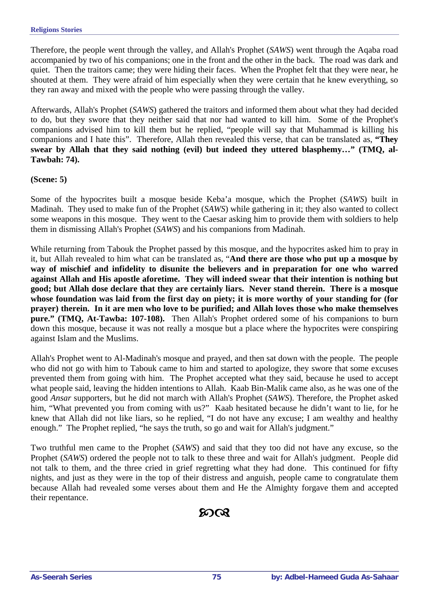Therefore, the people went through the valley, and Allah's Prophet (*SAWS*) went through the Aqaba road accompanied by two of his companions; one in the front and the other in the back. The road was dark and quiet. Then the traitors came; they were hiding their faces. When the Prophet felt that they were near, he shouted at them. They were afraid of him especially when they were certain that he knew everything, so they ran away and mixed with the people who were passing through the valley.

Afterwards, Allah's Prophet (*SAWS*) gathered the traitors and informed them about what they had decided to do, but they swore that they neither said that nor had wanted to kill him. Some of the Prophet's companions advised him to kill them but he replied, "people will say that Muhammad is killing his companions and I hate this". Therefore, Allah then revealed this verse, that can be translated as, **"They swear by Allah that they said nothing (evil) but indeed they uttered blasphemy…" (TMQ, al-Tawbah: 74).** 

#### **(Scene: 5)**

Some of the hypocrites built a mosque beside Keba'a mosque, which the Prophet (*SAWS*) built in Madinah. They used to make fun of the Prophet (*SAWS*) while gathering in it; they also wanted to collect some weapons in this mosque. They went to the Caesar asking him to provide them with soldiers to help them in dismissing Allah's Prophet (*SAWS*) and his companions from Madinah.

While returning from Tabouk the Prophet passed by this mosque, and the hypocrites asked him to pray in it, but Allah revealed to him what can be translated as, "**And there are those who put up a mosque by way of mischief and infidelity to disunite the believers and in preparation for one who warred against Allah and His apostle aforetime. They will indeed swear that their intention is nothing but good; but Allah dose declare that they are certainly liars. Never stand therein. There is a mosque whose foundation was laid from the first day on piety; it is more worthy of your standing for (for prayer) therein. In it are men who love to be purified; and Allah loves those who make themselves pure." (TMQ, At-Tawba: 107-108).** Then Allah's Prophet ordered some of his companions to burn down this mosque, because it was not really a mosque but a place where the hypocrites were conspiring against Islam and the Muslims.

Allah's Prophet went to Al-Madinah's mosque and prayed, and then sat down with the people. The people who did not go with him to Tabouk came to him and started to apologize, they swore that some excuses prevented them from going with him. The Prophet accepted what they said, because he used to accept what people said, leaving the hidden intentions to Allah. Kaab Bin-Malik came also, as he was one of the good *Ansar* supporters, but he did not march with Allah's Prophet (*SAWS*). Therefore, the Prophet asked him, "What prevented you from coming with us?" Kaab hesitated because he didn't want to lie, for he knew that Allah did not like liars, so he replied, "I do not have any excuse; I am wealthy and healthy enough." The Prophet replied, "he says the truth, so go and wait for Allah's judgment."

Two truthful men came to the Prophet (*SAWS*) and said that they too did not have any excuse, so the Prophet (*SAWS*) ordered the people not to talk to these three and wait for Allah's judgment. People did not talk to them, and the three cried in grief regretting what they had done. This continued for fifty nights, and just as they were in the top of their distress and anguish, people came to congratulate them because Allah had revealed some verses about them and He the Almighty forgave them and accepted their repentance.

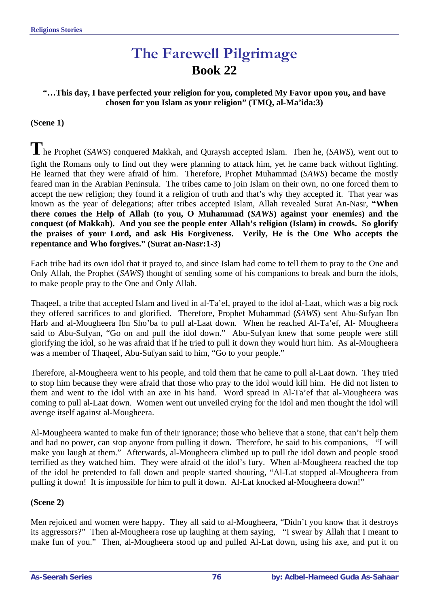# **The Farewell Pilgrimage Book 22**

#### **"…This day, I have perfected your religion for you, completed My Favor upon you, and have chosen for you Islam as your religion" (TMQ, al-Ma'ida:3)**

#### **(Scene 1)**

**T**he Prophet (*SAWS*) conquered Makkah, and Quraysh accepted Islam. Then he, (*SAWS*), went out to fight the Romans only to find out they were planning to attack him, yet he came back without fighting. He learned that they were afraid of him. Therefore, Prophet Muhammad (*SAWS*) became the mostly feared man in the Arabian Peninsula. The tribes came to join Islam on their own, no one forced them to accept the new religion; they found it a religion of truth and that's why they accepted it. That year was known as the year of delegations; after tribes accepted Islam, Allah revealed Surat An-Nasr, **"When there comes the Help of Allah (to you, O Muhammad (***SAWS***) against your enemies) and the conquest (of Makkah). And you see the people enter Allah's religion (Islam) in crowds. So glorify the praises of your Lord, and ask His Forgiveness. Verily, He is the One Who accepts the repentance and Who forgives." (Surat an-Nasr:1-3)** 

Each tribe had its own idol that it prayed to, and since Islam had come to tell them to pray to the One and Only Allah, the Prophet (*SAWS*) thought of sending some of his companions to break and burn the idols, to make people pray to the One and Only Allah.

Thaqeef, a tribe that accepted Islam and lived in al-Ta'ef, prayed to the idol al-Laat, which was a big rock they offered sacrifices to and glorified. Therefore, Prophet Muhammad (*SAWS*) sent Abu-Sufyan Ibn Harb and al-Mougheera Ibn Sho'ba to pull al-Laat down. When he reached Al-Ta'ef, Al- Mougheera said to Abu-Sufyan, "Go on and pull the idol down." Abu-Sufyan knew that some people were still glorifying the idol, so he was afraid that if he tried to pull it down they would hurt him. As al-Mougheera was a member of Thaqeef, Abu-Sufyan said to him, "Go to your people."

Therefore, al-Mougheera went to his people, and told them that he came to pull al-Laat down. They tried to stop him because they were afraid that those who pray to the idol would kill him. He did not listen to them and went to the idol with an axe in his hand. Word spread in Al-Ta'ef that al-Mougheera was coming to pull al-Laat down. Women went out unveiled crying for the idol and men thought the idol will avenge itself against al-Mougheera.

Al-Mougheera wanted to make fun of their ignorance; those who believe that a stone, that can't help them and had no power, can stop anyone from pulling it down. Therefore, he said to his companions, "I will make you laugh at them." Afterwards, al-Mougheera climbed up to pull the idol down and people stood terrified as they watched him. They were afraid of the idol's fury. When al-Mougheera reached the top of the idol he pretended to fall down and people started shouting, "Al-Lat stopped al-Mougheera from pulling it down! It is impossible for him to pull it down. Al-Lat knocked al-Mougheera down!"

#### **(Scene 2)**

Men rejoiced and women were happy. They all said to al-Mougheera, "Didn't you know that it destroys its aggressors?" Then al-Mougheera rose up laughing at them saying, "I swear by Allah that I meant to make fun of you." Then, al-Mougheera stood up and pulled Al-Lat down, using his axe, and put it on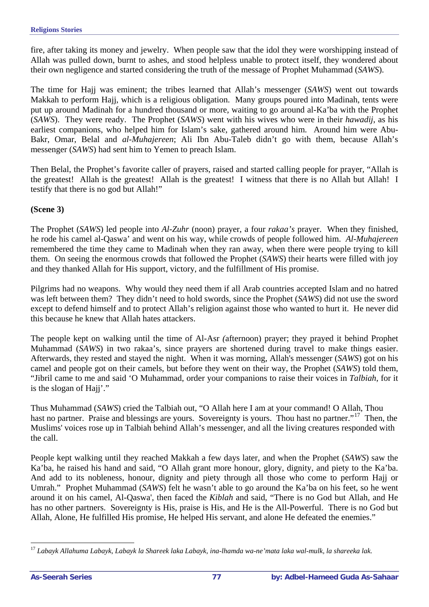fire, after taking its money and jewelry. When people saw that the idol they were worshipping instead of Allah was pulled down, burnt to ashes, and stood helpless unable to protect itself, they wondered about their own negligence and started considering the truth of the message of Prophet Muhammad (*SAWS*).

The time for Hajj was eminent; the tribes learned that Allah's messenger (*SAWS*) went out towards Makkah to perform Hajj, which is a religious obligation. Many groups poured into Madinah, tents were put up around Madinah for a hundred thousand or more, waiting to go around al-Ka'ba with the Prophet (*SAWS*). They were ready. The Prophet (*SAWS*) went with his wives who were in their *hawadij*, as his earliest companions, who helped him for Islam's sake, gathered around him. Around him were Abu-Bakr, Omar, Belal and *al-Muhajereen*; Ali Ibn Abu-Taleb didn't go with them, because Allah's messenger (*SAWS*) had sent him to Yemen to preach Islam.

Then Belal, the Prophet's favorite caller of prayers, raised and started calling people for prayer, "Allah is the greatest! Allah is the greatest! Allah is the greatest! I witness that there is no Allah but Allah! I testify that there is no god but Allah!"

#### **(Scene 3)**

The Prophet (*SAWS*) led people into *Al-Zuhr* (noon) prayer, a four *rakaa's* prayer. When they finished, he rode his camel al-Qaswa' and went on his way, while crowds of people followed him. *Al-Muhajereen* remembered the time they came to Madinah when they ran away, when there were people trying to kill them. On seeing the enormous crowds that followed the Prophet (*SAWS*) their hearts were filled with joy and they thanked Allah for His support, victory, and the fulfillment of His promise.

Pilgrims had no weapons. Why would they need them if all Arab countries accepted Islam and no hatred was left between them? They didn't need to hold swords, since the Prophet (*SAWS*) did not use the sword except to defend himself and to protect Allah's religion against those who wanted to hurt it. He never did this because he knew that Allah hates attackers.

The people kept on walking until the time of Al-Asr *(*afternoon) prayer; they prayed it behind Prophet Muhammad (*SAWS*) in two rakaa's*,* since prayers are shortened during travel to make things easier. Afterwards, they rested and stayed the night. When it was morning, Allah's messenger (*SAWS*) got on his camel and people got on their camels, but before they went on their way, the Prophet (*SAWS*) told them, "Jibril came to me and said 'O Muhammad, order your companions to raise their voices in *Talbiah*, for it is the slogan of Hajj'."

Thus Muhammad (*SAWS*) cried the Talbiah out, "O Allah here I am at your command! O Allah, Thou hast no partner. Praise and blessings are yours. Sovereignty is yours. Thou hast no partner."<sup>[17](#page-76-0)</sup> Then, the Muslims' voices rose up in Talbiah behind Allah's messenger, and all the living creatures responded with the call.

People kept walking until they reached Makkah a few days later, and when the Prophet (*SAWS*) saw the Ka'ba, he raised his hand and said, "O Allah grant more honour, glory, dignity, and piety to the Ka'ba. And add to its nobleness, honour, dignity and piety through all those who come to perform Hajj or Umrah." Prophet Muhammad (*SAWS*) felt he wasn't able to go around the Ka'ba on his feet, so he went around it on his camel, Al-Qaswa', then faced the *Kiblah* and said, "There is no God but Allah, and He has no other partners. Sovereignty is His, praise is His, and He is the All-Powerful. There is no God but Allah, Alone, He fulfilled His promise, He helped His servant, and alone He defeated the enemies."

<span id="page-76-0"></span> $\overline{a}$ <sup>17</sup> *Labayk Allahuma Labayk, Labayk la Shareek laka Labayk, ina-lhamda wa-ne'mata laka wal-mulk, la shareeka lak.*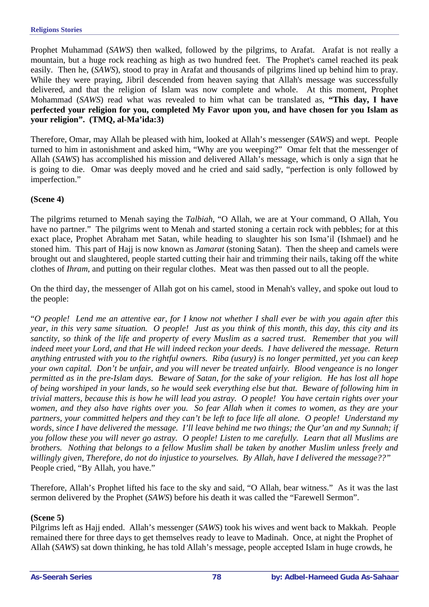Prophet Muhammad (*SAWS*) then walked, followed by the pilgrims, to Arafat. Arafat is not really a mountain, but a huge rock reaching as high as two hundred feet. The Prophet's camel reached its peak easily. Then he, (*SAWS*), stood to pray in Arafat and thousands of pilgrims lined up behind him to pray. While they were praying, Jibril descended from heaven saying that Allah's message was successfully delivered, and that the religion of Islam was now complete and whole. At this moment, Prophet Mohammad (*SAWS*) read what was revealed to him what can be translated as, **"This day, I have perfected your religion for you, completed My Favor upon you, and have chosen for you Islam as your religion". (TMQ, al-Ma'ida:3)** 

Therefore, Omar, may Allah be pleased with him, looked at Allah's messenger (*SAWS*) and wept. People turned to him in astonishment and asked him, "Why are you weeping?" Omar felt that the messenger of Allah (*SAWS*) has accomplished his mission and delivered Allah's message, which is only a sign that he is going to die. Omar was deeply moved and he cried and said sadly, "perfection is only followed by imperfection."

#### **(Scene 4)**

The pilgrims returned to Menah saying the *Talbiah*, "O Allah, we are at Your command, O Allah, You have no partner." The pilgrims went to Menah and started stoning a certain rock with pebbles; for at this exact place, Prophet Abraham met Satan, while heading to slaughter his son Isma'il (Ishmael) and he stoned him. This part of Hajj is now known as *Jamarat* (stoning Satan). Then the sheep and camels were brought out and slaughtered, people started cutting their hair and trimming their nails, taking off the white clothes of *Ihram*, and putting on their regular clothes. Meat was then passed out to all the people.

On the third day, the messenger of Allah got on his camel, stood in Menah's valley, and spoke out loud to the people:

"*O people! Lend me an attentive ear, for I know not whether I shall ever be with you again after this year, in this very same situation. O people! Just as you think of this month, this day, this city and its sanctity, so think of the life and property of every Muslim as a sacred trust. Remember that you will indeed meet your Lord, and that He will indeed reckon your deeds. I have delivered the message. Return anything entrusted with you to the rightful owners. Riba (usury) is no longer permitted, yet you can keep your own capital. Don't be unfair, and you will never be treated unfairly. Blood vengeance is no longer permitted as in the pre-Islam days. Beware of Satan, for the sake of your religion. He has lost all hope of being worshiped in your lands, so he would seek everything else but that. Beware of following him in trivial matters, because this is how he will lead you astray. O people! You have certain rights over your women, and they also have rights over you. So fear Allah when it comes to women, as they are your partners, your committed helpers and they can't be left to face life all alone. O people! Understand my words, since I have delivered the message. I'll leave behind me two things; the Qur'an and my Sunnah; if you follow these you will never go astray. O people! Listen to me carefully. Learn that all Muslims are brothers. Nothing that belongs to a fellow Muslim shall be taken by another Muslim unless freely and willingly given, Therefore, do not do injustice to yourselves. By Allah, have I delivered the message??"*  People cried, "By Allah, you have."

Therefore, Allah's Prophet lifted his face to the sky and said, "O Allah, bear witness." As it was the last sermon delivered by the Prophet (*SAWS*) before his death it was called the "Farewell Sermon".

#### **(Scene 5)**

Pilgrims left as Hajj ended. Allah's messenger (*SAWS*) took his wives and went back to Makkah. People remained there for three days to get themselves ready to leave to Madinah. Once, at night the Prophet of Allah (*SAWS*) sat down thinking, he has told Allah's message, people accepted Islam in huge crowds, he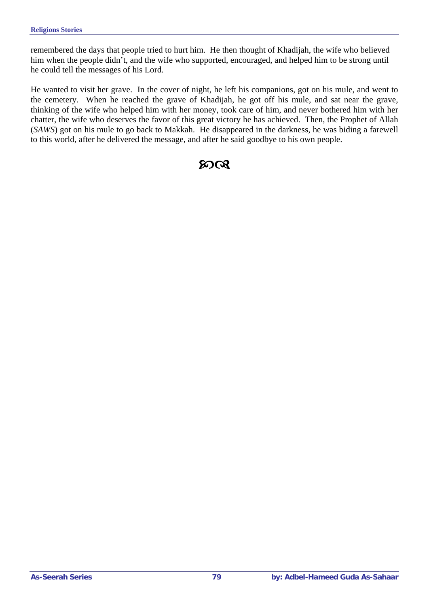remembered the days that people tried to hurt him. He then thought of Khadijah, the wife who believed him when the people didn't, and the wife who supported, encouraged, and helped him to be strong until he could tell the messages of his Lord.

He wanted to visit her grave. In the cover of night, he left his companions, got on his mule, and went to the cemetery. When he reached the grave of Khadijah, he got off his mule, and sat near the grave, thinking of the wife who helped him with her money, took care of him, and never bothered him with her chatter, the wife who deserves the favor of this great victory he has achieved. Then, the Prophet of Allah (*SAWS*) got on his mule to go back to Makkah. He disappeared in the darkness, he was biding a farewell to this world, after he delivered the message, and after he said goodbye to his own people.

### $20Q$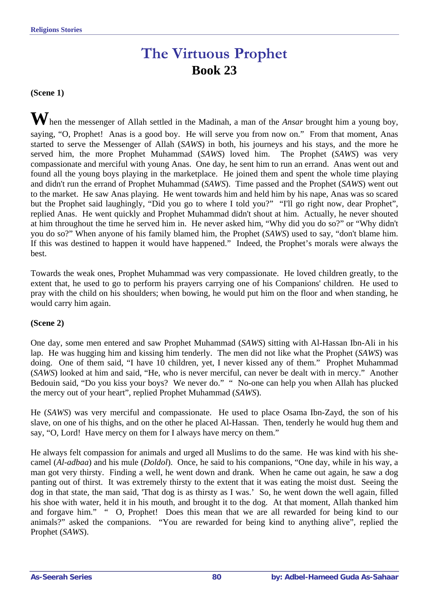# **The Virtuous Prophet Book 23**

**(Scene 1)** 

**W**hen the messenger of Allah settled in the Madinah, a man of the *Ansar* brought him a young boy, saying, "O, Prophet! Anas is a good boy. He will serve you from now on." From that moment, Anas started to serve the Messenger of Allah (*SAWS*) in both, his journeys and his stays, and the more he served him, the more Prophet Muhammad (*SAWS*) loved him. The Prophet (*SAWS*) was very compassionate and merciful with young Anas. One day, he sent him to run an errand. Anas went out and found all the young boys playing in the marketplace. He joined them and spent the whole time playing and didn't run the errand of Prophet Muhammad (*SAWS*). Time passed and the Prophet (*SAWS*) went out to the market. He saw Anas playing. He went towards him and held him by his nape, Anas was so scared but the Prophet said laughingly, "Did you go to where I told you?" "I'll go right now, dear Prophet", replied Anas. He went quickly and Prophet Muhammad didn't shout at him. Actually, he never shouted at him throughout the time he served him in. He never asked him, "Why did you do so?" or "Why didn't you do so?" When anyone of his family blamed him, the Prophet (*SAWS*) used to say, "don't blame him. If this was destined to happen it would have happened." Indeed, the Prophet's morals were always the best.

Towards the weak ones, Prophet Muhammad was very compassionate. He loved children greatly, to the extent that, he used to go to perform his prayers carrying one of his Companions' children. He used to pray with the child on his shoulders; when bowing, he would put him on the floor and when standing, he would carry him again.

#### **(Scene 2)**

One day, some men entered and saw Prophet Muhammad (*SAWS*) sitting with Al-Hassan Ibn-Ali in his lap. He was hugging him and kissing him tenderly. The men did not like what the Prophet (*SAWS*) was doing. One of them said, "I have 10 children, yet, I never kissed any of them." Prophet Muhammad (*SAWS*) looked at him and said, "He, who is never merciful, can never be dealt with in mercy." Another Bedouin said, "Do you kiss your boys? We never do." " No-one can help you when Allah has plucked the mercy out of your heart", replied Prophet Muhammad (*SAWS*).

He (*SAWS*) was very merciful and compassionate. He used to place Osama Ibn-Zayd, the son of his slave, on one of his thighs, and on the other he placed Al-Hassan. Then, tenderly he would hug them and say, "O, Lord! Have mercy on them for I always have mercy on them."

He always felt compassion for animals and urged all Muslims to do the same. He was kind with his shecamel (*Al-adbaa*) and his mule (*Doldol*). Once, he said to his companions, "One day, while in his way, a man got very thirsty. Finding a well, he went down and drank. When he came out again, he saw a dog panting out of thirst. It was extremely thirsty to the extent that it was eating the moist dust. Seeing the dog in that state, the man said, 'That dog is as thirsty as I was.' So, he went down the well again, filled his shoe with water, held it in his mouth, and brought it to the dog. At that moment, Allah thanked him and forgave him." " O, Prophet! Does this mean that we are all rewarded for being kind to our animals?" asked the companions. "You are rewarded for being kind to anything alive", replied the Prophet (*SAWS*).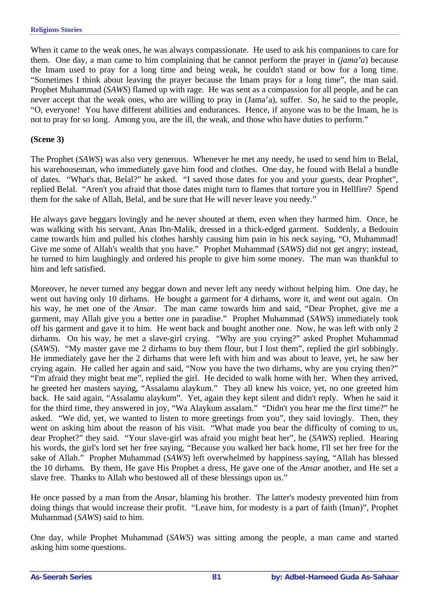When it came to the weak ones, he was always compassionate. He used to ask his companions to care for them. One day, a man came to him complaining that he cannot perform the prayer in (*jama'a*) because the Imam used to pray for a long time and being weak, he couldn't stand or bow for a long time. "Sometimes I think about leaving the prayer because the Imam prays for a long time", the man said. Prophet Muhammad (*SAWS*) flamed up with rage. He was sent as a compassion for all people, and he can never accept that the weak ones, who are willing to pray in (Jama'a), suffer. So, he said to the people, "O, everyone! You have different abilities and endurances. Hence, if anyone was to be the Imam, he is not to pray for so long. Among you, are the ill, the weak, and those who have duties to perform."

#### **(Scene 3)**

The Prophet (*SAWS*) was also very generous. Whenever he met any needy, he used to send him to Belal, his warehouseman, who immediately gave him food and clothes. One day, he found with Belal a bundle of dates. "What's that, Belal?" he asked. "I saved those dates for you and your guests, dear Prophet", replied Belal. "Aren't you afraid that those dates might turn to flames that torture you in Hellfire? Spend them for the sake of Allah, Belal, and be sure that He will never leave you needy."

He always gave beggars lovingly and he never shouted at them, even when they harmed him. Once, he was walking with his servant, Anas Ibn-Malik, dressed in a thick-edged garment. Suddenly, a Bedouin came towards him and pulled his clothes harshly causing him pain in his neck saying, "O, Muhammad! Give me some of Allah's wealth that you have." Prophet Muhammad (*SAWS*) did not get angry; instead, he turned to him laughingly and ordered his people to give him some money. The man was thankful to him and left satisfied.

Moreover, he never turned any beggar down and never left any needy without helping him. One day, he went out having only 10 dirhams. He bought a garment for 4 dirhams, wore it, and went out again. On his way, he met one of the *Ansar*. The man came towards him and said, "Dear Prophet, give me a garment, may Allah give you a better one in paradise." Prophet Muhammad (*SAWS*) immediately took off his garment and gave it to him. He went back and bought another one. Now, he was left with only 2 dirhams. On his way, he met a slave-girl crying. "Why are you crying?" asked Prophet Muhammad (*SAWS*). "My master gave me 2 dirhams to buy them flour, but I lost them", replied the girl sobbingly. He immediately gave her the 2 dirhams that were left with him and was about to leave, yet, he saw her crying again. He called her again and said, "Now you have the two dirhams, why are you crying then?" "I'm afraid they might beat me", replied the girl. He decided to walk home with her. When they arrived, he greeted her masters saying, "Assalamu alaykum." They all knew his voice, yet, no one greeted him back. He said again, "Assalamu alaykum". Yet, again they kept silent and didn't reply. When he said it for the third time, they answered in joy, "Wa Alaykum assalam." "Didn't you hear me the first time?" he asked. "We did, yet, we wanted to listen to more greetings from you", they said lovingly. Then, they went on asking him about the reason of his visit. "What made you bear the difficulty of coming to us, dear Prophet?" they said. "Your slave-girl was afraid you might beat her", he (*SAWS*) replied. Hearing his words, the girl's lord set her free saying, "Because you walked her back home, I'll set her free for the sake of Allah." Prophet Muhammad (*SAWS*) left overwhelmed by happiness saying, "Allah has blessed the 10 dirhams. By them, He gave His Prophet a dress, He gave one of the *Ansar* another, and He set a slave free. Thanks to Allah who bestowed all of these blessings upon us."

He once passed by a man from the *Ansar*, blaming his brother. The latter's modesty prevented him from doing things that would increase their profit. "Leave him, for modesty is a part of faith (Iman)", Prophet Muhammad (*SAWS*) said to him.

One day, while Prophet Muhammad (*SAWS*) was sitting among the people, a man came and started asking him some questions.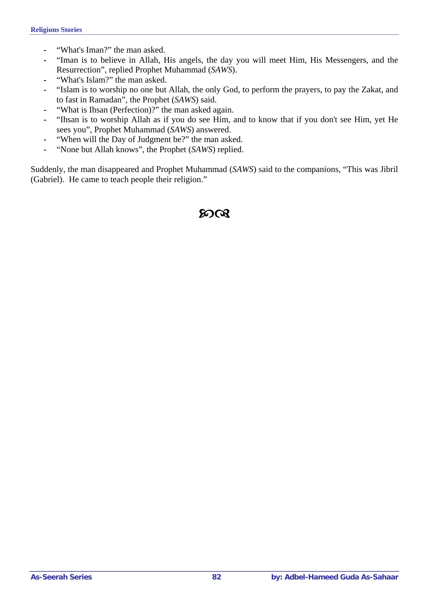- **-** "What's Iman?" the man asked.
- **-** "Iman is to believe in Allah, His angels, the day you will meet Him, His Messengers, and the Resurrection", replied Prophet Muhammad (*SAWS*).
- **-** "What's Islam?" the man asked.
- **-** "Islam is to worship no one but Allah, the only God, to perform the prayers, to pay the Zakat, and to fast in Ramadan", the Prophet (*SAWS*) said.
- **-** "What is Ihsan (Perfection)?" the man asked again.
- **-** "Ihsan is to worship Allah as if you do see Him, and to know that if you don't see Him, yet He sees you", Prophet Muhammad (*SAWS*) answered.
- **-** "When will the Day of Judgment be?" the man asked.
- **-** "None but Allah knows", the Prophet (*SAWS*) replied.

Suddenly, the man disappeared and Prophet Muhammad (*SAWS*) said to the companions, "This was Jibril (Gabriel). He came to teach people their religion."

### $20 \Omega$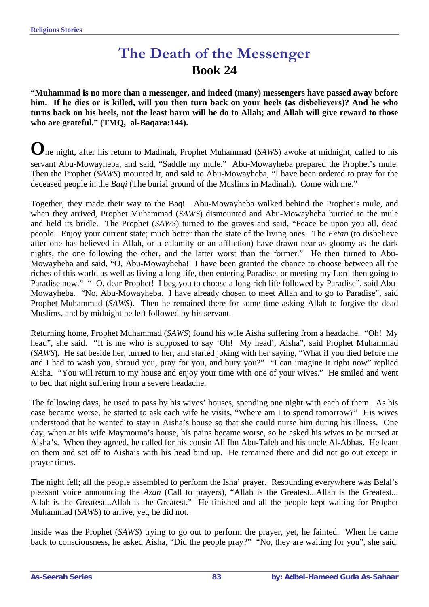## **The Death of the Messenger Book 24**

**"Muhammad is no more than a messenger, and indeed (many) messengers have passed away before him. If he dies or is killed, will you then turn back on your heels (as disbelievers)? And he who turns back on his heels, not the least harm will he do to Allah; and Allah will give reward to those who are grateful." (TMQ, al-Baqara:144).** 

**O**ne night, after his return to Madinah, Prophet Muhammad (*SAWS*) awoke at midnight, called to his servant Abu-Mowayheba, and said, "Saddle my mule." Abu-Mowayheba prepared the Prophet's mule. Then the Prophet (*SAWS*) mounted it, and said to Abu-Mowayheba, "I have been ordered to pray for the deceased people in the *Baqi* (The burial ground of the Muslims in Madinah). Come with me."

Together, they made their way to the Baqi. Abu-Mowayheba walked behind the Prophet's mule, and when they arrived, Prophet Muhammad (*SAWS*) dismounted and Abu-Mowayheba hurried to the mule and held its bridle. The Prophet (*SAWS*) turned to the graves and said, "Peace be upon you all, dead people. Enjoy your current state; much better than the state of the living ones. The *Fetan* (to disbelieve after one has believed in Allah, or a calamity or an affliction) have drawn near as gloomy as the dark nights, the one following the other, and the latter worst than the former." He then turned to Abu-Mowayheba and said, "O, Abu-Mowayheba! I have been granted the chance to choose between all the riches of this world as well as living a long life, then entering Paradise, or meeting my Lord then going to Paradise now." " O, dear Prophet! I beg you to choose a long rich life followed by Paradise", said Abu-Mowayheba. "No, Abu-Mowayheba. I have already chosen to meet Allah and to go to Paradise", said Prophet Muhammad (*SAWS*). Then he remained there for some time asking Allah to forgive the dead Muslims, and by midnight he left followed by his servant.

Returning home, Prophet Muhammad (*SAWS*) found his wife Aisha suffering from a headache. "Oh! My head", she said. "It is me who is supposed to say 'Oh! My head', Aisha", said Prophet Muhammad (*SAWS*). He sat beside her, turned to her, and started joking with her saying, "What if you died before me and I had to wash you, shroud you, pray for you, and bury you?" "I can imagine it right now" replied Aisha. "You will return to my house and enjoy your time with one of your wives." He smiled and went to bed that night suffering from a severe headache.

The following days, he used to pass by his wives' houses, spending one night with each of them. As his case became worse, he started to ask each wife he visits, "Where am I to spend tomorrow?" His wives understood that he wanted to stay in Aisha's house so that she could nurse him during his illness. One day, when at his wife Maymouna's house, his pains became worse, so he asked his wives to be nursed at Aisha's. When they agreed, he called for his cousin Ali Ibn Abu-Taleb and his uncle Al-Abbas. He leant on them and set off to Aisha's with his head bind up. He remained there and did not go out except in prayer times.

The night fell; all the people assembled to perform the Isha' prayer. Resounding everywhere was Belal's pleasant voice announcing the *Azan* (Call to prayers), "Allah is the Greatest...Allah is the Greatest... Allah is the Greatest...Allah is the Greatest." He finished and all the people kept waiting for Prophet Muhammad (*SAWS*) to arrive, yet, he did not.

Inside was the Prophet (*SAWS*) trying to go out to perform the prayer, yet, he fainted. When he came back to consciousness, he asked Aisha, "Did the people pray?" "No, they are waiting for you", she said.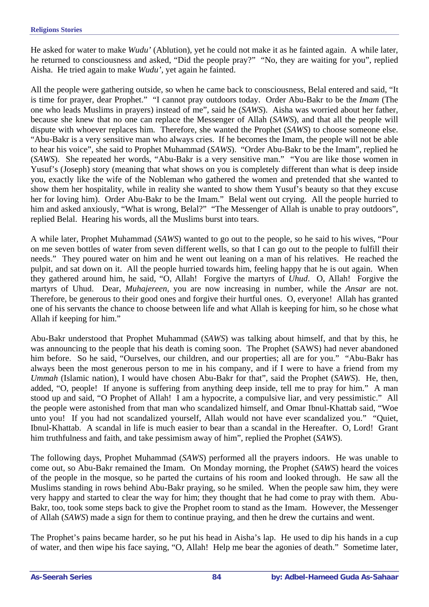He asked for water to make *Wudu'* (Ablution), yet he could not make it as he fainted again. A while later, he returned to consciousness and asked, "Did the people pray?" "No, they are waiting for you", replied Aisha. He tried again to make *Wudu'*, yet again he fainted.

All the people were gathering outside, so when he came back to consciousness, Belal entered and said, "It is time for prayer, dear Prophet." "I cannot pray outdoors today. Order Abu-Bakr to be the *Imam* (The one who leads Muslims in prayers) instead of me", said he (*SAWS*). Aisha was worried about her father, because she knew that no one can replace the Messenger of Allah (*SAWS*), and that all the people will dispute with whoever replaces him. Therefore, she wanted the Prophet (*SAWS*) to choose someone else. "Abu-Bakr is a very sensitive man who always cries. If he becomes the Imam, the people will not be able to hear his voice", she said to Prophet Muhammad (*SAWS*). "Order Abu-Bakr to be the Imam", replied he (*SAWS*). She repeated her words, "Abu-Bakr is a very sensitive man." "You are like those women in Yusuf's (Joseph) story (meaning that what shows on you is completely different than what is deep inside you, exactly like the wife of the Nobleman who gathered the women and pretended that she wanted to show them her hospitality, while in reality she wanted to show them Yusuf's beauty so that they excuse her for loving him). Order Abu-Bakr to be the Imam." Belal went out crying. All the people hurried to him and asked anxiously, "What is wrong, Belal?" "The Messenger of Allah is unable to pray outdoors", replied Belal. Hearing his words, all the Muslims burst into tears.

A while later, Prophet Muhammad (*SAWS*) wanted to go out to the people, so he said to his wives, "Pour on me seven bottles of water from seven different wells, so that I can go out to the people to fulfill their needs." They poured water on him and he went out leaning on a man of his relatives. He reached the pulpit, and sat down on it. All the people hurried towards him, feeling happy that he is out again. When they gathered around him, he said, "O, Allah! Forgive the martyrs of *Uhud*. O, Allah! Forgive the martyrs of Uhud. Dear, *Muhajereen*, you are now increasing in number, while the *Ansar* are not. Therefore, be generous to their good ones and forgive their hurtful ones. O, everyone! Allah has granted one of his servants the chance to choose between life and what Allah is keeping for him, so he chose what Allah if keeping for him."

Abu-Bakr understood that Prophet Muhammad (*SAWS*) was talking about himself, and that by this, he was announcing to the people that his death is coming soon. The Prophet (SAWS) had never abandoned him before. So he said, "Ourselves, our children, and our properties; all are for you." "Abu-Bakr has always been the most generous person to me in his company, and if I were to have a friend from my *Ummah* (Islamic nation), I would have chosen Abu-Bakr for that", said the Prophet (*SAWS*). He, then, added, "O, people! If anyone is suffering from anything deep inside, tell me to pray for him." A man stood up and said, "O Prophet of Allah! I am a hypocrite, a compulsive liar, and very pessimistic." All the people were astonished from that man who scandalized himself, and Omar Ibnul-Khattab said, "Woe unto you! If you had not scandalized yourself, Allah would not have ever scandalized you." "Quiet, Ibnul-Khattab. A scandal in life is much easier to bear than a scandal in the Hereafter. O, Lord! Grant him truthfulness and faith, and take pessimism away of him", replied the Prophet (*SAWS*).

The following days, Prophet Muhammad (*SAWS*) performed all the prayers indoors. He was unable to come out, so Abu-Bakr remained the Imam. On Monday morning, the Prophet (*SAWS*) heard the voices of the people in the mosque, so he parted the curtains of his room and looked through. He saw all the Muslims standing in rows behind Abu-Bakr praying, so he smiled. When the people saw him, they were very happy and started to clear the way for him; they thought that he had come to pray with them. Abu-Bakr, too, took some steps back to give the Prophet room to stand as the Imam. However, the Messenger of Allah (*SAWS*) made a sign for them to continue praying, and then he drew the curtains and went.

The Prophet's pains became harder, so he put his head in Aisha's lap. He used to dip his hands in a cup of water, and then wipe his face saying, "O, Allah! Help me bear the agonies of death." Sometime later,